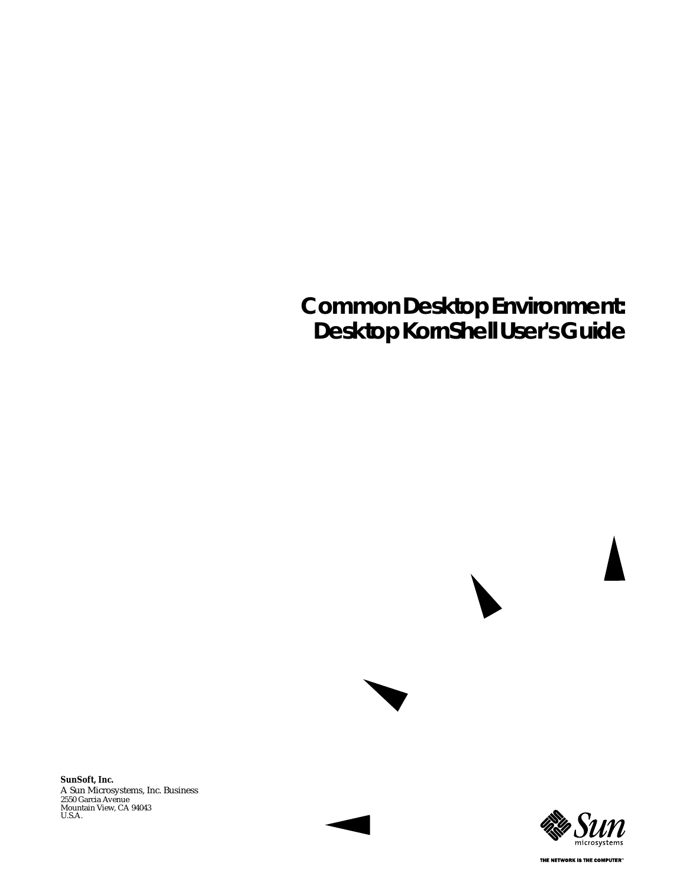# **Common Desktop Environment: Desktop KornShell User's Guide**

A Sun Microsystems, Inc. Business 2550 Garcia Avenue Mountain View, CA 94043 U.S.A. **SunSoft, Inc.**



THE NETWORK IS THE COMPUTER"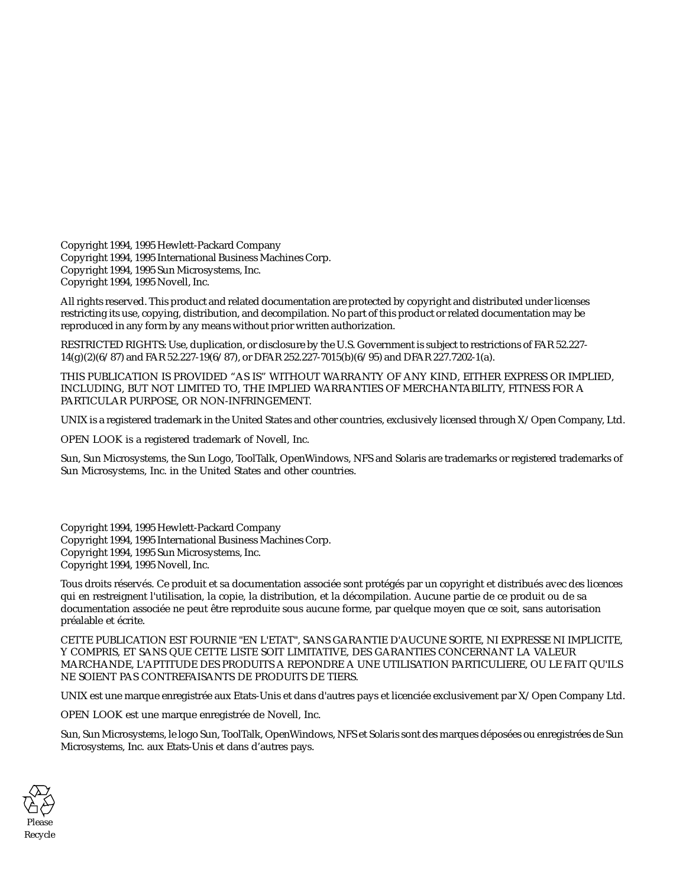Copyright 1994, 1995 Hewlett-Packard Company Copyright 1994, 1995 International Business Machines Corp. Copyright 1994, 1995 Sun Microsystems, Inc. Copyright 1994, 1995 Novell, Inc.

All rights reserved. This product and related documentation are protected by copyright and distributed under licenses restricting its use, copying, distribution, and decompilation. No part of this product or related documentation may be reproduced in any form by any means without prior written authorization.

RESTRICTED RIGHTS: Use, duplication, or disclosure by the U.S. Government is subject to restrictions of FAR 52.227- 14(g)(2)(6/87) and FAR 52.227-19(6/87), or DFAR 252.227-7015(b)(6/95) and DFAR 227.7202-1(a).

THIS PUBLICATION IS PROVIDED "AS IS" WITHOUT WARRANTY OF ANY KIND, EITHER EXPRESS OR IMPLIED, INCLUDING, BUT NOT LIMITED TO, THE IMPLIED WARRANTIES OF MERCHANTABILITY, FITNESS FOR A PARTICULAR PURPOSE, OR NON-INFRINGEMENT.

UNIX is a registered trademark in the United States and other countries, exclusively licensed through X/Open Company, Ltd.

OPEN LOOK is a registered trademark of Novell, Inc.

Sun, Sun Microsystems, the Sun Logo, ToolTalk, OpenWindows, NFS and Solaris are trademarks or registered trademarks of Sun Microsystems, Inc. in the United States and other countries.

Copyright 1994, 1995 Hewlett-Packard Company Copyright 1994, 1995 International Business Machines Corp. Copyright 1994, 1995 Sun Microsystems, Inc. Copyright 1994, 1995 Novell, Inc.

Tous droits réservés. Ce produit et sa documentation associée sont protégés par un copyright et distribués avec des licences qui en restreignent l'utilisation, la copie, la distribution, et la décompilation. Aucune partie de ce produit ou de sa documentation associée ne peut être reproduite sous aucune forme, par quelque moyen que ce soit, sans autorisation préalable et écrite.

CETTE PUBLICATION EST FOURNIE "EN L'ETAT", SANS GARANTIE D'AUCUNE SORTE, NI EXPRESSE NI IMPLICITE, Y COMPRIS, ET SANS QUE CETTE LISTE SOIT LIMITATIVE, DES GARANTIES CONCERNANT LA VALEUR MARCHANDE, L'APTITUDE DES PRODUITS A REPONDRE A UNE UTILISATION PARTICULIERE, OU LE FAIT QU'ILS NE SOIENT PAS CONTREFAISANTS DE PRODUITS DE TIERS.

UNIX est une marque enregistrée aux Etats-Unis et dans d'autres pays et licenciée exclusivement par X/Open Company Ltd.

OPEN LOOK est une marque enregistrée de Novell, Inc.

Sun, Sun Microsystems, le logo Sun, ToolTalk, OpenWindows, NFS et Solaris sont des marques déposées ou enregistrées de Sun Microsystems, Inc. aux Etats-Unis et dans d'autres pays.

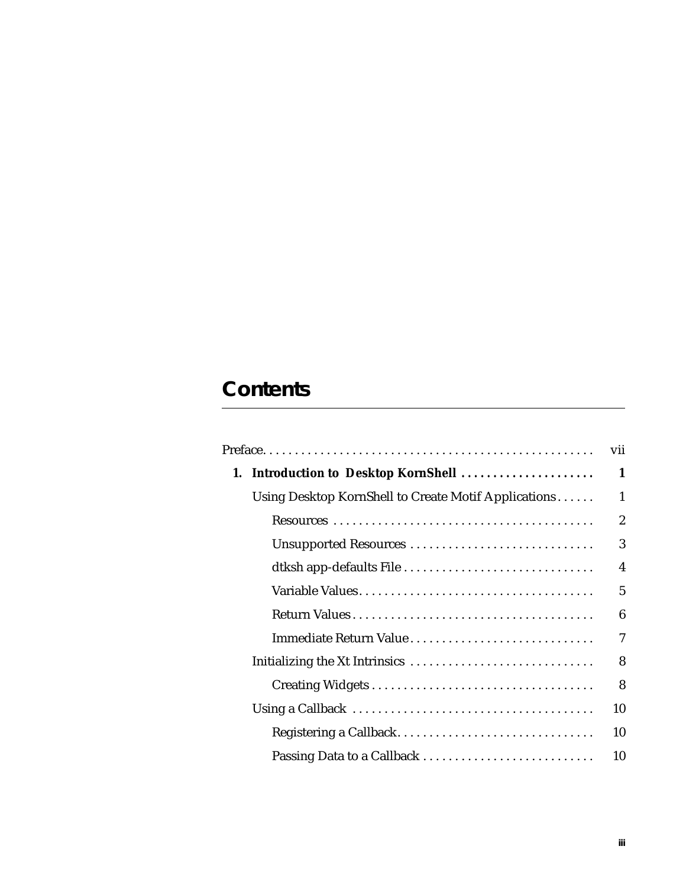# **Contents**

|                                                      | vii                     |
|------------------------------------------------------|-------------------------|
| 1. Introduction to Desktop KornShell                 | 1                       |
| Using Desktop KornShell to Create Motif Applications | $\mathbf{1}$            |
|                                                      | $\overline{2}$          |
| Unsupported Resources                                | 3                       |
| dtksh app-defaults File                              | $\overline{\mathbf{4}}$ |
|                                                      | 5                       |
|                                                      | 6                       |
| Immediate Return Value                               | 7                       |
|                                                      | 8                       |
|                                                      | 8                       |
|                                                      | 10                      |
| Registering a Callback                               | 10                      |
| Passing Data to a Callback                           | 10                      |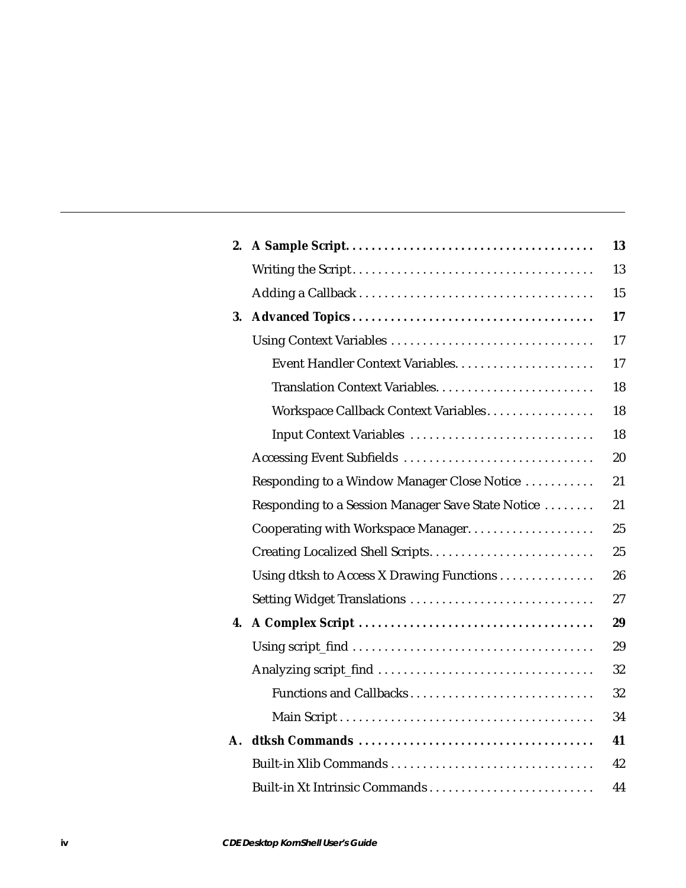| 2. |                                                   | 13 |
|----|---------------------------------------------------|----|
|    |                                                   | 13 |
|    |                                                   | 15 |
| 3. |                                                   | 17 |
|    | Using Context Variables                           | 17 |
|    |                                                   | 17 |
|    |                                                   | 18 |
|    | Workspace Callback Context Variables              | 18 |
|    | Input Context Variables                           | 18 |
|    | Accessing Event Subfields                         | 20 |
|    | Responding to a Window Manager Close Notice       | 21 |
|    | Responding to a Session Manager Save State Notice | 21 |
|    |                                                   | 25 |
|    | Creating Localized Shell Scripts                  | 25 |
|    | Using dtksh to Access X Drawing Functions         | 26 |
|    | Setting Widget Translations                       | 27 |
| 4. |                                                   | 29 |
|    |                                                   | 29 |
|    |                                                   | 32 |
|    | Functions and Callbacks                           | 32 |
|    |                                                   | 34 |
| A. |                                                   | 41 |
|    | Built-in Xlib Commands                            | 42 |
|    |                                                   | 44 |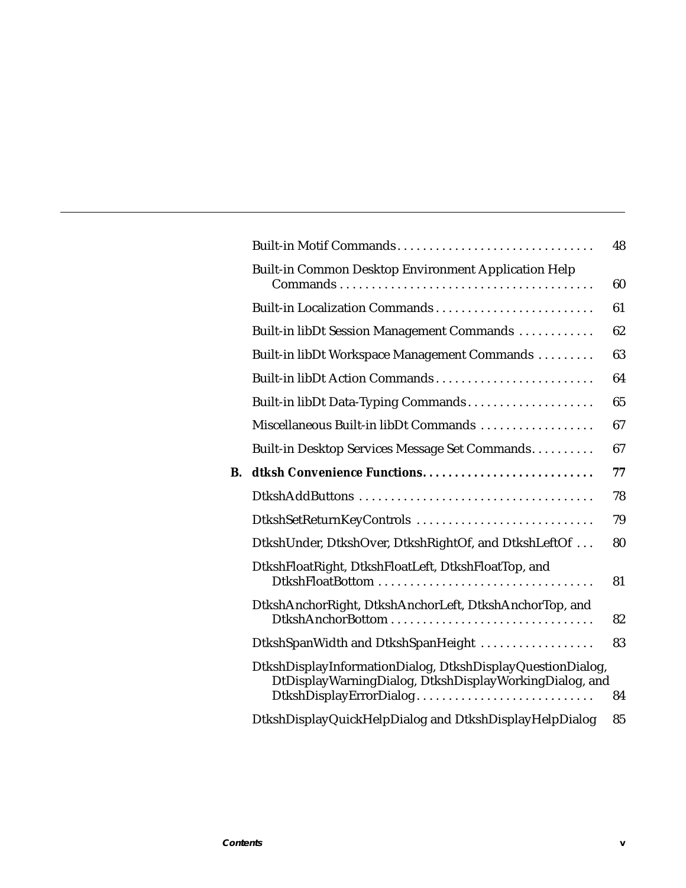|    | Built-in Motif Commands                                                                                                                         | 48 |
|----|-------------------------------------------------------------------------------------------------------------------------------------------------|----|
|    | Built-in Common Desktop Environment Application Help                                                                                            | 60 |
|    |                                                                                                                                                 | 61 |
|    | Built-in libDt Session Management Commands                                                                                                      | 62 |
|    | Built-in libDt Workspace Management Commands                                                                                                    | 63 |
|    | Built-in libDt Action Commands                                                                                                                  | 64 |
|    | Built-in libDt Data-Typing Commands                                                                                                             | 65 |
|    | Miscellaneous Built-in libDt Commands                                                                                                           | 67 |
|    | Built-in Desktop Services Message Set Commands                                                                                                  | 67 |
| B. |                                                                                                                                                 | 77 |
|    |                                                                                                                                                 | 78 |
|    | DtkshSetReturnKeyControls                                                                                                                       | 79 |
|    | DtkshUnder, DtkshOver, DtkshRightOf, and DtkshLeftOf                                                                                            | 80 |
|    | DtkshFloatRight, DtkshFloatLeft, DtkshFloatTop, and                                                                                             | 81 |
|    | DtkshAnchorRight, DtkshAnchorLeft, DtkshAnchorTop, and                                                                                          | 82 |
|    | DtkshSpanWidth and DtkshSpanHeight                                                                                                              | 83 |
|    | DtkshDisplayInformationDialog, DtkshDisplayQuestionDialog,<br>DtDisplayWarningDialog, DtkshDisplayWorkingDialog, and<br>DtkshDisplayErrorDialog | 84 |
|    | DtkshDisplayQuickHelpDialog and DtkshDisplayHelpDialog                                                                                          | 85 |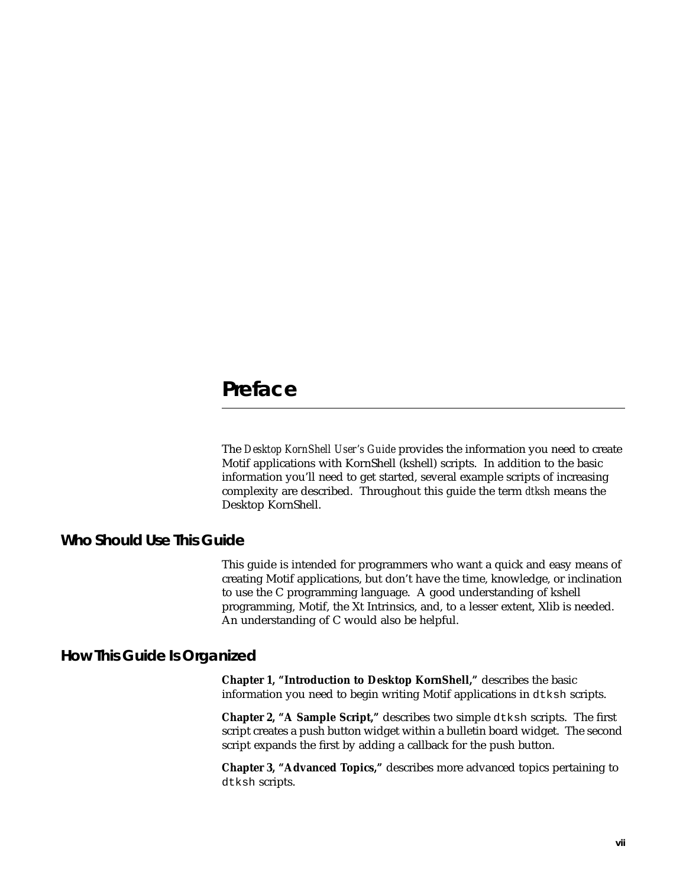# **Preface**

The *Desktop KornShell User's Guide* provides the information you need to create Motif applications with KornShell (kshell) scripts. In addition to the basic information you'll need to get started, several example scripts of increasing complexity are described. Throughout this guide the term *dtksh* means the Desktop KornShell.

# **Who Should Use This Guide**

This guide is intended for programmers who want a quick and easy means of creating Motif applications, but don't have the time, knowledge, or inclination to use the C programming language. A good understanding of kshell programming, Motif, the Xt Intrinsics, and, to a lesser extent, Xlib is needed. An understanding of C would also be helpful.

# **How This Guide Is Organized**

**Chapter 1, "Introduction to Desktop KornShell,"** describes the basic information you need to begin writing Motif applications in dtksh scripts.

**Chapter 2, "A Sample Script,"** describes two simple dtksh scripts. The first script creates a push button widget within a bulletin board widget. The second script expands the first by adding a callback for the push button.

**Chapter 3, "Advanced Topics,"** describes more advanced topics pertaining to dtksh scripts.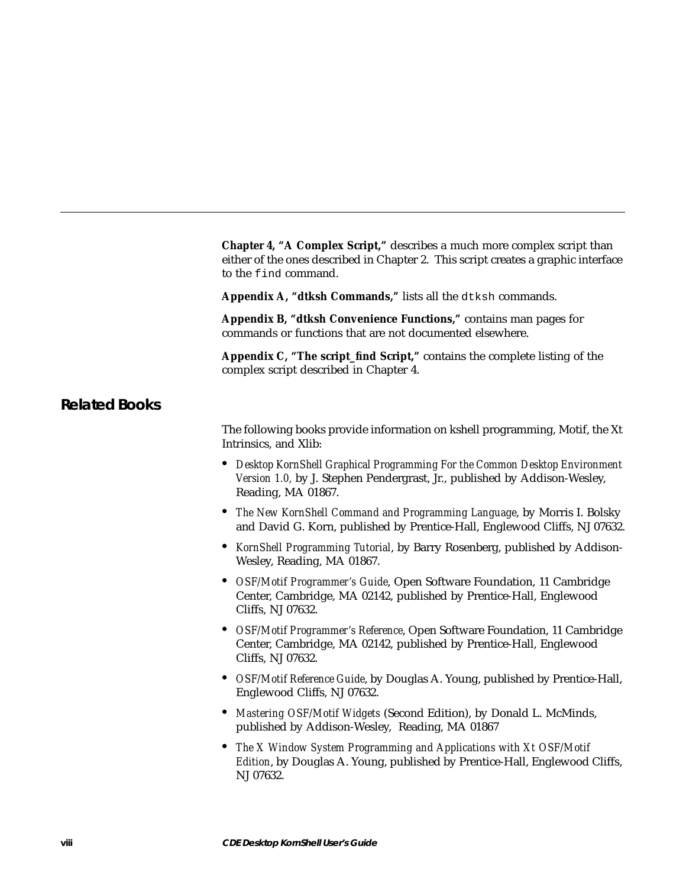**Chapter 4, "A Complex Script,"** describes a much more complex script than either of the ones described in Chapter 2. This script creates a graphic interface to the find command. **Appendix A, "dtksh Commands,"** lists all the dtksh commands. **Appendix B, "dtksh Convenience Functions,"** contains man pages for commands or functions that are not documented elsewhere. **Appendix C, "The script\_find Script,"** contains the complete listing of the complex script described in Chapter 4. **Related Books** The following books provide information on kshell programming, Motif, the Xt Intrinsics, and Xlib: **•** *Desktop KornShell Graphical Programming For the Common Desktop Environment Version 1.0,* by J. Stephen Pendergrast, Jr., published by Addison-Wesley, Reading, MA 01867. **•** *The New KornShell Command and Programming Language*, by Morris I. Bolsky and David G. Korn, published by Prentice-Hall, Englewood Cliffs, NJ 07632. **•** *KornShell Programming Tutorial*, by Barry Rosenberg, published by Addison-Wesley, Reading, MA 01867. **•** *OSF/Motif Programmer's Guide*, Open Software Foundation, 11 Cambridge Center, Cambridge, MA 02142, published by Prentice-Hall, Englewood Cliffs, NJ 07632. **•** *OSF/Motif Programmer's Reference*, Open Software Foundation, 11 Cambridge Center, Cambridge, MA 02142, published by Prentice-Hall, Englewood Cliffs, NJ 07632. **•** *OSF/Motif Reference Guide*, by Douglas A. Young, published by Prentice-Hall, Englewood Cliffs, NJ 07632. **•** *Mastering OSF/Motif Widgets* (Second Edition), by Donald L. McMinds, published by Addison-Wesley, Reading, MA 01867 **•** *The X Window System Programming and Applications with Xt OSF/Motif Edition*, by Douglas A. Young, published by Prentice-Hall, Englewood Cliffs, NJ 07632.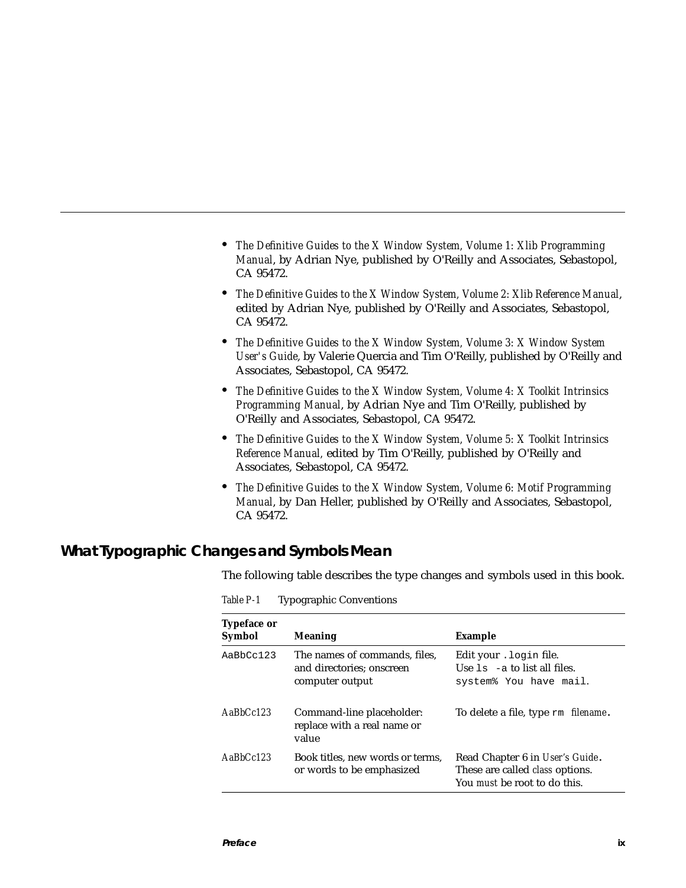- **•** *The Definitive Guides to the X Window System, Volume 1: Xlib Programming Manual*, by Adrian Nye, published by O'Reilly and Associates, Sebastopol, CA 95472.
- **•** *The Definitive Guides to the X Window System, Volume 2: Xlib Reference Manual*, edited by Adrian Nye, published by O'Reilly and Associates, Sebastopol, CA 95472.
- **•** *The Definitive Guides to the X Window System, Volume 3: X Window System User's Guide*, by Valerie Quercia and Tim O'Reilly, published by O'Reilly and Associates, Sebastopol, CA 95472.
- **•** *The Definitive Guides to the X Window System, Volume 4: X Toolkit Intrinsics Programming Manual*, by Adrian Nye and Tim O'Reilly, published by O'Reilly and Associates, Sebastopol, CA 95472.
- **•** *The Definitive Guides to the X Window System, Volume 5: X Toolkit Intrinsics Reference Manual,* edited by Tim O'Reilly, published by O'Reilly and Associates, Sebastopol, CA 95472.
- **•** *The Definitive Guides to the X Window System, Volume 6: Motif Programming Manual*, by Dan Heller, published by O'Reilly and Associates, Sebastopol, CA 95472.

# **What Typographic Changes and Symbols Mean**

The following table describes the type changes and symbols used in this book.

| <b>Typeface or</b><br>Symbol | <b>Meaning</b>                                                                | Example                                                                                                          |
|------------------------------|-------------------------------------------------------------------------------|------------------------------------------------------------------------------------------------------------------|
| AaBbCc123                    | The names of commands, files,<br>and directories; onscreen<br>computer output | Edit your . login file.<br>Use $1s$ -a to list all files.<br>system% You have mail.                              |
| $A$ aBb $Cc123$              | Command-line placeholder:<br>replace with a real name or<br>value             | To delete a file, type rm filename.                                                                              |
| $A$ a $B$ h $Cc$ 123         | Book titles, new words or terms,<br>or words to be emphasized                 | Read Chapter 6 in User's Guide.<br>These are called <i>class</i> options.<br>You <i>must</i> be root to do this. |

*Table P-1* Typographic Conventions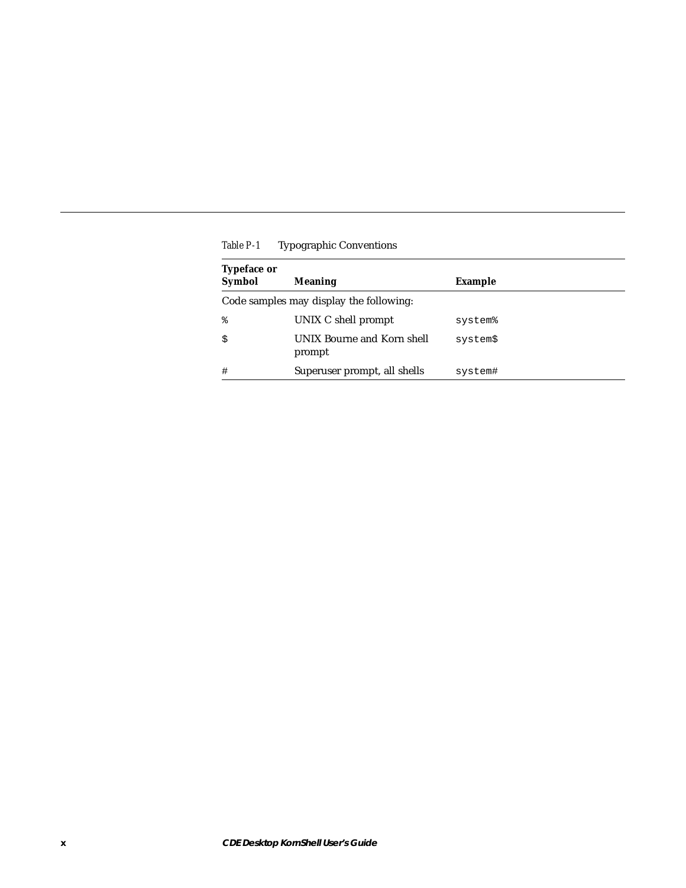| <b>Typeface or</b><br><b>Symbol</b> | <b>Meaning</b>                          | Example  |  |
|-------------------------------------|-----------------------------------------|----------|--|
|                                     | Code samples may display the following: |          |  |
| ⊱                                   | UNIX C shell prompt                     | system%  |  |
| \$                                  | UNIX Bourne and Korn shell<br>prompt    | system\$ |  |
| #                                   | Superuser prompt, all shells            | system#  |  |

*Table P-1* Typographic Conventions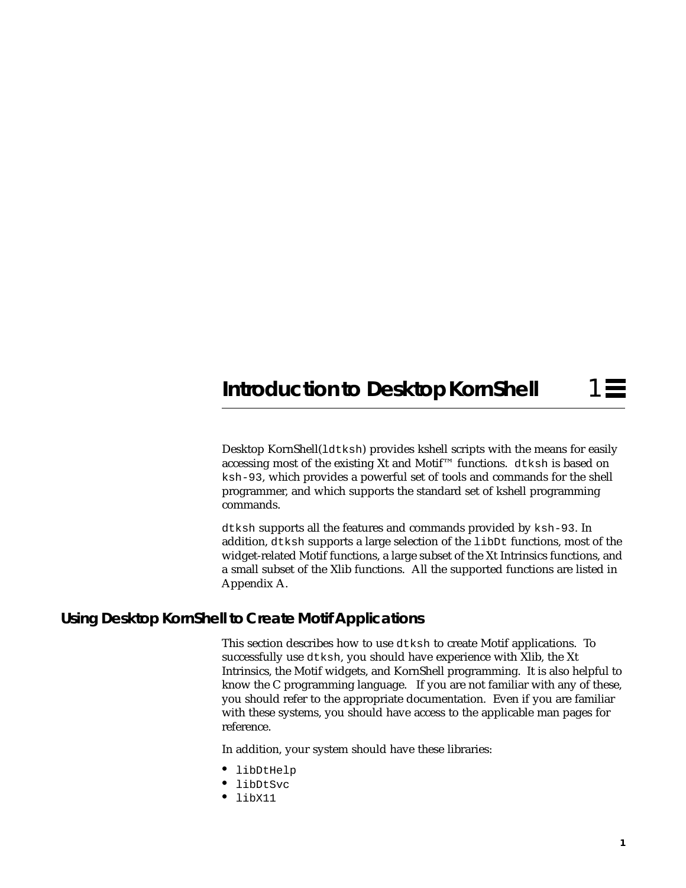# **Introduction to Desktop KornShell**

Desktop KornShell(ldtksh) provides kshell scripts with the means for easily accessing most of the existing Xt and Motif™ functions. dtksh is based on ksh-93, which provides a powerful set of tools and commands for the shell programmer, and which supports the standard set of kshell programming commands.

dtksh supports all the features and commands provided by ksh-93. In addition, dtksh supports a large selection of the libDt functions, most of the widget-related Motif functions, a large subset of the Xt Intrinsics functions, and a small subset of the Xlib functions. All the supported functions are listed in Appendix A.

# **Using Desktop KornShell to Create Motif Applications**

This section describes how to use dtksh to create Motif applications. To successfully use dtksh, you should have experience with Xlib, the Xt Intrinsics, the Motif widgets, and KornShell programming. It is also helpful to know the C programming language. If you are not familiar with any of these, you should refer to the appropriate documentation. Even if you are familiar with these systems, you should have access to the applicable man pages for reference.

In addition, your system should have these libraries:

- **•** libDtHelp
- **•** libDtSvc
- **•** libX11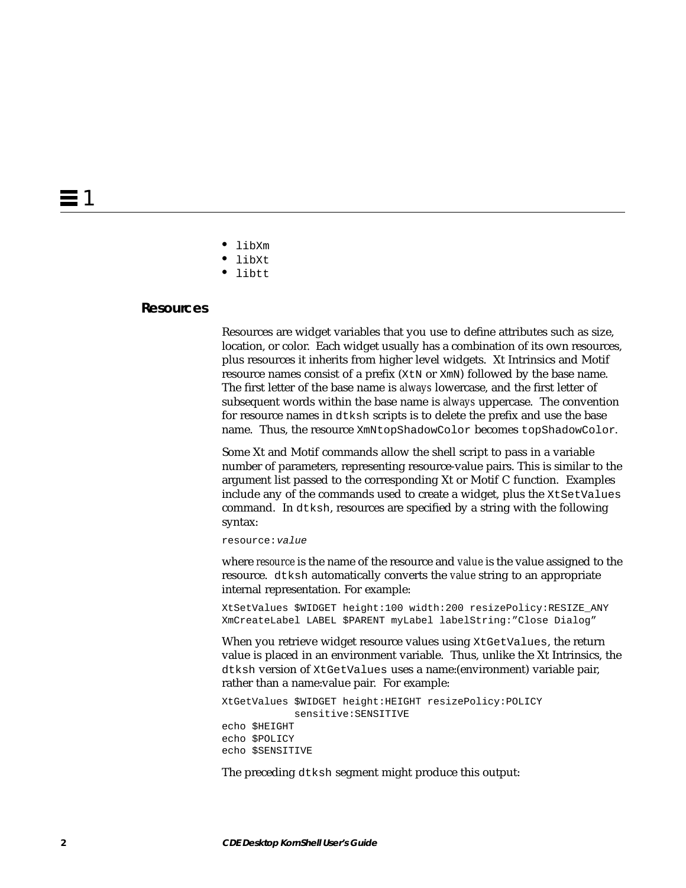- **•** libXm
- **•** libXt
- **•** libtt

#### **Resources**

Resources are widget variables that you use to define attributes such as size, location, or color. Each widget usually has a combination of its own resources, plus resources it inherits from higher level widgets. Xt Intrinsics and Motif resource names consist of a prefix ( $X \text{th}$  or  $X \text{th}$ ) followed by the base name. The first letter of the base name is *always* lowercase, and the first letter of subsequent words within the base name is *always* uppercase. The convention for resource names in dtksh scripts is to delete the prefix and use the base name. Thus, the resource XmNtopShadowColor becomes topShadowColor.

Some Xt and Motif commands allow the shell script to pass in a variable number of parameters, representing resource-value pairs. This is similar to the argument list passed to the corresponding Xt or Motif C function. Examples include any of the commands used to create a widget, plus the XtSetValues command. In dtksh, resources are specified by a string with the following syntax:

resource:value

where *resource* is the name of the resource and *value* is the value assigned to the resource. dtksh automatically converts the *value* string to an appropriate internal representation. For example:

XtSetValues \$WIDGET height:100 width:200 resizePolicy:RESIZE\_ANY XmCreateLabel LABEL \$PARENT myLabel labelString:"Close Dialog"

When you retrieve widget resource values using XtGetValues, the return value is placed in an environment variable. Thus, unlike the Xt Intrinsics, the dtksh version of XtGetValues uses a name:(environment) variable pair, rather than a name:value pair. For example:

XtGetValues \$WIDGET height:HEIGHT resizePolicy:POLICY sensitive:SENSITIVE echo \$HEIGHT echo \$POLICY echo \$SENSITIVE

The preceding dtksh segment might produce this output: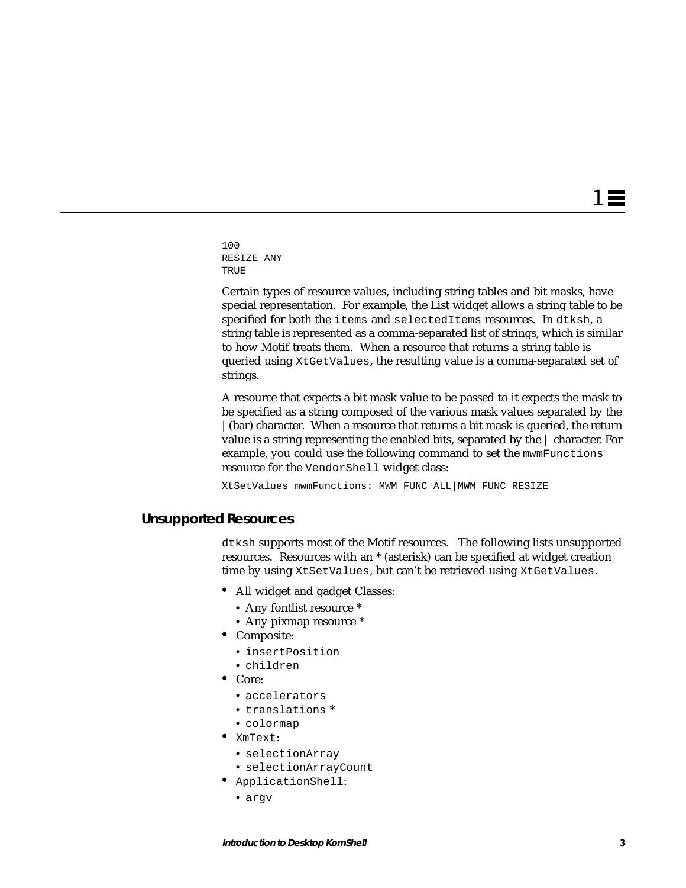$1 \equiv$ 

100 RESIZE ANY TRUE

Certain types of resource values, including string tables and bit masks, have special representation. For example, the List widget allows a string table to be specified for both the items and selectedItems resources. In dtksh, a string table is represented as a comma-separated list of strings, which is similar to how Motif treats them. When a resource that returns a string table is queried using XtGetValues, the resulting value is a comma-separated set of strings.

A resource that expects a bit mask value to be passed to it expects the mask to be specified as a string composed of the various mask values separated by the |(bar) character. When a resource that returns a bit mask is queried, the return value is a string representing the enabled bits, separated by the | character. For example, you could use the following command to set the mwmFunctions resource for the VendorShell widget class:

XtSetValues mwmFunctions: MWM\_FUNC\_ALL|MWM\_FUNC\_RESIZE

#### **Unsupported Resources**

dtksh supports most of the Motif resources. The following lists unsupported resources. Resources with an \* (asterisk) can be specified at widget creation time by using XtSetValues, but can't be retrieved using XtGetValues.

- **•** All widget and gadget Classes:
	- **•** Any fontlist resource \*
	- **•** Any pixmap resource \*
- **•** Composite:
	- **•** insertPosition
- **•** children
- **•** Core:
	- **•** accelerators
	- **•** translations \*
	- **•** colormap
- **•** XmText:
	- **•** selectionArray
	- **•** selectionArrayCount
- **•** ApplicationShell:
	- **•** argv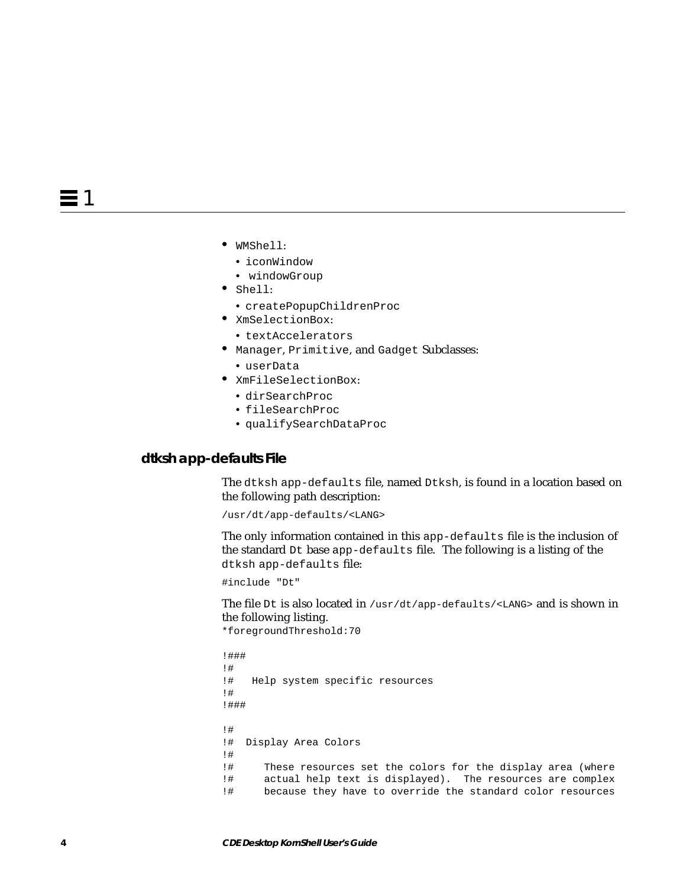- **•** WMShell:
	- **•** iconWindow
	- **•** windowGroup
- **•** Shell:
	- **•** createPopupChildrenProc
- **•** XmSelectionBox:
	- **•** textAccelerators
- **•** Manager, Primitive, and Gadget Subclasses:
- **•** userData
- **•** XmFileSelectionBox:
	- **•** dirSearchProc
	- **•** fileSearchProc
	- **•** qualifySearchDataProc

#### **dtksh app-defaults File**

The dtksh app-defaults file, named Dtksh, is found in a location based on the following path description:

/usr/dt/app-defaults/<LANG>

The only information contained in this app-defaults file is the inclusion of the standard Dt base app-defaults file. The following is a listing of the dtksh app-defaults file:

#include "Dt"

The file Dt is also located in /usr/dt/app-defaults/<LANG> and is shown in the following listing.

```
*foregroundThreshold:70
```

```
!###
!#
!# Help system specific resources
!#
!###
!#
!# Display Area Colors
!#
!# These resources set the colors for the display area (where
!# actual help text is displayed). The resources are complex
!# because they have to override the standard color resources
```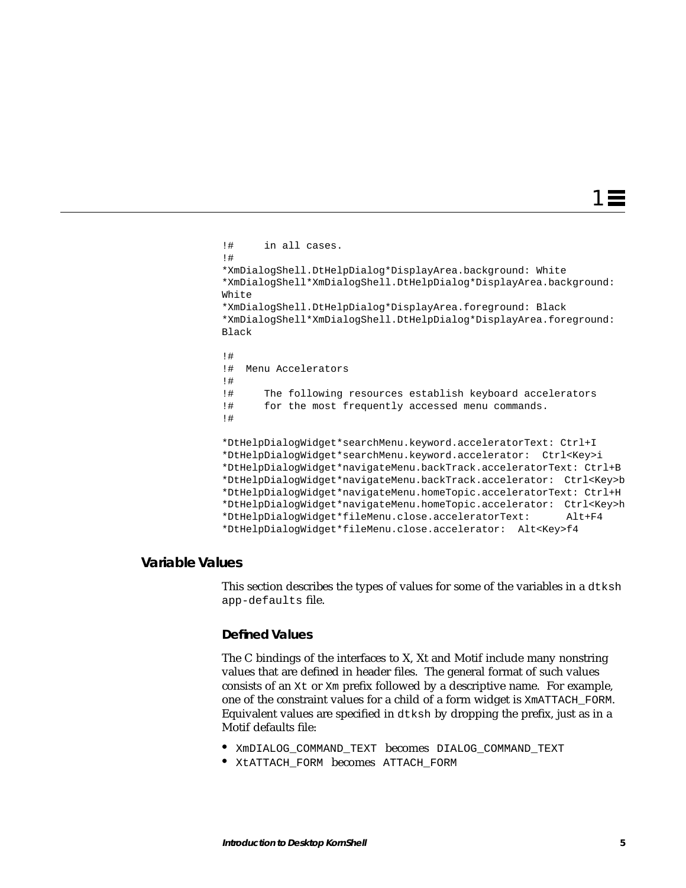$1\equiv$ 

```
!# in all cases.
!#
*XmDialogShell.DtHelpDialog*DisplayArea.background: White
*XmDialogShell*XmDialogShell.DtHelpDialog*DisplayArea.background:
White
*XmDialogShell.DtHelpDialog*DisplayArea.foreground: Black
*XmDialogShell*XmDialogShell.DtHelpDialog*DisplayArea.foreground:
Black
!#
!# Menu Accelerators
!#
!# The following resources establish keyboard accelerators
!# for the most frequently accessed menu commands.
!#
*DtHelpDialogWidget*searchMenu.keyword.acceleratorText: Ctrl+I
*DtHelpDialogWidget*searchMenu.keyword.accelerator: Ctrl<Key>i
*DtHelpDialogWidget*navigateMenu.backTrack.acceleratorText: Ctrl+B
*DtHelpDialogWidget*navigateMenu.backTrack.accelerator: Ctrl<Key>b
*DtHelpDialogWidget*navigateMenu.homeTopic.acceleratorText: Ctrl+H
*DtHelpDialogWidget*navigateMenu.homeTopic.accelerator: Ctrl<Key>h
*DtHelpDialogWidget*fileMenu.close.acceleratorText: Alt+F4
*DtHelpDialogWidget*fileMenu.close.accelerator: Alt<Key>f4
```
### **Variable Values**

This section describes the types of values for some of the variables in a dtksh app-defaults file.

#### **Defined Values**

The C bindings of the interfaces to X, Xt and Motif include many nonstring values that are defined in header files. The general format of such values consists of an  $Xt$  or  $Xm$  prefix followed by a descriptive name. For example, one of the constraint values for a child of a form widget is XmATTACH\_FORM. Equivalent values are specified in dtksh by dropping the prefix, just as in a Motif defaults file:

- **•** XmDIALOG\_COMMAND\_TEXT becomes DIALOG\_COMMAND\_TEXT
- **•** XtATTACH\_FORM becomes ATTACH\_FORM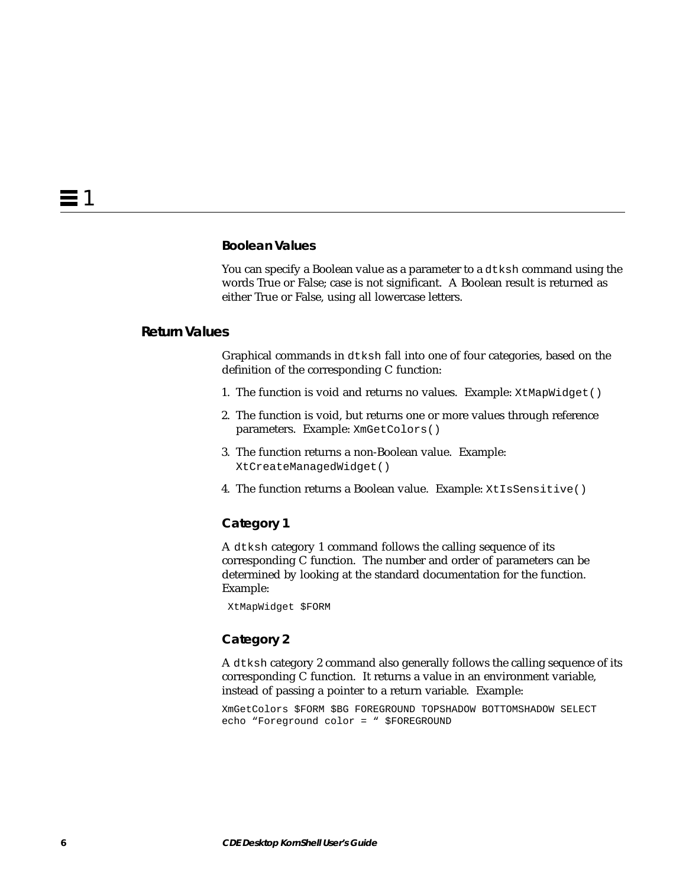#### **Boolean Values**

You can specify a Boolean value as a parameter to a dtksh command using the words True or False; case is not significant. A Boolean result is returned as either True or False, using all lowercase letters.

#### **Return Values**

Graphical commands in dtksh fall into one of four categories, based on the definition of the corresponding C function:

- 1. The function is void and returns no values. Example: XtMapWidget()
- 2. The function is void, but returns one or more values through reference parameters. Example: XmGetColors()
- 3. The function returns a non-Boolean value. Example: XtCreateManagedWidget()
- 4. The function returns a Boolean value. Example: XtIsSensitive()

#### **Category 1**

A dtksh category 1 command follows the calling sequence of its corresponding C function. The number and order of parameters can be determined by looking at the standard documentation for the function. Example:

XtMapWidget \$FORM

#### **Category 2**

A dtksh category 2 command also generally follows the calling sequence of its corresponding C function. It returns a value in an environment variable, instead of passing a pointer to a return variable. Example:

XmGetColors \$FORM \$BG FOREGROUND TOPSHADOW BOTTOMSHADOW SELECT echo "Foreground color = " \$FOREGROUND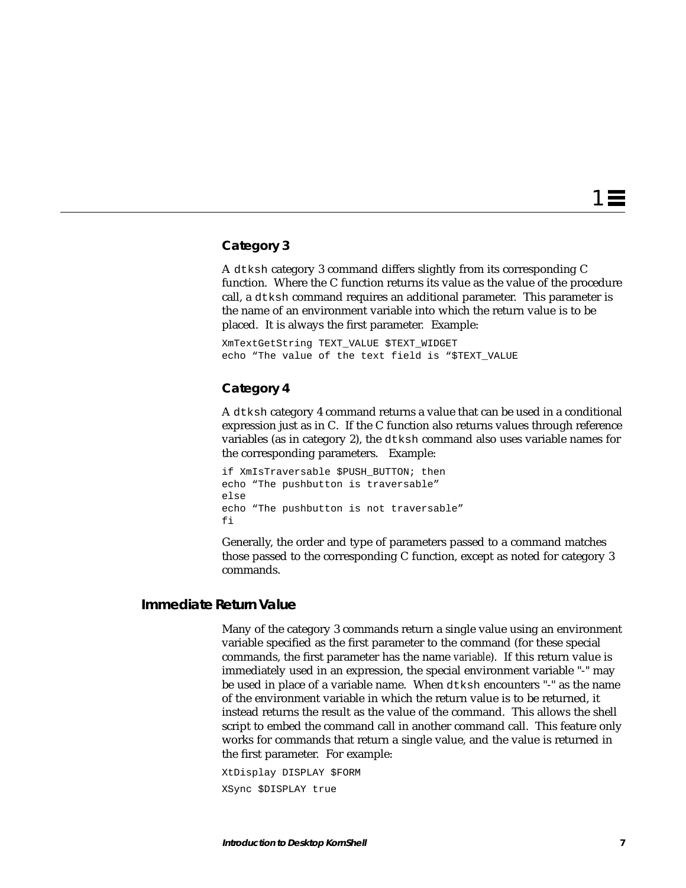1 ≣

### **Category 3**

A dtksh category 3 command differs slightly from its corresponding C function. Where the C function returns its value as the value of the procedure call, a dtksh command requires an additional parameter. This parameter is the name of an environment variable into which the return value is to be placed. It is always the first parameter*.* Example:

XmTextGetString TEXT\_VALUE \$TEXT\_WIDGET echo "The value of the text field is "\$TEXT\_VALUE

#### **Category 4**

A dtksh category 4 command returns a value that can be used in a conditional expression just as in C. If the C function also returns values through reference variables (as in category 2), the dtksh command also uses variable names for the corresponding parameters. Example:

if XmIsTraversable \$PUSH\_BUTTON; then echo "The pushbutton is traversable" else echo "The pushbutton is not traversable" fi

Generally, the order and type of parameters passed to a command matches those passed to the corresponding C function, except as noted for category 3 commands.

### **Immediate Return Value**

Many of the category 3 commands return a single value using an environment variable specified as the first parameter to the command (for these special commands, the first parameter has the name *variable*). If this return value is immediately used in an expression, the special environment variable "-" may be used in place of a variable name. When dtksh encounters "-" as the name of the environment variable in which the return value is to be returned, it instead returns the result as the value of the command. This allows the shell script to embed the command call in another command call. This feature only works for commands that return a single value, and the value is returned in the first parameter. For example:

XtDisplay DISPLAY \$FORM XSync \$DISPLAY true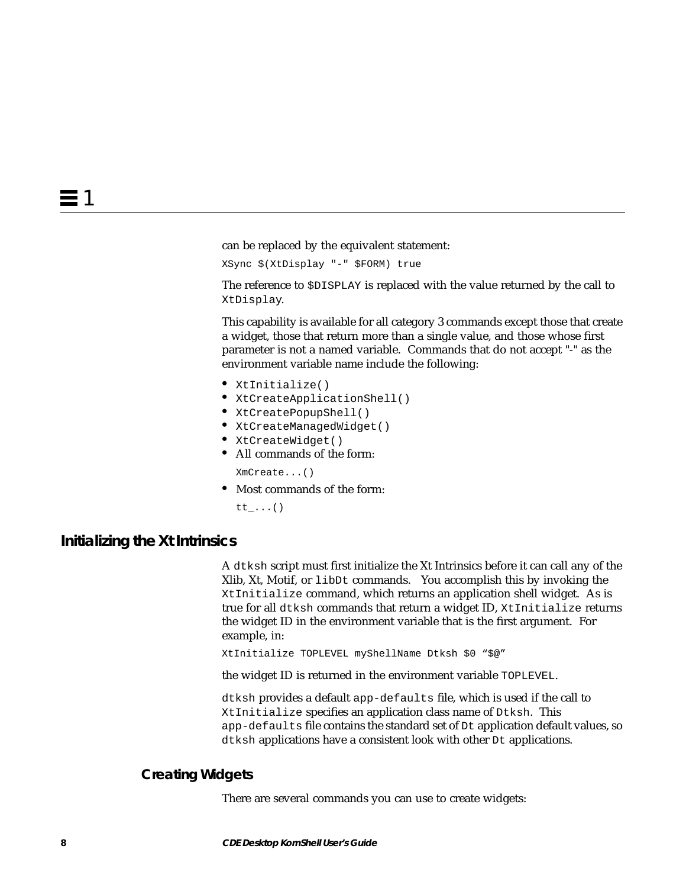can be replaced by the equivalent statement:

XSync \$(XtDisplay "-" \$FORM) true

The reference to \$DISPLAY is replaced with the value returned by the call to XtDisplay.

This capability is available for all category 3 commands except those that create a widget, those that return more than a single value, and those whose first parameter is not a named variable. Commands that do not accept "-" as the environment variable name include the following:

- **•** XtInitialize()
- **•** XtCreateApplicationShell()
- **•** XtCreatePopupShell()
- **•** XtCreateManagedWidget()
- **•** XtCreateWidget()
- **•** All commands of the form:

XmCreate...()

**•** Most commands of the form:

tt\_...()

#### **Initializing the Xt Intrinsics**

A dtksh script must first initialize the Xt Intrinsics before it can call any of the Xlib, Xt, Motif, or libDt commands. You accomplish this by invoking the XtInitialize command, which returns an application shell widget. As is true for all dtksh commands that return a widget ID, XtInitialize returns the widget ID in the environment variable that is the first argument. For example, in:

XtInitialize TOPLEVEL myShellName Dtksh \$0 "\$@"

the widget ID is returned in the environment variable TOPLEVEL.

dtksh provides a default app-defaults file, which is used if the call to XtInitialize specifies an application class name of Dtksh. This app-defaults file contains the standard set of Dt application default values, so dtksh applications have a consistent look with other Dt applications.

#### **Creating Widgets**

There are several commands you can use to create widgets: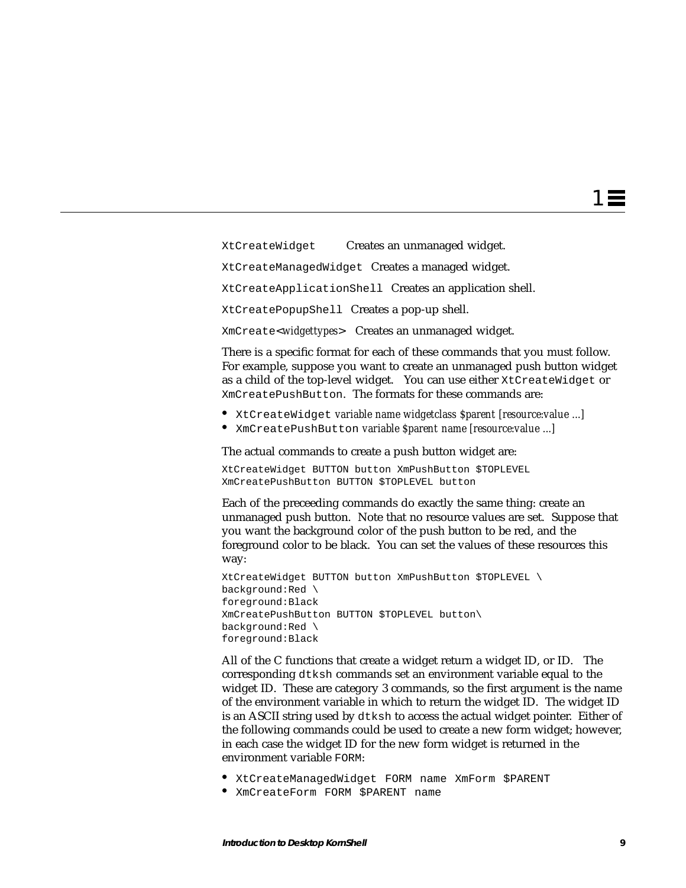XtCreateWidget Creates an unmanaged widget.

XtCreateManagedWidget Creates a managed widget.

XtCreateApplicationShell Creates an application shell.

XtCreatePopupShell Creates a pop-up shell.

XmCreate<*widgettypes*> Creates an unmanaged widget.

There is a specific format for each of these commands that you must follow. For example, suppose you want to create an unmanaged push button widget as a child of the top-level widget. You can use either XtCreateWidget or XmCreatePushButton. The formats for these commands are:

- **•** XtCreateWidget *variable name widgetclass \$parent [resource:value ...]*
- **•** XmCreatePushButton *variable \$parent name [resource:value ...]*

The actual commands to create a push button widget are:

XtCreateWidget BUTTON button XmPushButton \$TOPLEVEL XmCreatePushButton BUTTON \$TOPLEVEL button

Each of the preceeding commands do exactly the same thing: create an unmanaged push button. Note that no resource values are set. Suppose that you want the background color of the push button to be red, and the foreground color to be black. You can set the values of these resources this way:

XtCreateWidget BUTTON button XmPushButton \$TOPLEVEL \ background:Red \ foreground:Black XmCreatePushButton BUTTON \$TOPLEVEL button\ background:Red \ foreground:Black

All of the C functions that create a widget return a widget ID, or ID. The corresponding dtksh commands set an environment variable equal to the widget ID. These are category 3 commands, so the first argument is the name of the environment variable in which to return the widget ID. The widget ID is an ASCII string used by dtksh to access the actual widget pointer. Either of the following commands could be used to create a new form widget; however, in each case the widget ID for the new form widget is returned in the environment variable FORM:

- **•** XtCreateManagedWidget FORM name XmForm \$PARENT
- **•** XmCreateForm FORM \$PARENT name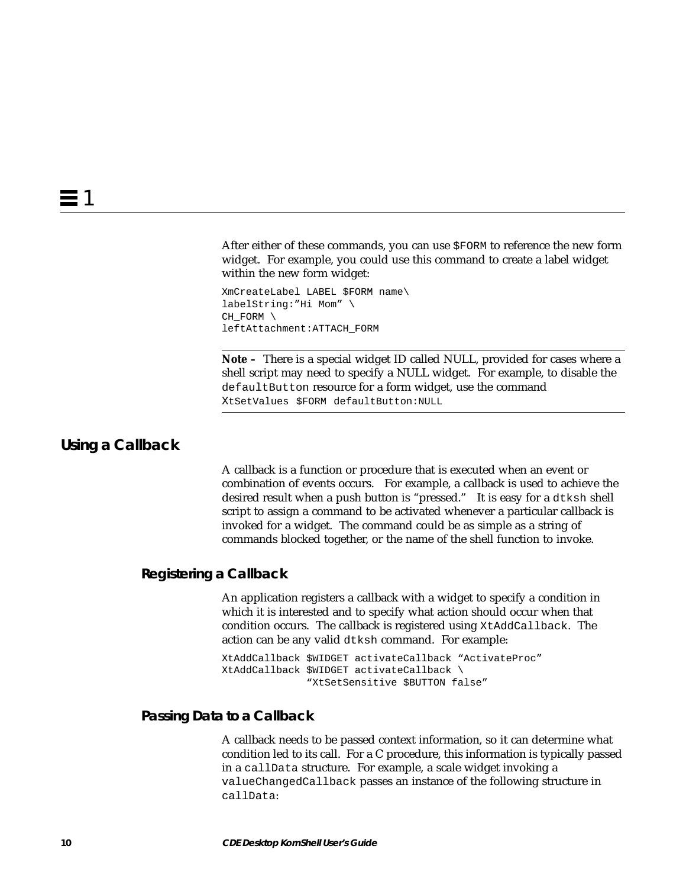After either of these commands, you can use \$FORM to reference the new form widget. For example, you could use this command to create a label widget within the new form widget:

XmCreateLabel LABEL \$FORM name\ labelString:"Hi Mom" \ CH\_FORM \ leftAttachment:ATTACH\_FORM

**Note –** There is a special widget ID called NULL, provided for cases where a shell script may need to specify a NULL widget. For example, to disable the defaultButton resource for a form widget, use the command XtSetValues \$FORM defaultButton:NULL

# **Using a Callback**

A callback is a function or procedure that is executed when an event or combination of events occurs. For example, a callback is used to achieve the desired result when a push button is "pressed." It is easy for a dtksh shell script to assign a command to be activated whenever a particular callback is invoked for a widget. The command could be as simple as a string of commands blocked together, or the name of the shell function to invoke.

#### **Registering a Callback**

An application registers a callback with a widget to specify a condition in which it is interested and to specify what action should occur when that condition occurs. The callback is registered using XtAddCallback. The action can be any valid dtksh command. For example:

XtAddCallback \$WIDGET activateCallback "ActivateProc" XtAddCallback \$WIDGET activateCallback \ "XtSetSensitive \$BUTTON false"

## **Passing Data to a Callback**

A callback needs to be passed context information, so it can determine what condition led to its call. For a C procedure, this information is typically passed in a callData structure. For example, a scale widget invoking a valueChangedCallback passes an instance of the following structure in callData: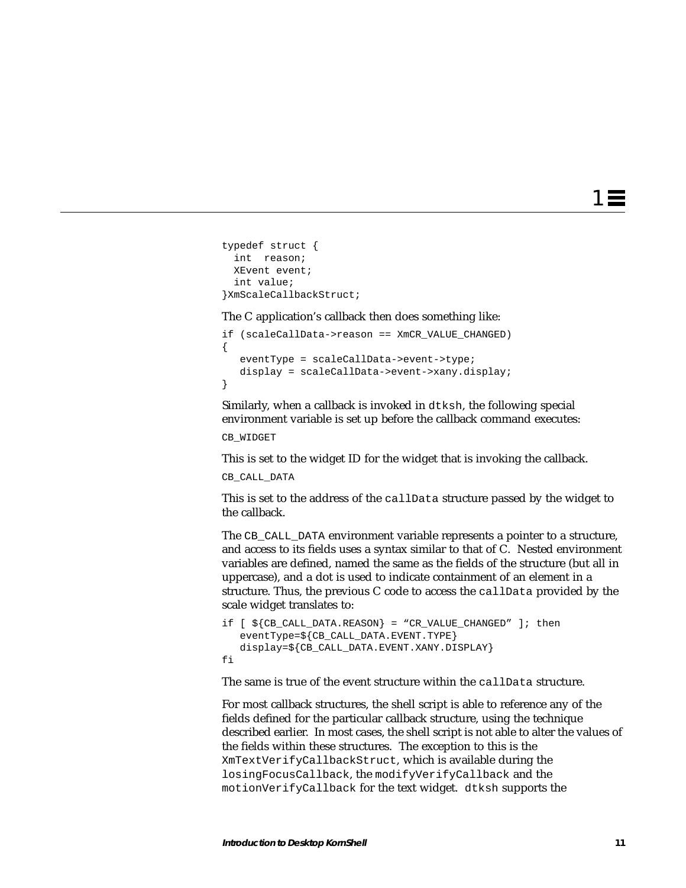1 ≡

```
typedef struct {
  int reason;
  XEvent event;
  int value;
}XmScaleCallbackStruct;
```
The C application's callback then does something like:

```
if (scaleCallData->reason == XmCR_VALUE_CHANGED)
{
    eventType = scaleCallData->event->type;
   display = scaleCallData->event->xany.display;
}
```
Similarly, when a callback is invoked in dtksh, the following special environment variable is set up before the callback command executes:

CB\_WIDGET

This is set to the widget ID for the widget that is invoking the callback.

```
CB_CALL_DATA
```
This is set to the address of the callData structure passed by the widget to the callback.

The CB CALL DATA environment variable represents a pointer to a structure, and access to its fields uses a syntax similar to that of C. Nested environment variables are defined, named the same as the fields of the structure (but all in uppercase), and a dot is used to indicate containment of an element in a structure. Thus, the previous C code to access the callData provided by the scale widget translates to:

```
if [ ${CB_CALL_DATA.REASON} = "CR_VALUE_CHANGED" ]; then
    eventType=${CB_CALL_DATA.EVENT.TYPE}
    display=${CB_CALL_DATA.EVENT.XANY.DISPLAY}
fi
```
The same is true of the event structure within the callData structure.

For most callback structures, the shell script is able to reference any of the fields defined for the particular callback structure, using the technique described earlier. In most cases, the shell script is not able to alter the values of the fields within these structures. The exception to this is the XmTextVerifyCallbackStruct, which is available during the losingFocusCallback, the modifyVerifyCallback and the motionVerifyCallback for the text widget. dtksh supports the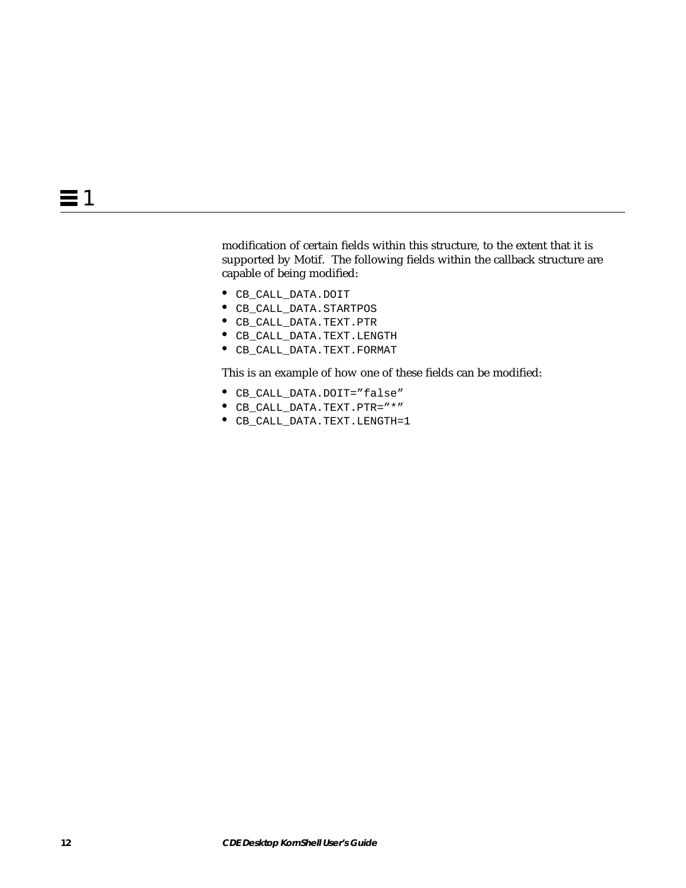modification of certain fields within this structure, to the extent that it is supported by Motif. The following fields within the callback structure are capable of being modified:

- **•** CB\_CALL\_DATA.DOIT
- **•** CB\_CALL\_DATA.STARTPOS
- **•** CB\_CALL\_DATA.TEXT.PTR
- **•** CB\_CALL\_DATA.TEXT.LENGTH
- **•** CB\_CALL\_DATA.TEXT.FORMAT

This is an example of how one of these fields can be modified:

- **•** CB\_CALL\_DATA.DOIT="false"
- **•** CB\_CALL\_DATA.TEXT.PTR="\*"
- **•** CB\_CALL\_DATA.TEXT.LENGTH=1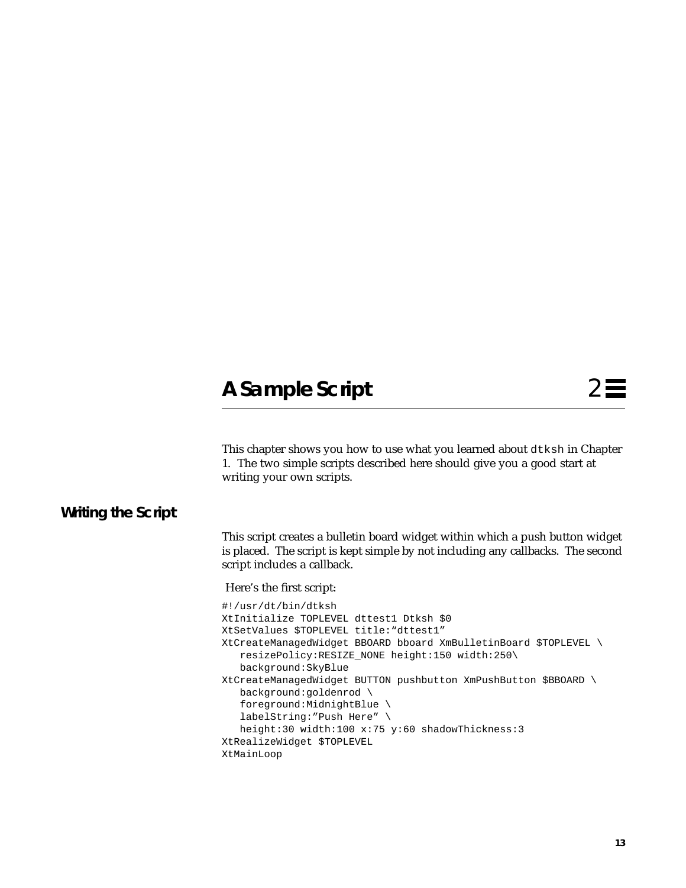# **A Sample Script**

This chapter shows you how to use what you learned about dtksh in Chapter 1. The two simple scripts described here should give you a good start at writing your own scripts.

# **Writing the Script**

This script creates a bulletin board widget within which a push button widget is placed. The script is kept simple by not including any callbacks. The second script includes a callback.

Here's the first script:

```
#!/usr/dt/bin/dtksh
XtInitialize TOPLEVEL dttest1 Dtksh $0
XtSetValues $TOPLEVEL title:"dttest1"
XtCreateManagedWidget BBOARD bboard XmBulletinBoard $TOPLEVEL \
    resizePolicy:RESIZE_NONE height:150 width:250\
   background:SkyBlue
XtCreateManagedWidget BUTTON pushbutton XmPushButton $BBOARD \
    background:goldenrod \
    foreground:MidnightBlue \
    labelString:"Push Here" \
   height:30 width:100 x:75 y:60 shadowThickness:3
XtRealizeWidget $TOPLEVEL
XtMainLoop
```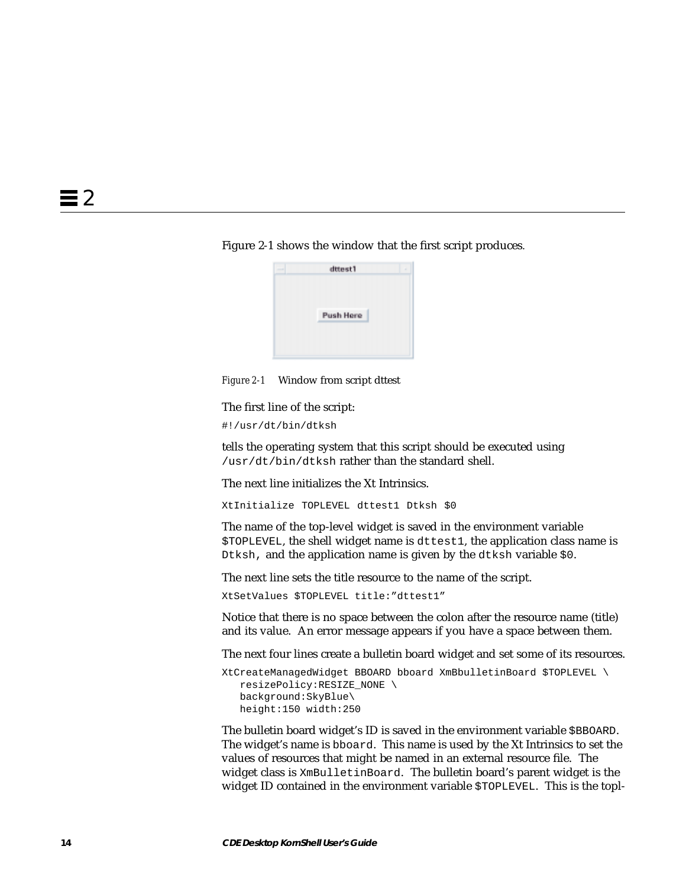#### Figure 2-1 shows the window that the first script produces.



*Figure 2-1* Window from script dttest

The first line of the script:

#!/usr/dt/bin/dtksh

tells the operating system that this script should be executed using /usr/dt/bin/dtksh rather than the standard shell.

The next line initializes the Xt Intrinsics.

XtInitialize TOPLEVEL dttest1 Dtksh \$0

The name of the top-level widget is saved in the environment variable \$TOPLEVEL, the shell widget name is dttest1, the application class name is Dtksh, and the application name is given by the dtksh variable \$0.

The next line sets the title resource to the name of the script.

XtSetValues \$TOPLEVEL title:"dttest1"

Notice that there is no space between the colon after the resource name (title) and its value. An error message appears if you have a space between them.

The next four lines create a bulletin board widget and set some of its resources.

```
XtCreateManagedWidget BBOARD bboard XmBbulletinBoard $TOPLEVEL \
    resizePolicy:RESIZE_NONE \
   background:SkyBlue\
   height:150 width:250
```
The bulletin board widget's ID is saved in the environment variable \$BBOARD. The widget's name is bboard. This name is used by the Xt Intrinsics to set the values of resources that might be named in an external resource file. The widget class is XmBulletinBoard. The bulletin board's parent widget is the widget ID contained in the environment variable \$TOPLEVEL. This is the topl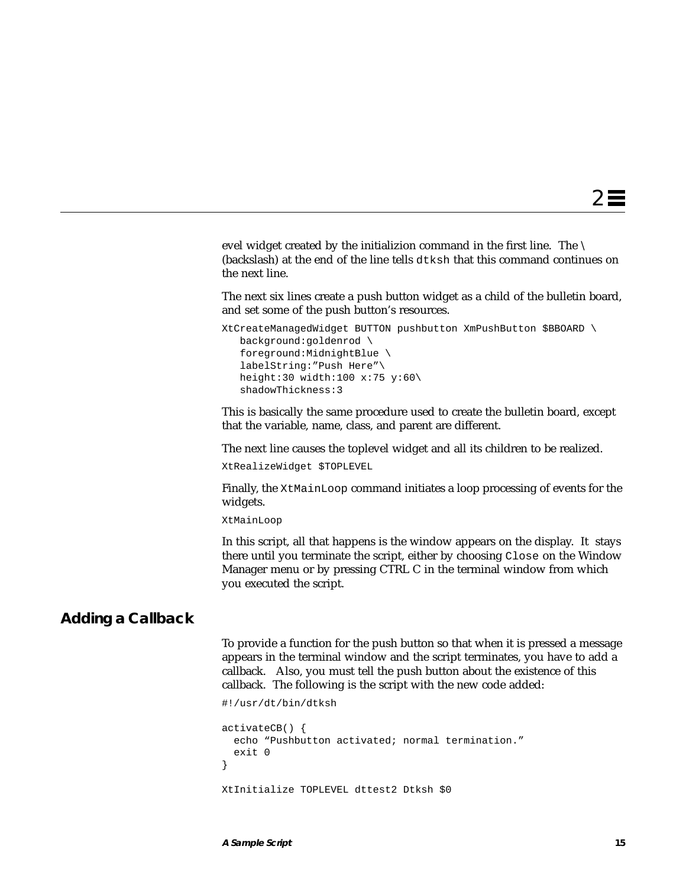evel widget created by the initializion command in the first line. The  $\setminus$ (backslash) at the end of the line tells dtksh that this command continues on the next line.

The next six lines create a push button widget as a child of the bulletin board, and set some of the push button's resources.

```
XtCreateManagedWidget BUTTON pushbutton XmPushButton $BBOARD \
   background:goldenrod \
    foreground:MidnightBlue \
    labelString:"Push Here"\
    height:30 width:100 x:75 y:60\
    shadowThickness:3
```
This is basically the same procedure used to create the bulletin board, except that the variable, name, class, and parent are different.

The next line causes the toplevel widget and all its children to be realized.

XtRealizeWidget \$TOPLEVEL

Finally, the XtMainLoop command initiates a loop processing of events for the widgets.

XtMainLoop

In this script, all that happens is the window appears on the display. It stays there until you terminate the script, either by choosing Close on the Window Manager menu or by pressing CTRL C in the terminal window from which you executed the script.

# **Adding a Callback**

To provide a function for the push button so that when it is pressed a message appears in the terminal window and the script terminates, you have to add a callback. Also, you must tell the push button about the existence of this callback. The following is the script with the new code added:

```
#!/usr/dt/bin/dtksh
activateCB() {
   echo "Pushbutton activated; normal termination."
   exit 0
}
XtInitialize TOPLEVEL dttest2 Dtksh $0
```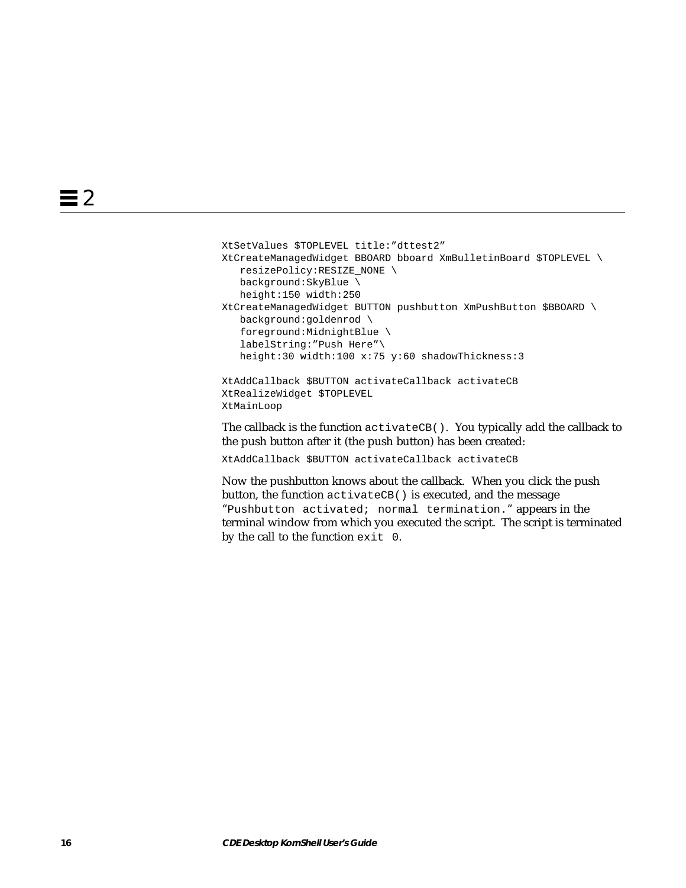```
XtSetValues $TOPLEVEL title:"dttest2"
XtCreateManagedWidget BBOARD bboard XmBulletinBoard $TOPLEVEL \
   resizePolicy:RESIZE_NONE \
   background:SkyBlue \
   height:150 width:250
XtCreateManagedWidget BUTTON pushbutton XmPushButton $BBOARD \
   background:goldenrod \
    foreground:MidnightBlue \
    labelString:"Push Here"\
   height:30 width:100 x:75 y:60 shadowThickness:3
XtAddCallback $BUTTON activateCallback activateCB
XtRealizeWidget $TOPLEVEL
```
XtMainLoop

The callback is the function activateCB(). You typically add the callback to the push button after it (the push button) has been created:

XtAddCallback \$BUTTON activateCallback activateCB

Now the pushbutton knows about the callback. When you click the push button, the function activateCB() is executed, and the message "Pushbutton activated; normal termination." appears in the terminal window from which you executed the script. The script is terminated by the call to the function exit 0.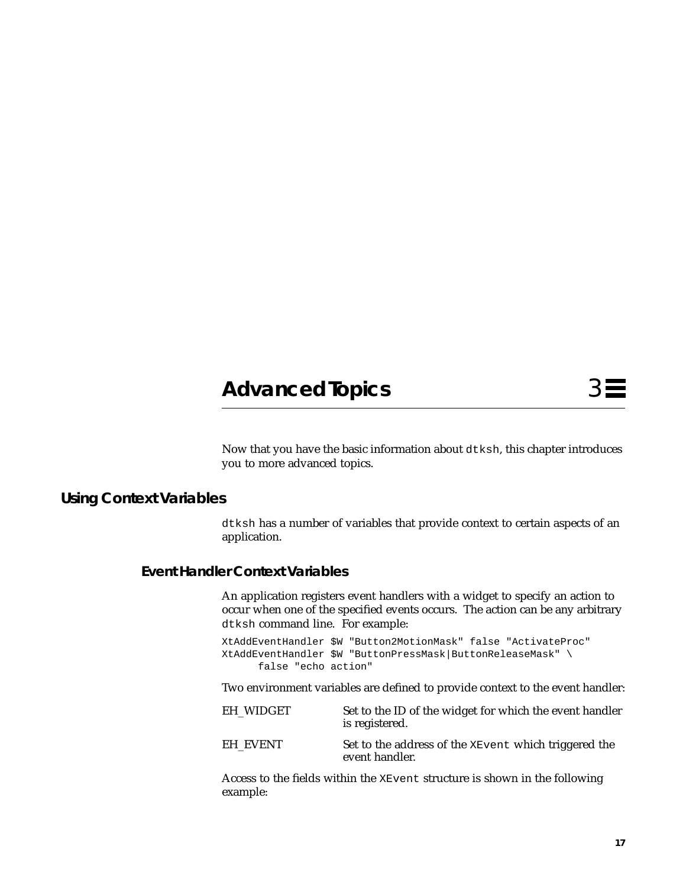# **Advanced Topics** 3

Now that you have the basic information about dtksh, this chapter introduces you to more advanced topics.

# **Using Context Variables**

dtksh has a number of variables that provide context to certain aspects of an application.

## **Event Handler Context Variables**

An application registers event handlers with a widget to specify an action to occur when one of the specified events occurs. The action can be any arbitrary dtksh command line. For example:

XtAddEventHandler \$W "Button2MotionMask" false "ActivateProc" XtAddEventHandler \$W "ButtonPressMask|ButtonReleaseMask" \ false "echo action"

Two environment variables are defined to provide context to the event handler:

| EH WIDGET | Set to the ID of the widget for which the event handler<br>is registered. |
|-----------|---------------------------------------------------------------------------|
| EH EVENT  | Set to the address of the XEvent which triggered the<br>event handler.    |

Access to the fields within the XEvent structure is shown in the following example: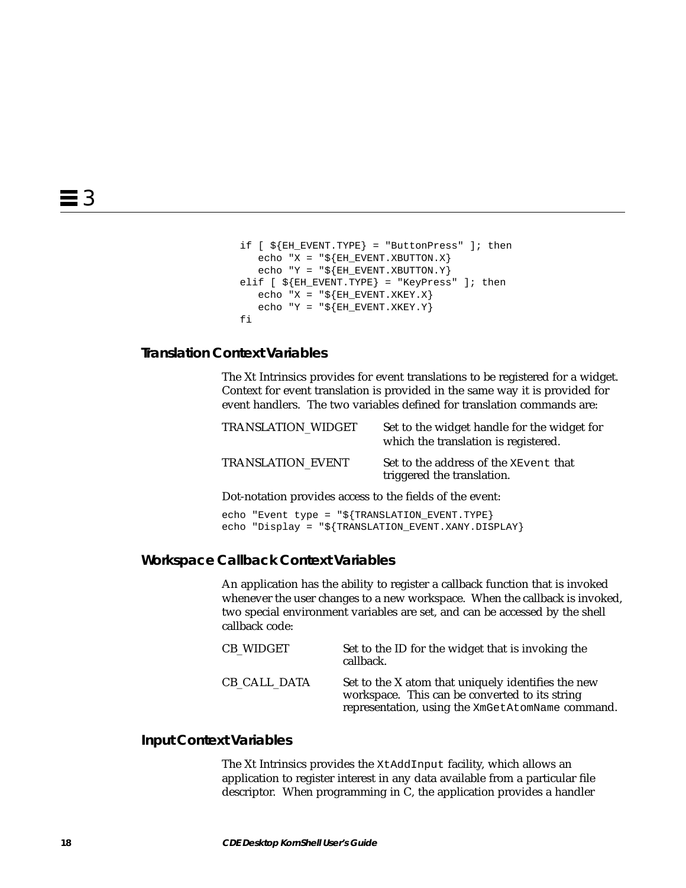```
if [ ${EH_EVENT.TYPE} = "ButtonPress" ]; then
   echo "X = "\frac{1}{2}[EH_EVENT.XBUTTON.X]
   echo "Y = "\frac{1}{2}[EH_EVENT.XBUTTON.Y]
elif [ ${EH\_EVENT}.TYPE} = "KeyPress" ]; then
   echo "X = "\frac{1}{2}[EH_EVENT.XKEY.X]
   echo "Y = "\frac{1}{2}[EH_EVENT.XKEY.Y]
 fi
```
# **Translation Context Variables**

The Xt Intrinsics provides for event translations to be registered for a widget. Context for event translation is provided in the same way it is provided for event handlers. The two variables defined for translation commands are:

| <b>TRANSLATION WIDGET</b> | Set to the widget handle for the widget for<br>which the translation is registered. |
|---------------------------|-------------------------------------------------------------------------------------|
| <b>TRANSLATION EVENT</b>  | Set to the address of the XEvent that<br>triggered the translation.                 |

Dot-notation provides access to the fields of the event:

echo "Event type = "\${TRANSLATION\_EVENT.TYPE} echo "Display = "\${TRANSLATION\_EVENT.XANY.DISPLAY}

#### **Workspace Callback Context Variables**

An application has the ability to register a callback function that is invoked whenever the user changes to a new workspace. When the callback is invoked, two special environment variables are set, and can be accessed by the shell callback code:

| CB WIDGET    | Set to the ID for the widget that is invoking the<br>callback.                                                                                           |
|--------------|----------------------------------------------------------------------------------------------------------------------------------------------------------|
| CB CALL DATA | Set to the X atom that uniquely identifies the new<br>workspace. This can be converted to its string<br>representation, using the XmGetAtomName command. |

#### **Input Context Variables**

The Xt Intrinsics provides the XtAddInput facility, which allows an application to register interest in any data available from a particular file descriptor. When programming in C, the application provides a handler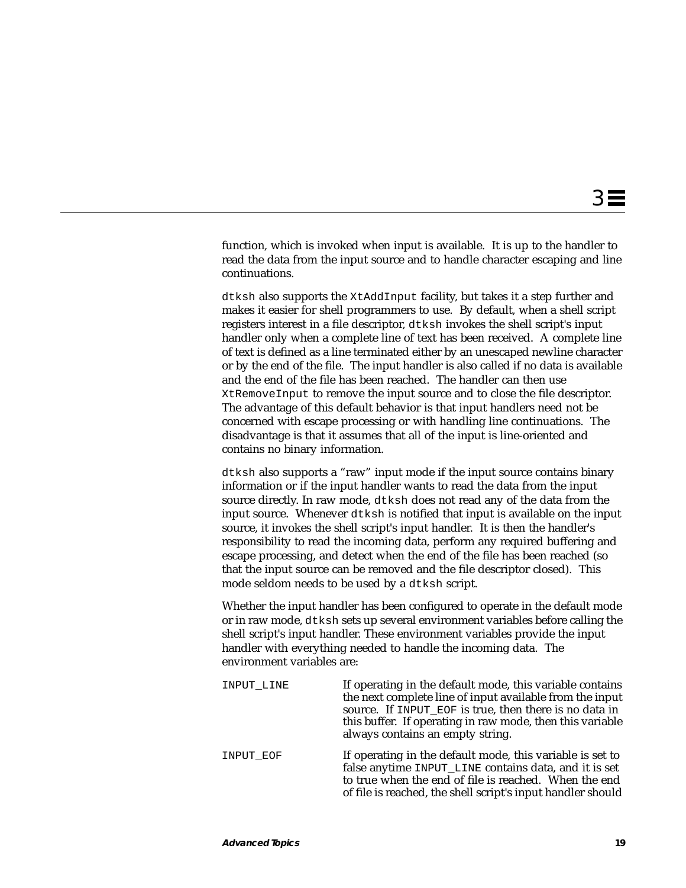function, which is invoked when input is available. It is up to the handler to read the data from the input source and to handle character escaping and line continuations.

dtksh also supports the XtAddInput facility, but takes it a step further and makes it easier for shell programmers to use. By default, when a shell script registers interest in a file descriptor, dtksh invokes the shell script's input handler only when a complete line of text has been received. A complete line of text is defined as a line terminated either by an unescaped newline character or by the end of the file. The input handler is also called if no data is available and the end of the file has been reached. The handler can then use XtRemoveInput to remove the input source and to close the file descriptor. The advantage of this default behavior is that input handlers need not be concerned with escape processing or with handling line continuations. The disadvantage is that it assumes that all of the input is line-oriented and contains no binary information.

dtksh also supports a "raw" input mode if the input source contains binary information or if the input handler wants to read the data from the input source directly. In raw mode, dtksh does not read any of the data from the input source. Whenever dtksh is notified that input is available on the input source, it invokes the shell script's input handler. It is then the handler's responsibility to read the incoming data, perform any required buffering and escape processing, and detect when the end of the file has been reached (so that the input source can be removed and the file descriptor closed). This mode seldom needs to be used by a dtksh script.

Whether the input handler has been configured to operate in the default mode or in raw mode, dtksh sets up several environment variables before calling the shell script's input handler. These environment variables provide the input handler with everything needed to handle the incoming data. The environment variables are:

| INPUT LINE | If operating in the default mode, this variable contains<br>the next complete line of input available from the input<br>source. If INPUT EOF is true, then there is no data in<br>this buffer. If operating in raw mode, then this variable<br>always contains an empty string. |
|------------|---------------------------------------------------------------------------------------------------------------------------------------------------------------------------------------------------------------------------------------------------------------------------------|
| INPUT EOF  | If operating in the default mode, this variable is set to<br>false anytime INPUT_LINE contains data, and it is set<br>to true when the end of file is reached. When the end<br>of file is reached, the shell script's input handler should                                      |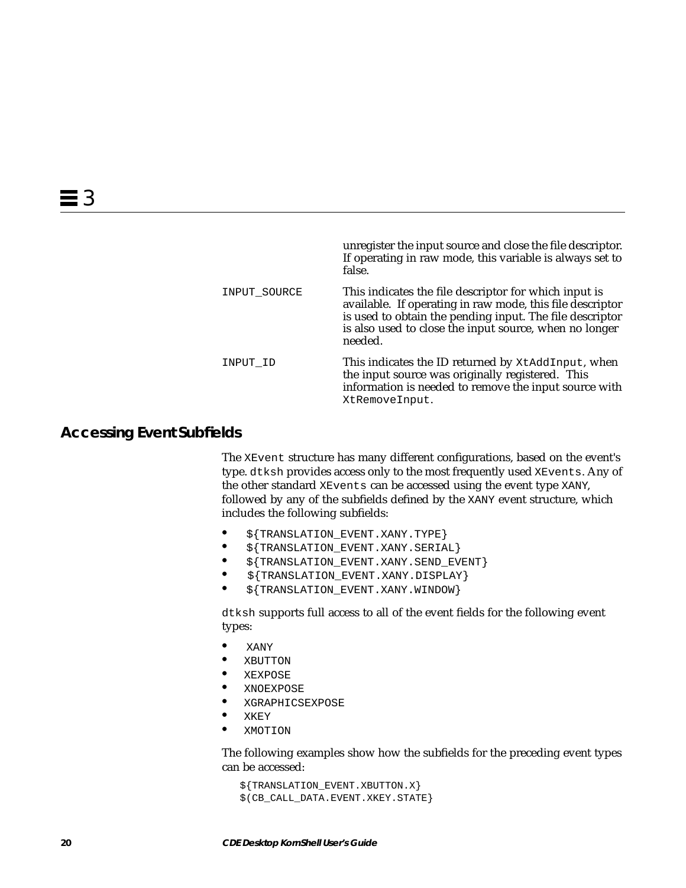|              | unregister the input source and close the file descriptor.<br>If operating in raw mode, this variable is always set to<br>false.                                                                                                                    |
|--------------|-----------------------------------------------------------------------------------------------------------------------------------------------------------------------------------------------------------------------------------------------------|
| INPUT SOURCE | This indicates the file descriptor for which input is<br>available. If operating in raw mode, this file descriptor<br>is used to obtain the pending input. The file descriptor<br>is also used to close the input source, when no longer<br>needed. |
| INPUT ID     | This indicates the ID returned by XtAddInput, when<br>the input source was originally registered. This<br>information is needed to remove the input source with<br>XtRemoveInput.                                                                   |

# **Accessing Event Subfields**

The XEvent structure has many different configurations, based on the event's type. dtksh provides access only to the most frequently used XEvents. Any of the other standard XEvents can be accessed using the event type XANY, followed by any of the subfields defined by the XANY event structure, which includes the following subfields:

- **•** \${TRANSLATION\_EVENT.XANY.TYPE}
- **•** \${TRANSLATION\_EVENT.XANY.SERIAL}
- **•** \${TRANSLATION\_EVENT.XANY.SEND\_EVENT}
- **•** \${TRANSLATION\_EVENT.XANY.DISPLAY}
- **•** \${TRANSLATION\_EVENT.XANY.WINDOW}

dtksh supports full access to all of the event fields for the following event types:

- **•** XANY
- **•** XBUTTON
- **•** XEXPOSE
- **•** XNOEXPOSE
- **•** XGRAPHICSEXPOSE
- **•** XKEY
- **•** XMOTION

The following examples show how the subfields for the preceding event types can be accessed:

 \${TRANSLATION\_EVENT.XBUTTON.X} \$(CB\_CALL\_DATA.EVENT.XKEY.STATE}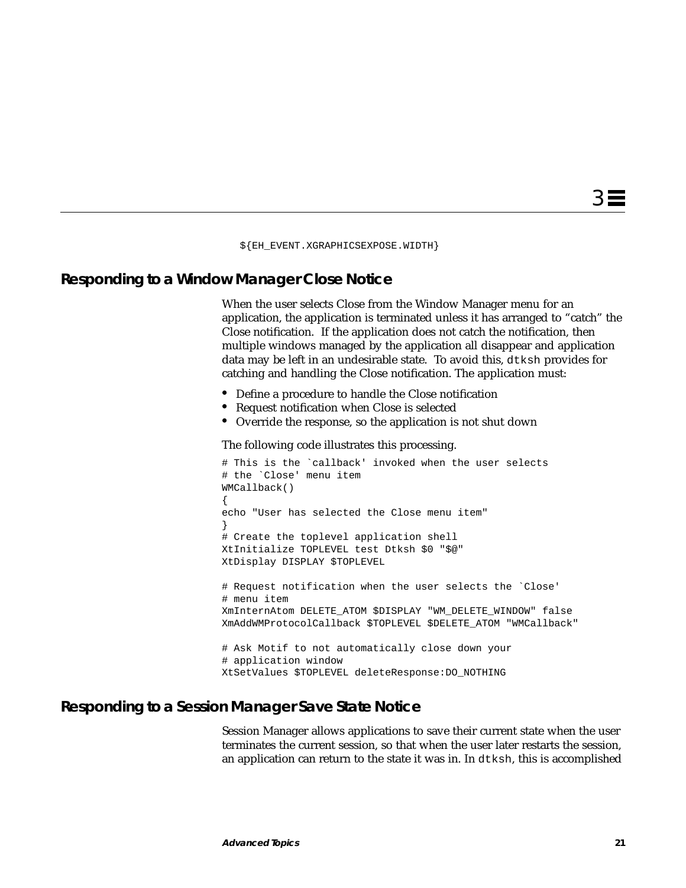\${EH\_EVENT.XGRAPHICSEXPOSE.WIDTH}

# **Responding to a Window Manager Close Notice**

When the user selects Close from the Window Manager menu for an application, the application is terminated unless it has arranged to "catch" the Close notification. If the application does not catch the notification, then multiple windows managed by the application all disappear and application data may be left in an undesirable state. To avoid this, dtksh provides for catching and handling the Close notification. The application must:

- **•** Define a procedure to handle the Close notification
- **•** Request notification when Close is selected
- **•** Override the response, so the application is not shut down

The following code illustrates this processing.

```
# This is the `callback' invoked when the user selects
# the `Close' menu item
WMCallback()
{
echo "User has selected the Close menu item"
}
# Create the toplevel application shell
XtInitialize TOPLEVEL test Dtksh $0 "$@"
XtDisplay DISPLAY $TOPLEVEL
# Request notification when the user selects the `Close'
# menu item
XmInternAtom DELETE_ATOM $DISPLAY "WM_DELETE_WINDOW" false
XmAddWMProtocolCallback $TOPLEVEL $DELETE_ATOM "WMCallback"
# Ask Motif to not automatically close down your
# application window
```
XtSetValues \$TOPLEVEL deleteResponse:DO\_NOTHING

### **Responding to a Session Manager Save State Notice**

Session Manager allows applications to save their current state when the user terminates the current session, so that when the user later restarts the session, an application can return to the state it was in. In dtksh, this is accomplished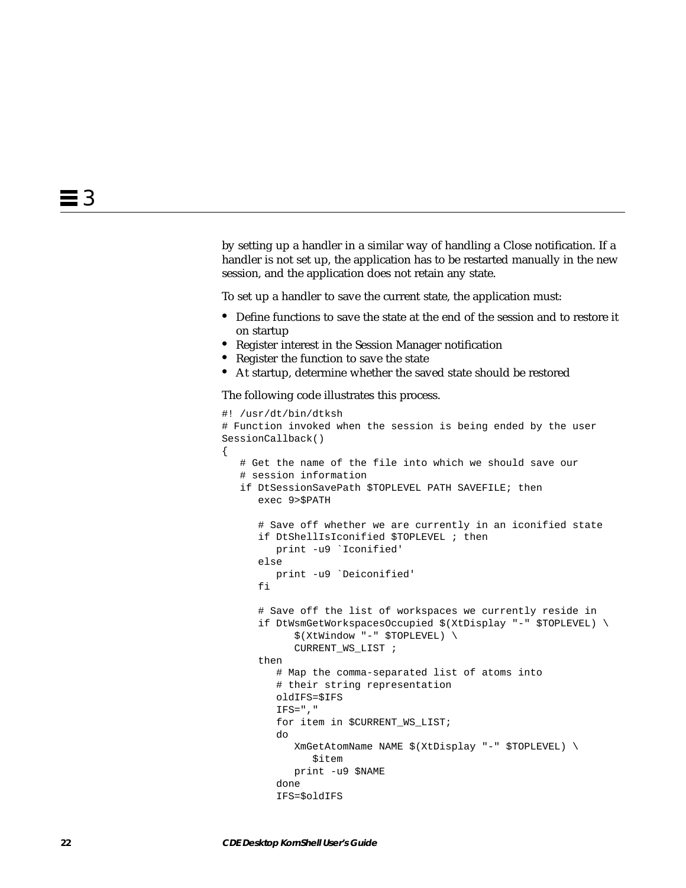by setting up a handler in a similar way of handling a Close notification. If a handler is not set up, the application has to be restarted manually in the new session, and the application does not retain any state.

To set up a handler to save the current state, the application must:

- **•** Define functions to save the state at the end of the session and to restore it on startup
- **•** Register interest in the Session Manager notification
- **•** Register the function to save the state
- **•** At startup, determine whether the saved state should be restored

The following code illustrates this process.

{

```
#! /usr/dt/bin/dtksh
# Function invoked when the session is being ended by the user
SessionCallback()
    # Get the name of the file into which we should save our
    # session information
   if DtSessionSavePath $TOPLEVEL PATH SAVEFILE; then
      exec 9>$PATH
       # Save off whether we are currently in an iconified state
       if DtShellIsIconified $TOPLEVEL ; then
          print -u9 `Iconified'
       else
          print -u9 `Deiconified'
       fi
       # Save off the list of workspaces we currently reside in
       if DtWsmGetWorkspacesOccupied $(XtDisplay "-" $TOPLEVEL) \
             $(XtWindow "-" $TOPLEVEL) \
             CURRENT_WS_LIST ;
       then
          # Map the comma-separated list of atoms into
          # their string representation
          oldIFS=$IFS
         IFS=", "
          for item in $CURRENT_WS_LIST;
          do
             XmGetAtomName NAME $(XtDisplay "-" $TOPLEVEL) \
                $item
             print -u9 $NAME
          done
          IFS=$oldIFS
```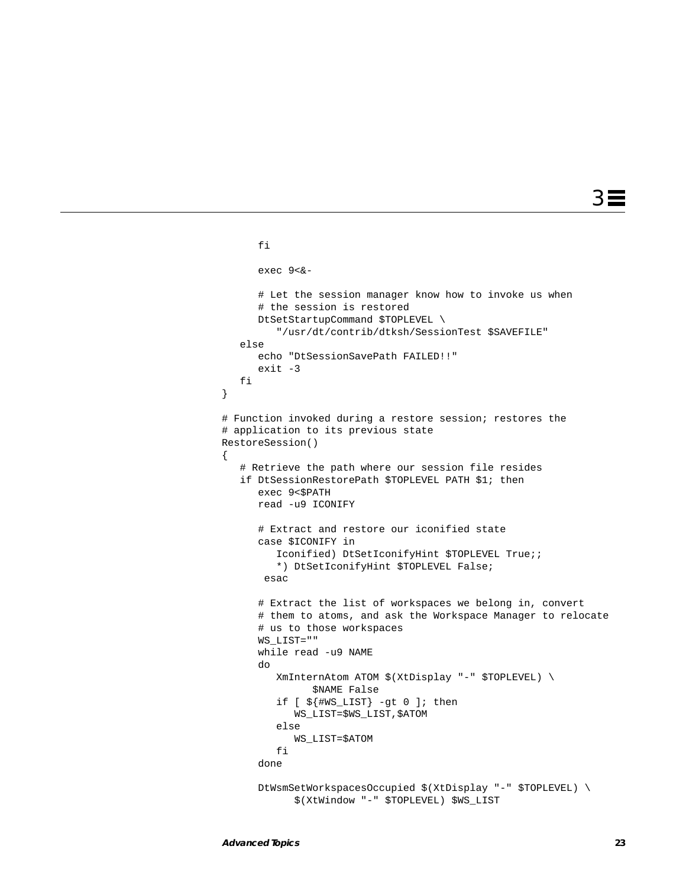```
 fi
       exec 9<&-
       # Let the session manager know how to invoke us when
       # the session is restored
       DtSetStartupCommand $TOPLEVEL \
          "/usr/dt/contrib/dtksh/SessionTest $SAVEFILE"
    else
       echo "DtSessionSavePath FAILED!!"
       exit -3
    fi
# Function invoked during a restore session; restores the
# application to its previous state
RestoreSession()
    # Retrieve the path where our session file resides
    if DtSessionRestorePath $TOPLEVEL PATH $1; then
       exec 9<$PATH
       read -u9 ICONIFY
       # Extract and restore our iconified state
       case $ICONIFY in
         Iconified) DtSetIconifyHint $TOPLEVEL True;;
          *) DtSetIconifyHint $TOPLEVEL False;
        esac
       # Extract the list of workspaces we belong in, convert
       # them to atoms, and ask the Workspace Manager to relocate
       # us to those workspaces
       WS_LIST=""
       while read -u9 NAME
       do
          XmInternAtom ATOM $(XtDisplay "-" $TOPLEVEL) \
                $NAME False
          if [ ${#WS_LIST} -gt 0 ]; then
             WS_LIST=$WS_LIST,$ATOM
          else
             WS_LIST=$ATOM
          fi
       done
       DtWsmSetWorkspacesOccupied $(XtDisplay "-" $TOPLEVEL) \
             $(XtWindow "-" $TOPLEVEL) $WS_LIST
```
}

{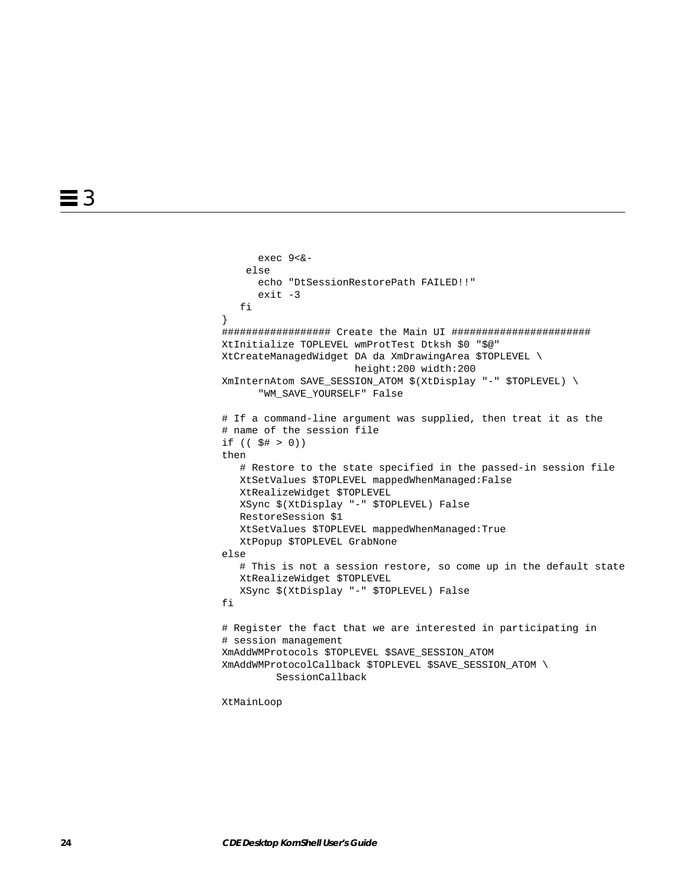```
 exec 9<&-
     else
       echo "DtSessionRestorePath FAILED!!"
       exit -3
    fi
}
################## Create the Main UI #######################
XtInitialize TOPLEVEL wmProtTest Dtksh $0 "$@"
XtCreateManagedWidget DA da XmDrawingArea $TOPLEVEL \
                       height:200 width:200
XmInternAtom SAVE_SESSION_ATOM $(XtDisplay "-" $TOPLEVEL) \
       "WM_SAVE_YOURSELF" False
# If a command-line argument was supplied, then treat it as the
# name of the session file
if (( $# > 0))
then
    # Restore to the state specified in the passed-in session file
    XtSetValues $TOPLEVEL mappedWhenManaged:False
    XtRealizeWidget $TOPLEVEL
    XSync $(XtDisplay "-" $TOPLEVEL) False
    RestoreSession $1
    XtSetValues $TOPLEVEL mappedWhenManaged:True
    XtPopup $TOPLEVEL GrabNone
else
    # This is not a session restore, so come up in the default state
    XtRealizeWidget $TOPLEVEL
    XSync $(XtDisplay "-" $TOPLEVEL) False
fi
# Register the fact that we are interested in participating in
# session management
XmAddWMProtocols $TOPLEVEL $SAVE_SESSION_ATOM
XmAddWMProtocolCallback $TOPLEVEL $SAVE_SESSION_ATOM \
          SessionCallback
```
XtMainLoop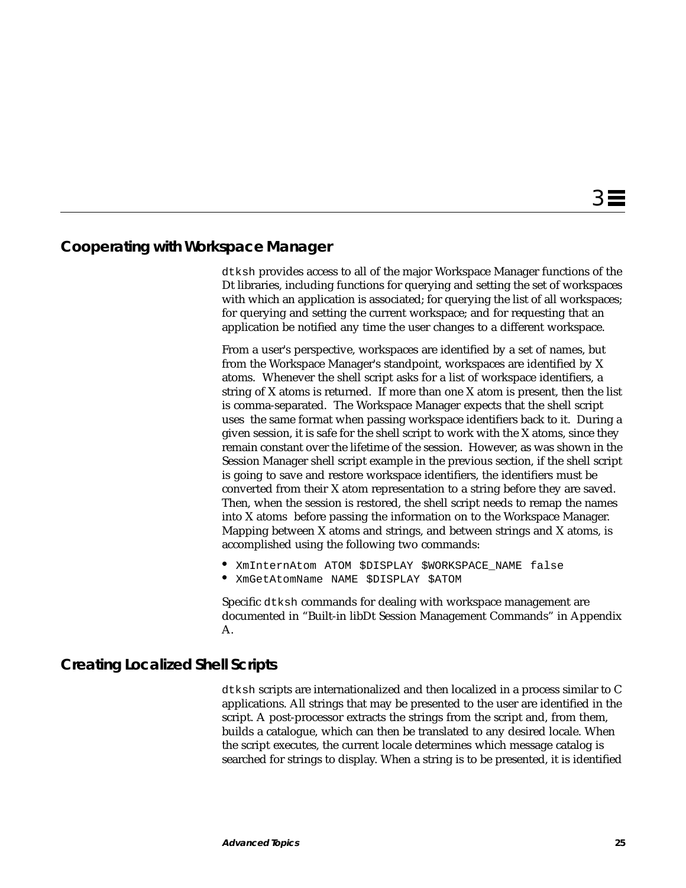### **Cooperating with Workspace Manager**

dtksh provides access to all of the major Workspace Manager functions of the Dt libraries, including functions for querying and setting the set of workspaces with which an application is associated; for querying the list of all workspaces; for querying and setting the current workspace; and for requesting that an application be notified any time the user changes to a different workspace.

From a user's perspective, workspaces are identified by a set of names, but from the Workspace Manager's standpoint, workspaces are identified by X atoms. Whenever the shell script asks for a list of workspace identifiers, a string of X atoms is returned. If more than one X atom is present, then the list is comma-separated. The Workspace Manager expects that the shell script uses the same format when passing workspace identifiers back to it. During a given session, it is safe for the shell script to work with the X atoms, since they remain constant over the lifetime of the session. However, as was shown in the Session Manager shell script example in the previous section, if the shell script is going to save and restore workspace identifiers, the identifiers must be converted from their X atom representation to a string before they are saved. Then, when the session is restored, the shell script needs to remap the names into X atoms before passing the information on to the Workspace Manager. Mapping between X atoms and strings, and between strings and X atoms, is accomplished using the following two commands:

- **•** XmInternAtom ATOM \$DISPLAY \$WORKSPACE\_NAME false
- **•** XmGetAtomName NAME \$DISPLAY \$ATOM

Specific dtksh commands for dealing with workspace management are documented in "Built-in libDt Session Management Commands" in Appendix A.

## **Creating Localized Shell Scripts**

dtksh scripts are internationalized and then localized in a process similar to C applications. All strings that may be presented to the user are identified in the script. A post-processor extracts the strings from the script and, from them, builds a catalogue, which can then be translated to any desired locale. When the script executes, the current locale determines which message catalog is searched for strings to display. When a string is to be presented, it is identified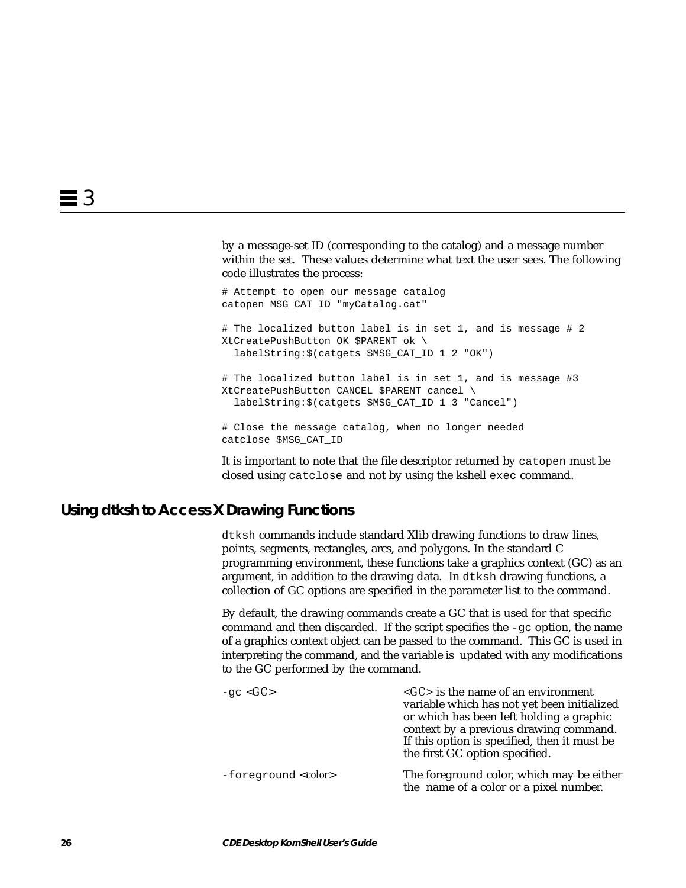by a message-set ID (corresponding to the catalog) and a message number within the set. These values determine what text the user sees. The following code illustrates the process:

# Attempt to open our message catalog catopen MSG\_CAT\_ID "myCatalog.cat" # The localized button label is in set 1, and is message # 2 XtCreatePushButton OK \$PARENT ok \ labelString:\$(catgets \$MSG\_CAT\_ID 1 2 "OK") # The localized button label is in set 1, and is message #3 XtCreatePushButton CANCEL \$PARENT cancel \ labelString:\$(catgets \$MSG\_CAT\_ID 1 3 "Cancel") # Close the message catalog, when no longer needed catclose \$MSG\_CAT\_ID

It is important to note that the file descriptor returned by catopen must be closed using catclose and not by using the kshell exec command.

## **Using dtksh to Access X Drawing Functions**

dtksh commands include standard Xlib drawing functions to draw lines, points, segments, rectangles, arcs, and polygons. In the standard C programming environment, these functions take a graphics context (GC) as an argument, in addition to the drawing data. In dtksh drawing functions, a collection of GC options are specified in the parameter list to the command.

By default, the drawing commands create a GC that is used for that specific command and then discarded. If the script specifies the  $-\alpha c$  option, the name of a graphics context object can be passed to the command. This GC is used in interpreting the command, and the variable is updated with any modifications to the GC performed by the command.

| -gc $\langle GC \rangle$    | $\langle G C \rangle$ is the name of an environment<br>variable which has not yet been initialized<br>or which has been left holding a graphic<br>context by a previous drawing command.<br>If this option is specified, then it must be<br>the first GC option specified. |
|-----------------------------|----------------------------------------------------------------------------------------------------------------------------------------------------------------------------------------------------------------------------------------------------------------------------|
| -foreground <color></color> | The foreground color, which may be either<br>the name of a color or a pixel number.                                                                                                                                                                                        |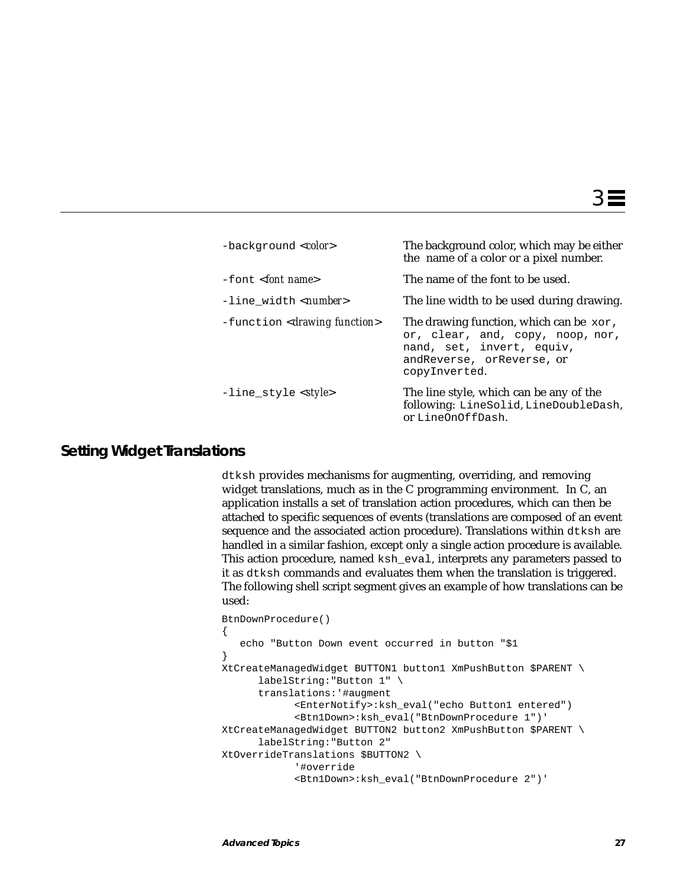| $-backqround color)$                      | The background color, which may be either<br>the name of a color or a pixel number.                                                                      |
|-------------------------------------------|----------------------------------------------------------------------------------------------------------------------------------------------------------|
| $-font <$ font name>                      | The name of the font to be used.                                                                                                                         |
| -line_width <number></number>             | The line width to be used during drawing.                                                                                                                |
| -function <drawing function=""></drawing> | The drawing function, which can be xor,<br>or, clear, and, copy, noop, nor,<br>nand, set, invert, equiv,<br>and Reverse, or Reverse, or<br>copyInverted. |
| -line_style <style></style>               |                                                                                                                                                          |

# **Setting Widget Translations**

dtksh provides mechanisms for augmenting, overriding, and removing widget translations, much as in the C programming environment. In C, an application installs a set of translation action procedures, which can then be attached to specific sequences of events (translations are composed of an event sequence and the associated action procedure). Translations within dtksh are handled in a similar fashion, except only a single action procedure is available. This action procedure, named ksh\_eval, interprets any parameters passed to it as dtksh commands and evaluates them when the translation is triggered. The following shell script segment gives an example of how translations can be used:

```
BtnDownProcedure()
\{ echo "Button Down event occurred in button "$1
}
XtCreateManagedWidget BUTTON1 button1 XmPushButton $PARENT \
       labelString:"Button 1" \
       translations:'#augment
             <EnterNotify>:ksh_eval("echo Button1 entered")
             <Btn1Down>:ksh_eval("BtnDownProcedure 1")'
XtCreateManagedWidget BUTTON2 button2 XmPushButton $PARENT \
       labelString:"Button 2"
XtOverrideTranslations $BUTTON2 \
             '#override
             <Btn1Down>:ksh_eval("BtnDownProcedure 2")'
```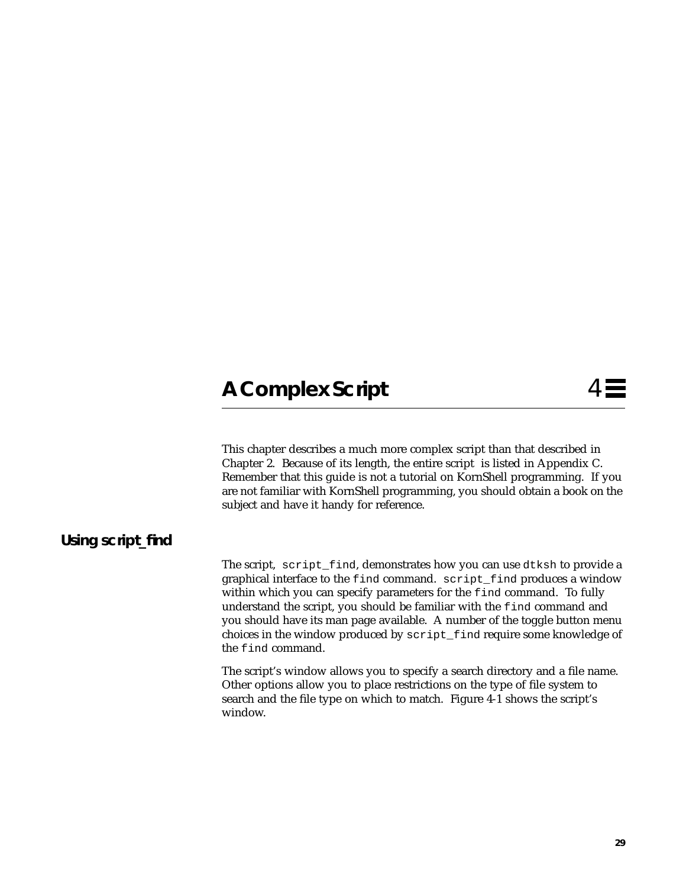# A Complex Script 4

This chapter describes a much more complex script than that described in Chapter 2. Because of its length, the entire script is listed in Appendix C. Remember that this guide is not a tutorial on KornShell programming. If you are not familiar with KornShell programming, you should obtain a book on the subject and have it handy for reference.

# **Using script\_find**

The script, script\_find, demonstrates how you can use dtksh to provide a graphical interface to the find command. script\_find produces a window within which you can specify parameters for the find command. To fully understand the script, you should be familiar with the find command and you should have its man page available. A number of the toggle button menu choices in the window produced by script\_find require some knowledge of the find command.

The script's window allows you to specify a search directory and a file name. Other options allow you to place restrictions on the type of file system to search and the file type on which to match. Figure 4-1 shows the script's window.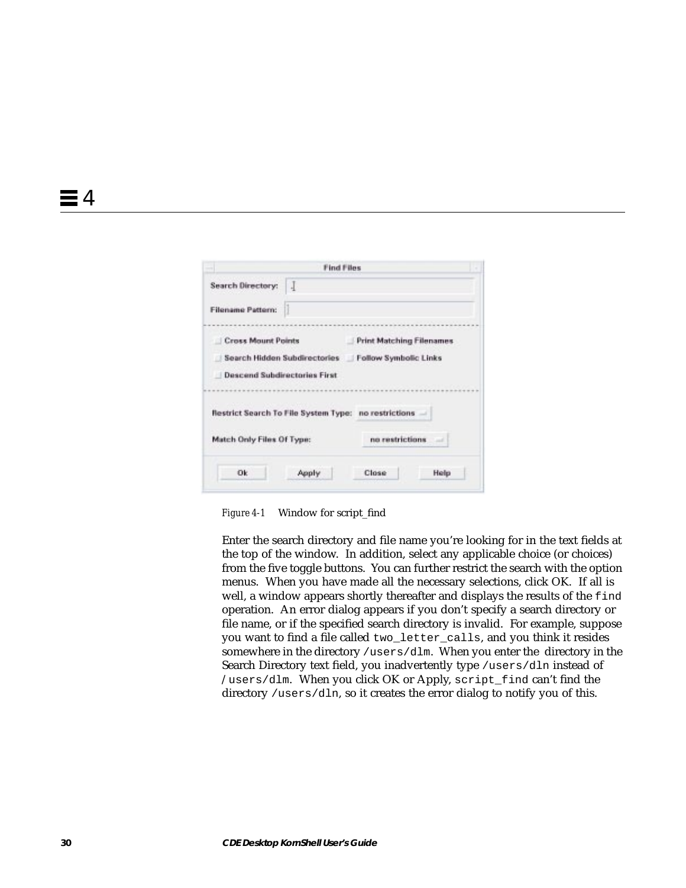|                                                      | <b>Find Files</b> |                                                    |  |
|------------------------------------------------------|-------------------|----------------------------------------------------|--|
| Search Directory:                                    |                   |                                                    |  |
| <b>Filensme Pattern:</b>                             |                   |                                                    |  |
| <b>Cross Mount Points</b>                            |                   | <b>Print Matching Filenames</b>                    |  |
|                                                      |                   | Search Hidden Subdirectories Follow Symbolic Links |  |
| <b>Descend Subdirectories First</b>                  |                   |                                                    |  |
|                                                      |                   |                                                    |  |
|                                                      |                   |                                                    |  |
| Restrict Search To File System Type: no restrictions |                   |                                                    |  |
| Match Only Files Of Type:                            |                   | no restrictions.                                   |  |

*Figure 4-1* Window for script\_find

Enter the search directory and file name you're looking for in the text fields at the top of the window. In addition, select any applicable choice (or choices) from the five toggle buttons. You can further restrict the search with the option menus. When you have made all the necessary selections, click OK. If all is well, a window appears shortly thereafter and displays the results of the find operation. An error dialog appears if you don't specify a search directory or file name, or if the specified search directory is invalid. For example, suppose you want to find a file called two\_letter\_calls, and you think it resides somewhere in the directory /users/dlm. When you enter the directory in the Search Directory text field, you inadvertently type /users/dln instead of /users/dlm. When you click OK or Apply, script\_find can't find the directory /users/dln, so it creates the error dialog to notify you of this.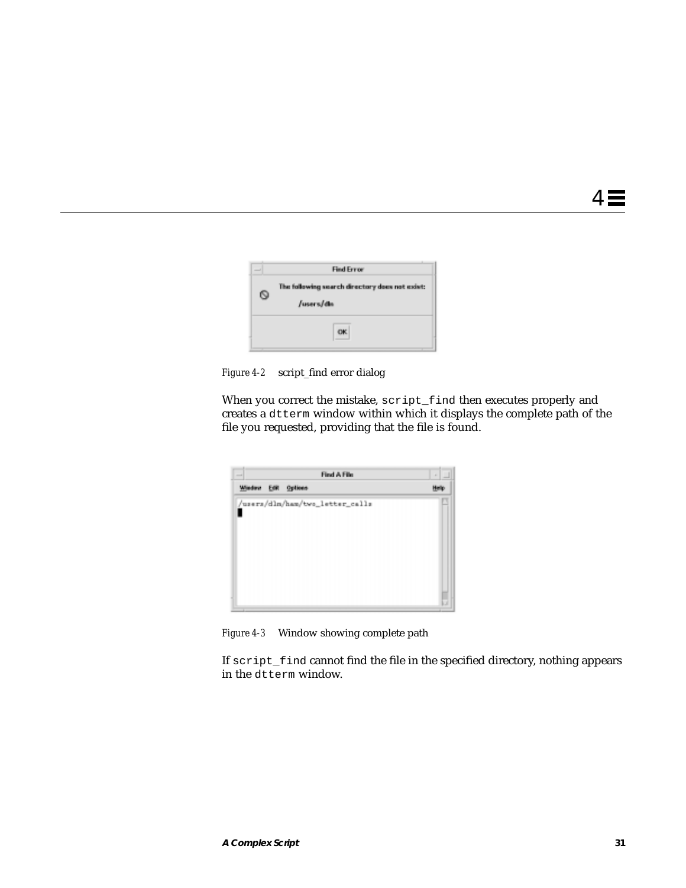

*Figure 4-2* script\_find error dialog

When you correct the mistake, script\_find then executes properly and creates a dtterm window within which it displays the complete path of the file you requested, providing that the file is found.



*Figure 4-3* Window showing complete path

If script\_find cannot find the file in the specified directory, nothing appears in the dtterm window.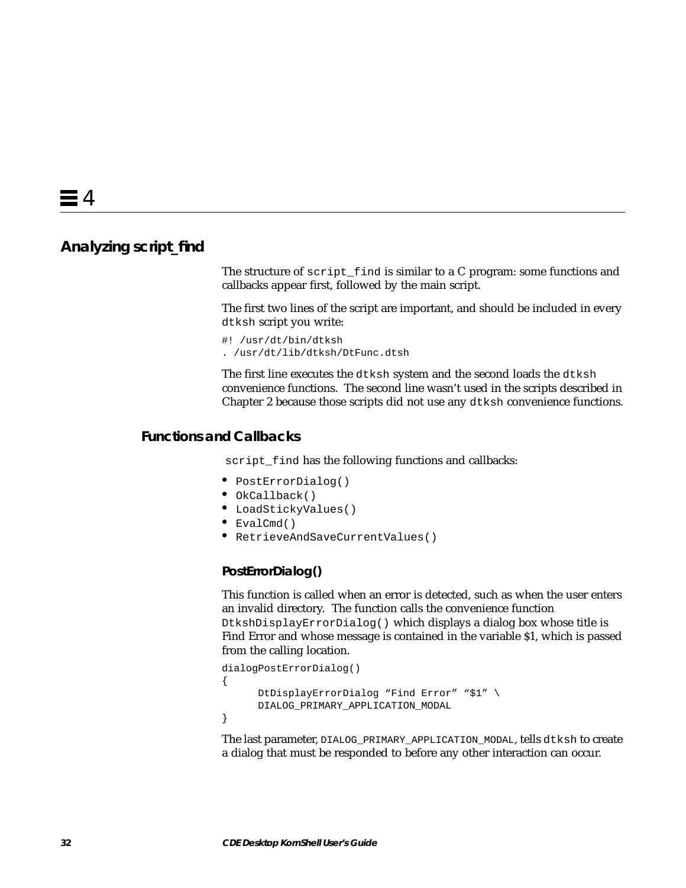### **Analyzing script\_find**

The structure of script\_find is similar to a C program: some functions and callbacks appear first, followed by the main script.

The first two lines of the script are important, and should be included in every dtksh script you write:

#! /usr/dt/bin/dtksh . /usr/dt/lib/dtksh/DtFunc.dtsh

The first line executes the dtksh system and the second loads the dtksh convenience functions. The second line wasn't used in the scripts described in Chapter 2 because those scripts did not use any dtksh convenience functions.

#### **Functions and Callbacks**

script\_find has the following functions and callbacks:

- **•** PostErrorDialog()
- **•** OkCallback()
- **•** LoadStickyValues()
- **•** EvalCmd()
- **•** RetrieveAndSaveCurrentValues()

#### **PostErrorDialog()**

This function is called when an error is detected, such as when the user enters an invalid directory. The function calls the convenience function

DtkshDisplayErrorDialog() which displays a dialog box whose title is Find Error and whose message is contained in the variable \$1, which is passed from the calling location.

```
dialogPostErrorDialog()
{
      DtDisplayErrorDialog "Find Error" "$1" \
      DIALOG_PRIMARY_APPLICATION_MODAL
}
```
The last parameter, DIALOG\_PRIMARY\_APPLICATION\_MODAL, tells dtksh to create a dialog that must be responded to before any other interaction can occur.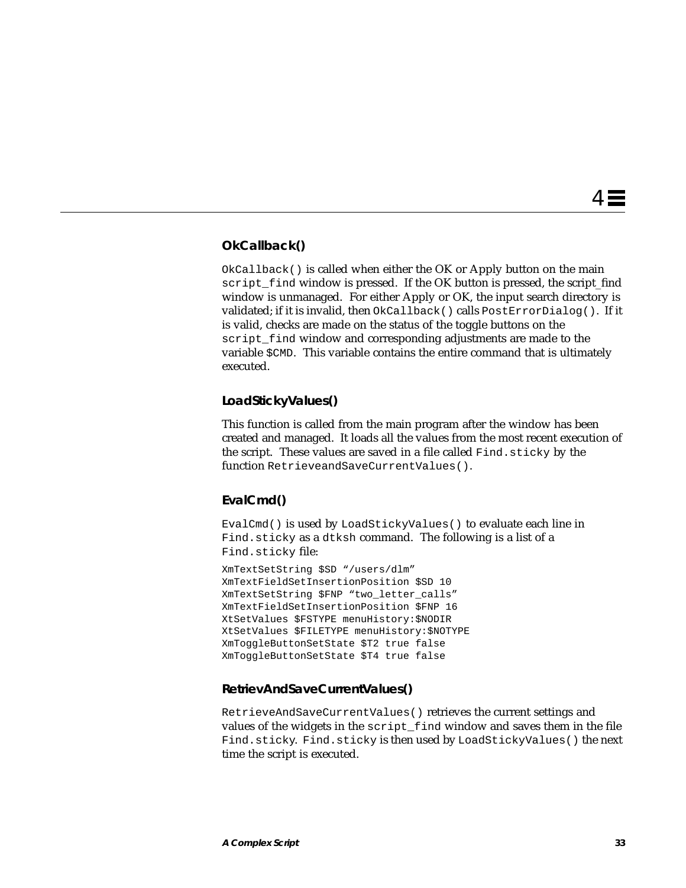#### **OkCallback()**

 $OkCallback()$  is called when either the OK or Apply button on the main script\_find window is pressed. If the OK button is pressed, the script\_find window is unmanaged. For either Apply or OK, the input search directory is validated; if it is invalid, then OkCallback() calls PostErrorDialog(). If it is valid, checks are made on the status of the toggle buttons on the script\_find window and corresponding adjustments are made to the variable \$CMD. This variable contains the entire command that is ultimately executed.

#### **LoadStickyValues()**

This function is called from the main program after the window has been created and managed. It loads all the values from the most recent execution of the script. These values are saved in a file called Find.sticky by the function RetrieveandSaveCurrentValues().

#### **EvalCmd()**

EvalCmd() is used by LoadStickyValues() to evaluate each line in Find.sticky as a dtksh command. The following is a list of a Find.sticky file:

```
XmTextSetString $SD "/users/dlm"
XmTextFieldSetInsertionPosition $SD 10
XmTextSetString $FNP "two_letter_calls"
XmTextFieldSetInsertionPosition $FNP 16
XtSetValues $FSTYPE menuHistory:$NODIR
XtSetValues $FILETYPE menuHistory:$NOTYPE
XmToggleButtonSetState $T2 true false
XmToggleButtonSetState $T4 true false
```
#### **RetrievAndSaveCurrentValues()**

RetrieveAndSaveCurrentValues() retrieves the current settings and values of the widgets in the script\_find window and saves them in the file Find.sticky. Find.sticky is then used by LoadStickyValues() the next time the script is executed.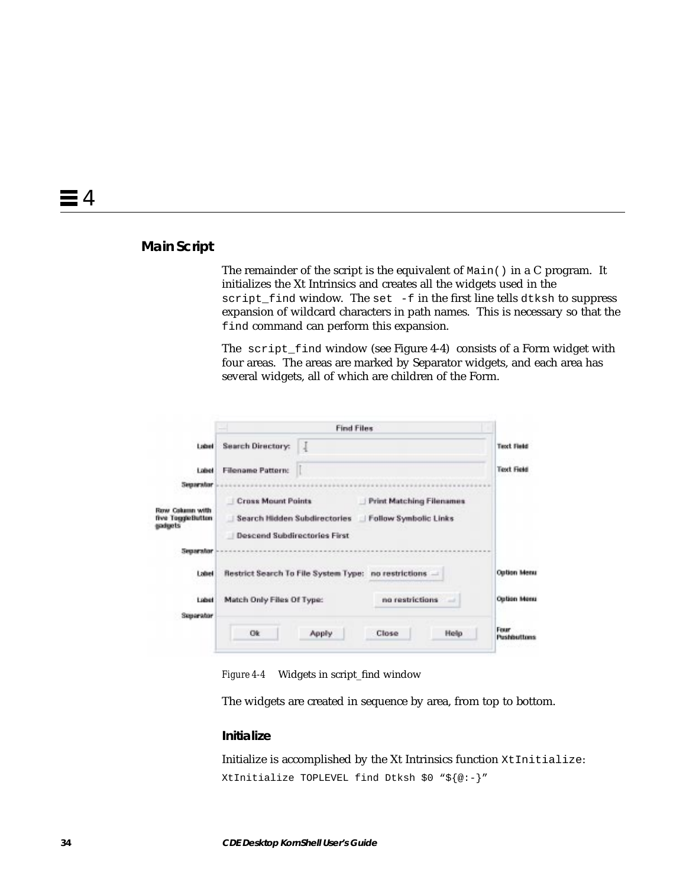#### **Main Script**

The remainder of the script is the equivalent of Main() in a C program. It initializes the Xt Intrinsics and creates all the widgets used in the script\_find window. The set -f in the first line tells dtksh to suppress expansion of wildcard characters in path names. This is necessary so that the find command can perform this expansion.

The script\_find window (see Figure 4-4) consists of a Form widget with four areas. The areas are marked by Separator widgets, and each area has several widgets, all of which are children of the Form.

|                                                |                                                                                                  | <b>Find Files</b> |                                                          |             |                            |
|------------------------------------------------|--------------------------------------------------------------------------------------------------|-------------------|----------------------------------------------------------|-------------|----------------------------|
| Label                                          | <b>Search Directory:</b>                                                                         | J                 |                                                          |             | <b>Text Field</b>          |
| Label                                          | <b>Filename Pattern:</b>                                                                         |                   |                                                          |             | <b>Text Field</b>          |
| Separator                                      |                                                                                                  |                   |                                                          |             |                            |
| Row Calumn with<br>five ToppeButton<br>gadgets | <b>Cross Mount Points</b><br>Search Hidden Subdirectories<br><b>Descend Subdirectories First</b> |                   | <b>Print Matching Filenames</b><br>Follow Symbolic Links |             |                            |
| Separator                                      |                                                                                                  |                   |                                                          |             |                            |
| Label                                          | Restrict Search To File System Type: no restrictions -                                           |                   |                                                          |             | <b>Option Menu</b>         |
| Libet<br>Superator                             | Match Only Files Of Type:                                                                        |                   | no restrictions                                          | $-1$        | <b>Option Menu</b>         |
|                                                | Ok                                                                                               | <b>Apply</b>      | Close                                                    | <b>Help</b> | Fram<br><b>Pushbuttons</b> |

*Figure 4-4* Widgets in script\_find window

The widgets are created in sequence by area, from top to bottom.

#### **Initialize**

Initialize is accomplished by the Xt Intrinsics function XtInitialize: XtInitialize TOPLEVEL find Dtksh \$0 "\${@:-}"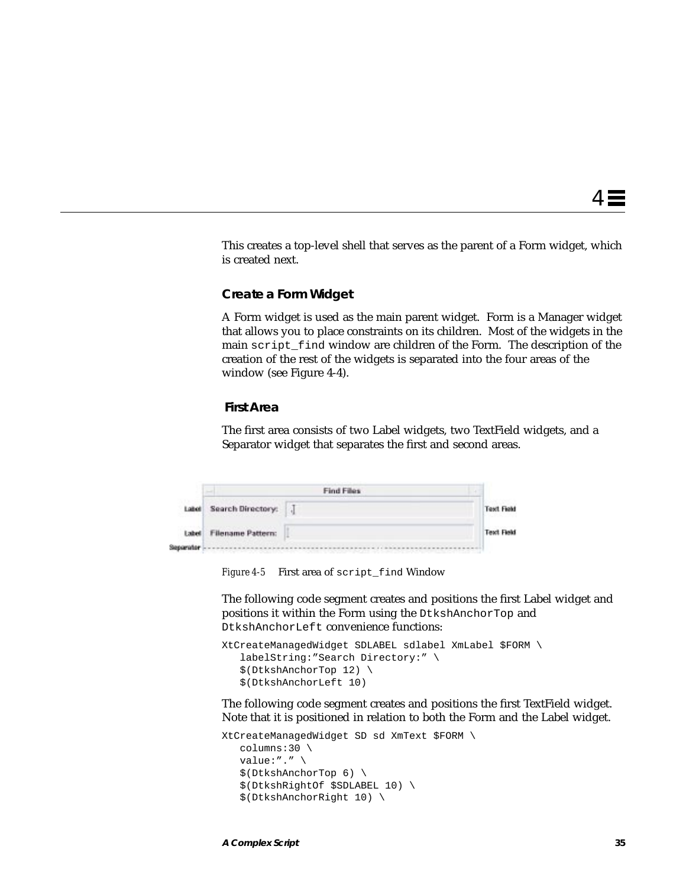This creates a top-level shell that serves as the parent of a Form widget, which is created next.

#### **Create a Form Widget**

A Form widget is used as the main parent widget. Form is a Manager widget that allows you to place constraints on its children. Most of the widgets in the main script\_find window are children of the Form. The description of the creation of the rest of the widgets is separated into the four areas of the window (see Figure 4-4).

#### **First Area**

The first area consists of two Label widgets, two TextField widgets, and a Separator widget that separates the first and second areas.

|       | <b>Find Files</b>                            |  |                   |
|-------|----------------------------------------------|--|-------------------|
| Label | Search Directory:<br>アルショー・ファイン こうきん アイス・ディー |  | <b>Test Field</b> |
| Label | <b>Filename Pattern:</b>                     |  | <b>Text Field</b> |
|       |                                              |  |                   |

*Figure 4-5* First area of script\_find Window

The following code segment creates and positions the first Label widget and positions it within the Form using the DtkshAnchorTop and DtkshAnchorLeft convenience functions:

```
XtCreateManagedWidget SDLABEL sdlabel XmLabel $FORM \
    labelString:"Search Directory:" \
    $(DtkshAnchorTop 12) \
    $(DtkshAnchorLeft 10)
```
The following code segment creates and positions the first TextField widget. Note that it is positioned in relation to both the Form and the Label widget.

```
XtCreateManagedWidget SD sd XmText $FORM \
    columns:30 \
   value:"." \setminus $(DtkshAnchorTop 6) \
    $(DtkshRightOf $SDLABEL 10) \
    $(DtkshAnchorRight 10) \
```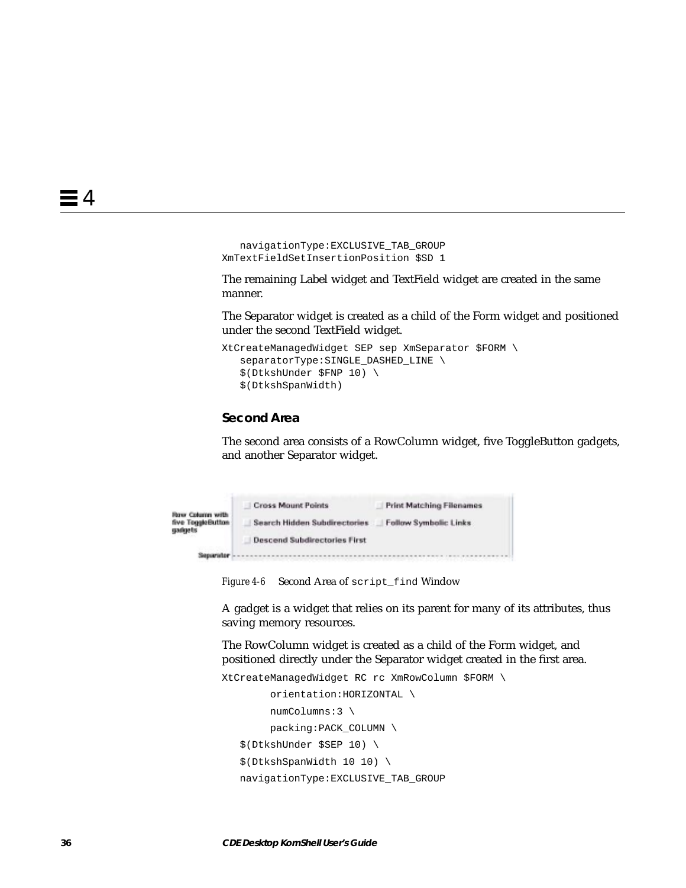```
 navigationType:EXCLUSIVE_TAB_GROUP
XmTextFieldSetInsertionPosition $SD 1
```
The remaining Label widget and TextField widget are created in the same manner.

The Separator widget is created as a child of the Form widget and positioned under the second TextField widget.

```
XtCreateManagedWidget SEP sep XmSeparator $FORM \
   separatorType: SINGLE_DASHED_LINE \
    $(DtkshUnder $FNP 10) \
    $(DtkshSpanWidth)
```
#### **Second Area**

The second area consists of a RowColumn widget, five ToggleButton gadgets, and another Separator widget.

|                                                        | <b>Cross Mount Points</b>           | <b>Print Matching Filenames</b> |
|--------------------------------------------------------|-------------------------------------|---------------------------------|
| <b>Row Column with</b><br>five ToggleButton<br>gadgets | Search Hidden Subdirectories        | Follow Symbolic Links           |
|                                                        | <b>Descend Subdirectories First</b> |                                 |
| Separator                                              |                                     |                                 |

*Figure 4-6* Second Area of script\_find Window

A gadget is a widget that relies on its parent for many of its attributes, thus saving memory resources.

The RowColumn widget is created as a child of the Form widget, and positioned directly under the Separator widget created in the first area.

```
XtCreateManagedWidget RC rc XmRowColumn $FORM \
         orientation:HORIZONTAL \
         numColumns:3 \
         packing:PACK_COLUMN \
    $(DtkshUnder $SEP 10) \
    $(DtkshSpanWidth 10 10) \
   navigationType:EXCLUSIVE_TAB_GROUP
```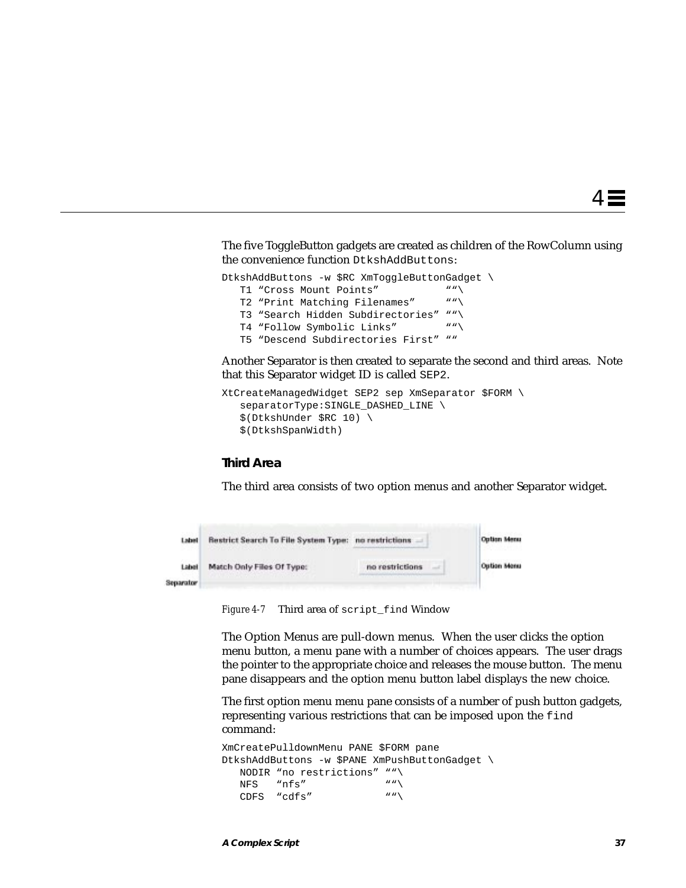The five ToggleButton gadgets are created as children of the RowColumn using the convenience function DtkshAddButtons:

```
DtkshAddButtons -w $RC XmToggleButtonGadget \<br>
T1 "Cross Mount Points" ""\
   T1 "Cross Mount Points"
    T2 "Print Matching Filenames" ""\
   T3 "Search Hidden Subdirectories" ""\<br>T4 "Follow Symbolic Links" ""\
   T4 "Follow Symbolic Links"
    T5 "Descend Subdirectories First" ""
```
Another Separator is then created to separate the second and third areas. Note that this Separator widget ID is called SEP2.

```
XtCreateManagedWidget SEP2 sep XmSeparator $FORM \
   separatorType: SINGLE_DASHED_LINE \
    $(DtkshUnder $RC 10) \
    $(DtkshSpanWidth)
```
#### **Third Area**

The third area consists of two option menus and another Separator widget.

| Label              | <b>Restrict Search To File System Type: no restrictions</b><br>and the control of the control of the control of the control of the control of the control of the control of the |                 | Option Menu        |
|--------------------|---------------------------------------------------------------------------------------------------------------------------------------------------------------------------------|-----------------|--------------------|
| Label<br>Separator | Match Only Files Of Type:                                                                                                                                                       | no restrictions | <b>Outlon Menu</b> |

*Figure 4-7* Third area of script\_find Window

The Option Menus are pull-down menus. When the user clicks the option menu button, a menu pane with a number of choices appears. The user drags the pointer to the appropriate choice and releases the mouse button. The menu pane disappears and the option menu button label displays the new choice.

The first option menu menu pane consists of a number of push button gadgets, representing various restrictions that can be imposed upon the find command:

```
XmCreatePulldownMenu PANE $FORM pane
DtkshAddButtons -w $PANE XmPushButtonGadget \
  NODIR "no restrictions" ""\
  NFS "nfs"
  CDFS "cdfs" "
```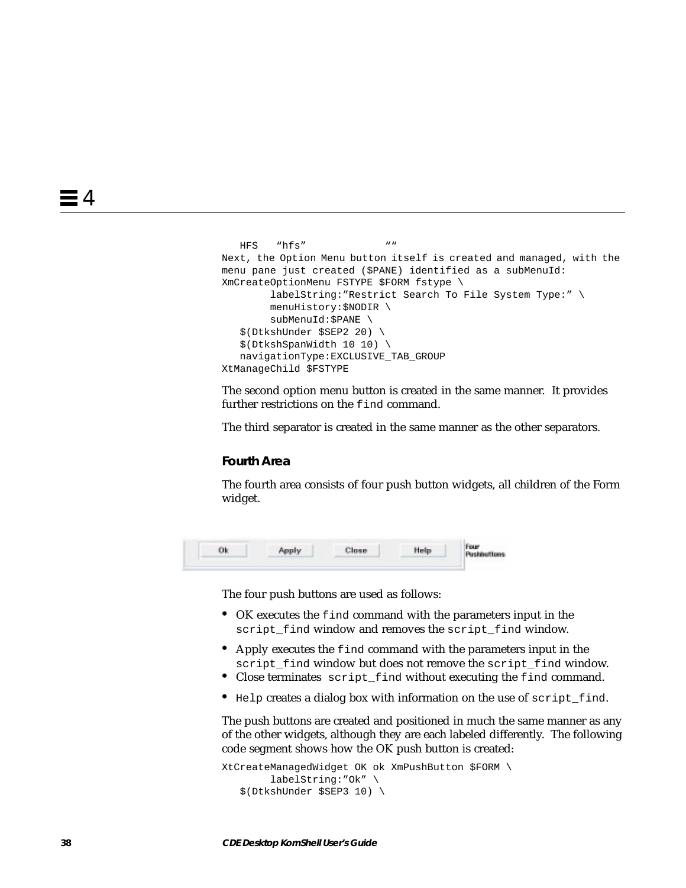```
HFS "hfs" ""
Next, the Option Menu button itself is created and managed, with the
menu pane just created ($PANE) identified as a subMenuId:
XmCreateOptionMenu FSTYPE $FORM fstype \
         labelString:"Restrict Search To File System Type:" \
        menuHistory:$NODIR \
         subMenuId:$PANE \
    $(DtkshUnder $SEP2 20) \
    $(DtkshSpanWidth 10 10) \
   navigationType:EXCLUSIVE_TAB_GROUP
XtManageChild $FSTYPE
```
The second option menu button is created in the same manner. It provides further restrictions on the find command.

The third separator is created in the same manner as the other separators.

#### **Fourth Area**

The fourth area consists of four push button widgets, all children of the Form widget.

|  | Apply | Close | Help | Four<br>Pushbuttons |
|--|-------|-------|------|---------------------|
|  |       |       |      |                     |

The four push buttons are used as follows:

- **•** OK executes the find command with the parameters input in the script\_find window and removes the script\_find window.
- **•** Apply executes the find command with the parameters input in the script\_find window but does not remove the script\_find window.
- **•** Close terminates script\_find without executing the find command.
- Help creates a dialog box with information on the use of script find.

The push buttons are created and positioned in much the same manner as any of the other widgets, although they are each labeled differently. The following code segment shows how the OK push button is created:

```
XtCreateManagedWidget OK ok XmPushButton $FORM \
         labelString:"Ok" \
    $(DtkshUnder $SEP3 10) \
```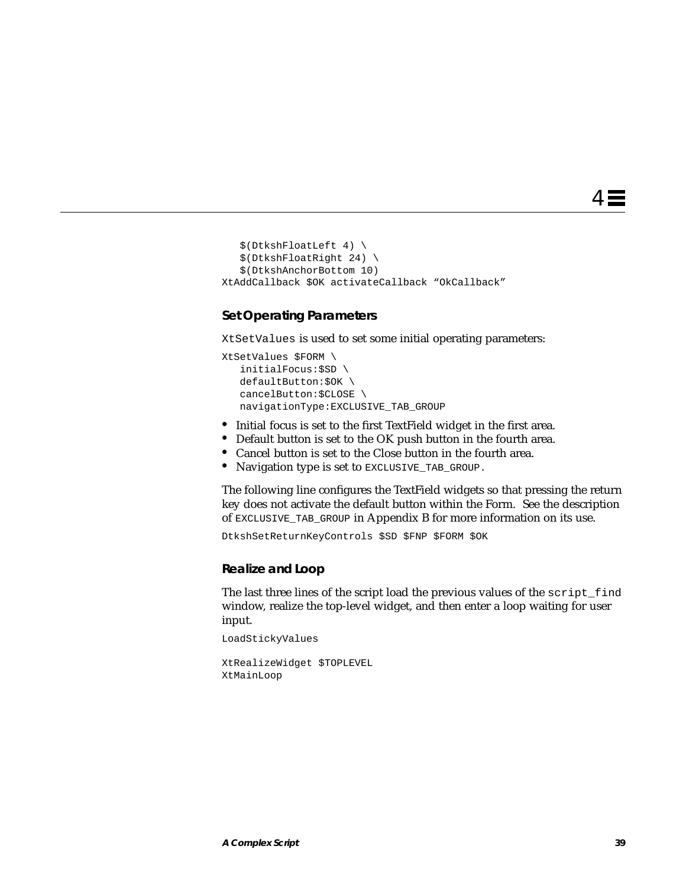4 ≣

```
 $(DtkshFloatLeft 4) \
    $(DtkshFloatRight 24) \
    $(DtkshAnchorBottom 10)
XtAddCallback $OK activateCallback "OkCallback"
```
#### **Set Operating Parameters**

XtSetValues is used to set some initial operating parameters:

```
XtSetValues $FORM \
    initialFocus:$SD \
   defaultButton:$OK \
    cancelButton:$CLOSE \
   navigationType:EXCLUSIVE_TAB_GROUP
```
- **•** Initial focus is set to the first TextField widget in the first area.
- **•** Default button is set to the OK push button in the fourth area.
- **•** Cancel button is set to the Close button in the fourth area.
- **•** Navigation type is set to EXCLUSIVE\_TAB\_GROUP.

The following line configures the TextField widgets so that pressing the return key does not activate the default button within the Form. See the description of EXCLUSIVE\_TAB\_GROUP in Appendix B for more information on its use.

DtkshSetReturnKeyControls \$SD \$FNP \$FORM \$OK

#### **Realize and Loop**

The last three lines of the script load the previous values of the script\_find window, realize the top-level widget, and then enter a loop waiting for user input.

LoadStickyValues

```
XtRealizeWidget $TOPLEVEL
XtMainLoop
```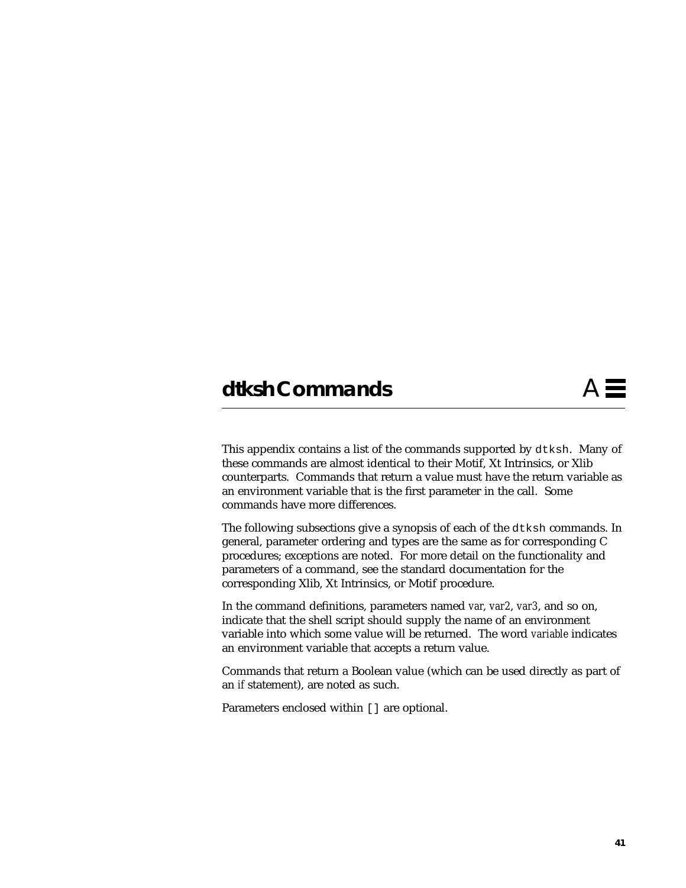# **dtksh Commands** A

This appendix contains a list of the commands supported by dtksh. Many of these commands are almost identical to their Motif, Xt Intrinsics, or Xlib counterparts. Commands that return a value must have the return variable as an environment variable that is the first parameter in the call. Some commands have more differences.

The following subsections give a synopsis of each of the dtksh commands. In general, parameter ordering and types are the same as for corresponding C procedures; exceptions are noted. For more detail on the functionality and parameters of a command, see the standard documentation for the corresponding Xlib, Xt Intrinsics, or Motif procedure.

In the command definitions, parameters named *var*, *var2*, *var3*, and so on, indicate that the shell script should supply the name of an environment variable into which some value will be returned. The word *variable* indicates an environment variable that accepts a return value.

Commands that return a Boolean value (which can be used directly as part of an *if* statement), are noted as such.

Parameters enclosed within [] are optional.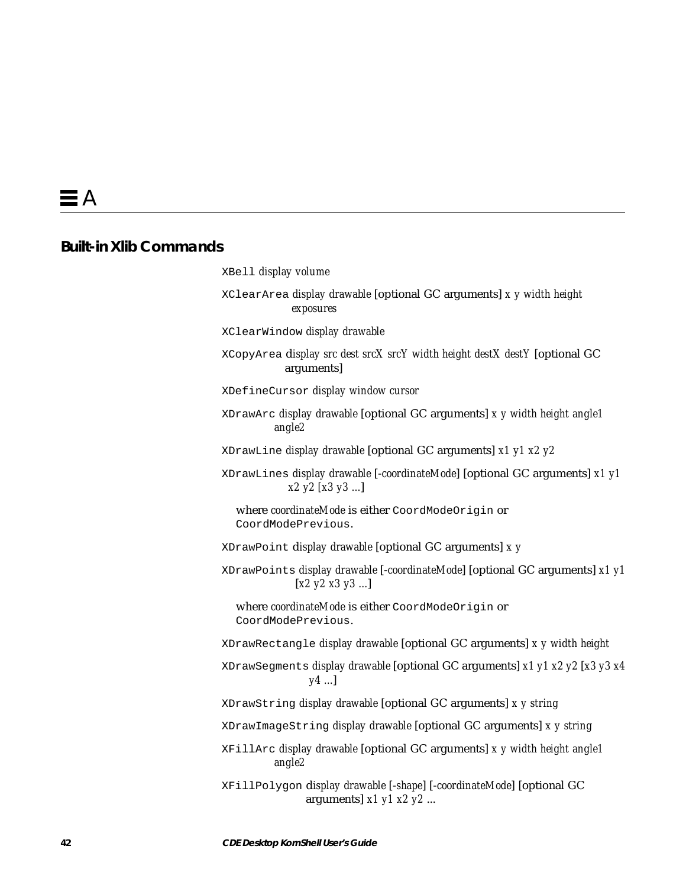# **Built-in Xlib Commands**

| XBell display volume                                                                                            |
|-----------------------------------------------------------------------------------------------------------------|
| XClearArea display drawable [optional GC arguments] x y width height<br>exposures                               |
| XClearWindow display drawable                                                                                   |
| XCopyArea display src dest srcX srcY width height destX destY [optional GC<br>arguments]                        |
| XDefineCursor display window cursor                                                                             |
| XDrawArc display drawable [optional GC arguments] x y width height angle1<br>angle2                             |
| XDrawLine display drawable [optional GC arguments] x1 y1 x2 y2                                                  |
| XDrawLines display drawable [-coordinateMode] [optional GC arguments] x1 y1<br>x2 y2 [x3 y3 ]                   |
| where coordinateMode is either CoordModeOrigin or<br>CoordModePrevious.                                         |
| XDrawPoint display drawable [optional GC arguments] x y                                                         |
| XDrawPoints display drawable [-coordinateMode] [optional GC arguments] x1 y1<br>$[x2 \; y2 \; x3 \; y3 \ldots]$ |
| where coordinateMode is either CoordModeOrigin or<br>CoordModePrevious.                                         |
| XDrawRectangle display drawable [optional GC arguments] x y width height                                        |
| XDrawSegments display drawable [optional GC arguments] x1 y1 x2 y2 [x3 y3 x4<br>$y4$ ]                          |
| XDrawString display drawable [optional GC arguments] x y string                                                 |
| XDrawImageString display drawable [optional GC arguments] x y string                                            |
| XFillArc display drawable [optional GC arguments] x y width height angle1<br>angle2                             |
| XFillPolygon display drawable [-shape] [-coordinateMode] [optional GC<br>arguments] $x1 y1 x2 y2 $              |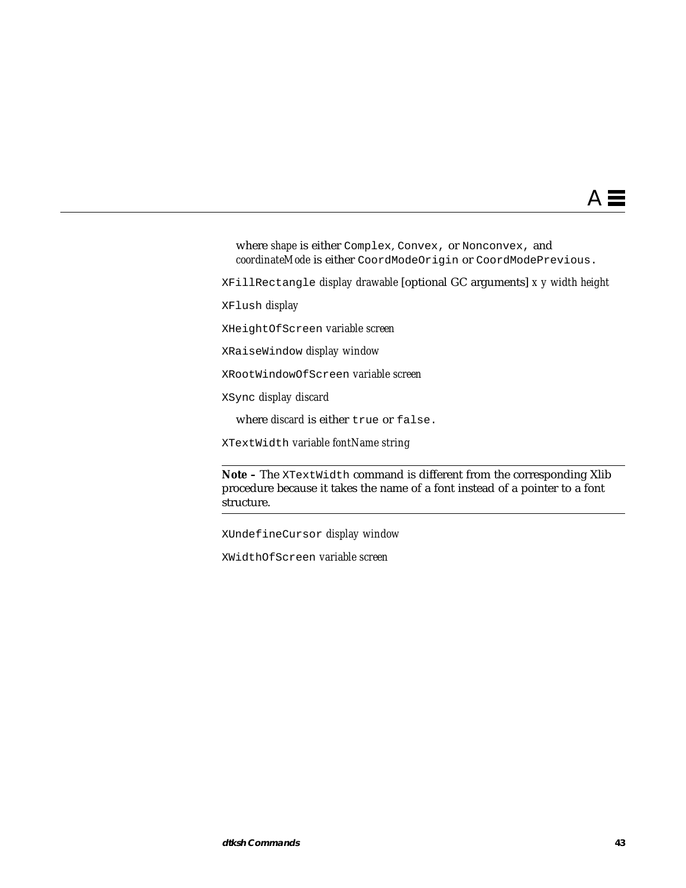where *shape* is either Complex, Convex, or Nonconvex, and *coordinateMode* is either CoordModeOrigin or CoordModePrevious.

XFillRectangle *display drawable* [optional GC arguments] *x y width height*

XFlush *display*

XHeightOfScreen *variable screen*

XRaiseWindow *display window*

XRootWindowOfScreen *variable screen*

XSync *display discard*

where *discard* is either true or false.

XTextWidth *variable fontName string*

Note - The XTextWidth command is different from the corresponding Xlib procedure because it takes the name of a font instead of a pointer to a font structure.

XUndefineCursor *display window*

XWidthOfScreen *variable screen*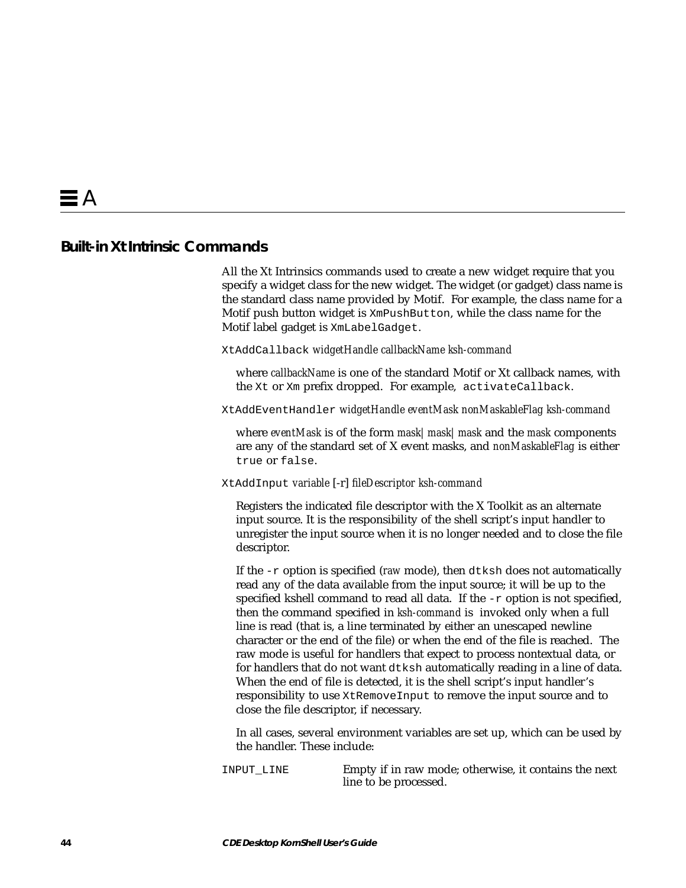# **Built-in Xt Intrinsic Commands**

All the Xt Intrinsics commands used to create a new widget require that you specify a widget class for the new widget. The widget (or gadget) class name is the standard class name provided by Motif. For example, the class name for a Motif push button widget is XmPushButton, while the class name for the Motif label gadget is XmLabelGadget.

XtAddCallback *widgetHandle callbackName ksh-command*

where *callbackName* is one of the standard Motif or Xt callback names, with the Xt or Xm prefix dropped. For example, activateCallback.

XtAddEventHandler *widgetHandle eventMask nonMaskableFlag ksh-command*

where *eventMask* is of the form *mask|mask|mask* and the *mask* components are any of the standard set of X event masks, and *nonMaskableFlag* is either true or false.

#### XtAddInput *variable* [-r] *fileDescriptor ksh-command*

Registers the indicated file descriptor with the X Toolkit as an alternate input source. It is the responsibility of the shell script's input handler to unregister the input source when it is no longer needed and to close the file descriptor.

If the -r option is specified (*raw* mode), then dtksh does not automatically read any of the data available from the input source; it will be up to the specified kshell command to read all data. If the -r option is not specified, then the command specified in *ksh-command* is invoked only when a full line is read (that is, a line terminated by either an unescaped newline character or the end of the file) or when the end of the file is reached. The raw mode is useful for handlers that expect to process nontextual data, or for handlers that do not want dtksh automatically reading in a line of data. When the end of file is detected, it is the shell script's input handler's responsibility to use XtRemoveInput to remove the input source and to close the file descriptor, if necessary.

In all cases, several environment variables are set up, which can be used by the handler. These include:

INPUT\_LINE Empty if in raw mode; otherwise, it contains the next line to be processed.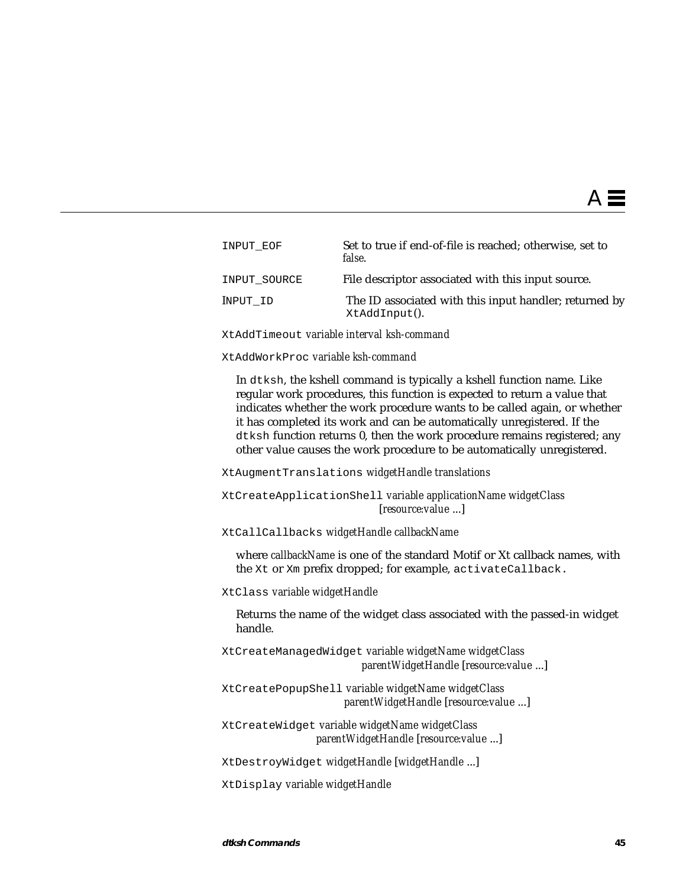| INPUT EOF    | Set to true if end-of-file is reached; otherwise, set to<br>false.      |
|--------------|-------------------------------------------------------------------------|
| INPUT SOURCE | File descriptor associated with this input source.                      |
| INPUT ID     | The ID associated with this input handler; returned by<br>XtAddInput(). |

XtAddTimeout *variable interval ksh-command*

XtAddWorkProc *variable ksh-command*

In dtksh, the kshell command is typically a kshell function name. Like regular work procedures, this function is expected to return a value that indicates whether the work procedure wants to be called again, or whether it has completed its work and can be automatically unregistered. If the dtksh function returns 0, then the work procedure remains registered; any other value causes the work procedure to be automatically unregistered.

XtAugmentTranslations *widgetHandle translations*

XtCreateApplicationShell *variable applicationName widgetClass* [*resource:value* ...]

XtCallCallbacks *widgetHandle callbackName*

where *callbackName* is one of the standard Motif or Xt callback names, with the Xt or Xm prefix dropped; for example, activateCallback.

XtClass *variable widgetHandle*

Returns the name of the widget class associated with the passed-in widget handle.

XtCreateManagedWidget *variable widgetName widgetClass parentWidgetHandle* [*resource:value* ...]

XtCreatePopupShell *variable widgetName widgetClass parentWidgetHandle* [*resource:value* ...]

XtCreateWidget *variable widgetName widgetClass parentWidgetHandle* [*resource:value* ...]

XtDestroyWidget *widgetHandle* [*widgetHandle* ...]

XtDisplay *variable widgetHandle*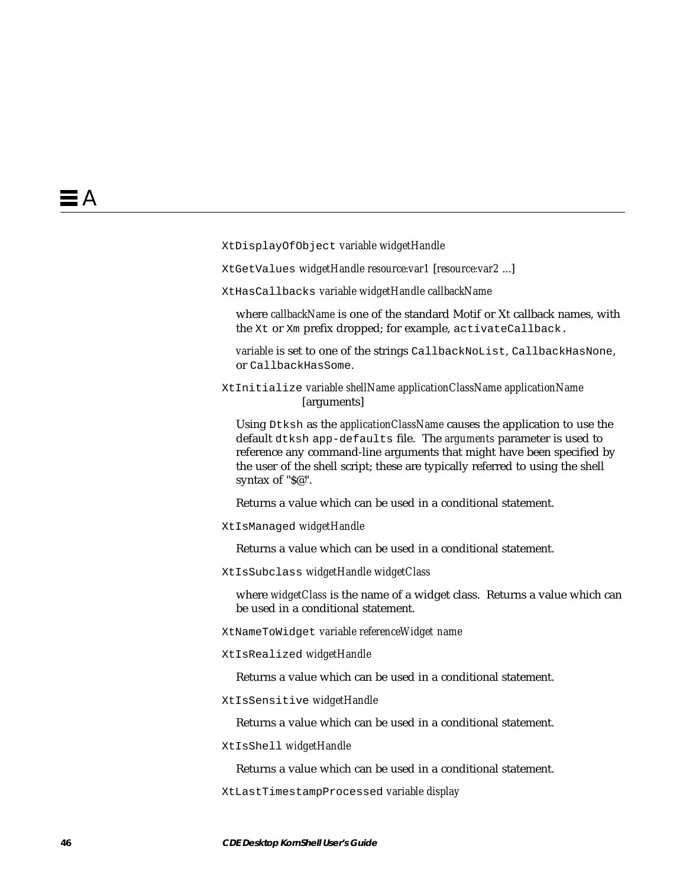XtDisplayOfObject *variable widgetHandle*

XtGetValues *widgetHandle resource:var1* [*resource:var2* ...]

XtHasCallbacks *variable widgetHandle callbackName*

where *callbackName* is one of the standard Motif or Xt callback names, with the Xt or Xm prefix dropped; for example, activateCallback.

*variable* is set to one of the strings CallbackNoList, CallbackHasNone, or CallbackHasSome.

XtInitialize *variable shellName applicationClassName applicationName* [arguments]

Using Dtksh as the *applicationClassName* causes the application to use the default dtksh app-defaults file. The *arguments* parameter is used to reference any command-line arguments that might have been specified by the user of the shell script; these are typically referred to using the shell syntax of "\$@".

Returns a value which can be used in a conditional statement.

XtIsManaged *widgetHandle*

Returns a value which can be used in a conditional statement.

XtIsSubclass *widgetHandle widgetClass*

where *widgetClass* is the name of a widget class. Returns a value which can be used in a conditional statement.

XtNameToWidget *variable referenceWidget name*

XtIsRealized *widgetHandle*

Returns a value which can be used in a conditional statement.

XtIsSensitive *widgetHandle*

Returns a value which can be used in a conditional statement.

XtIsShell *widgetHandle*

Returns a value which can be used in a conditional statement.

XtLastTimestampProcessed *variable display*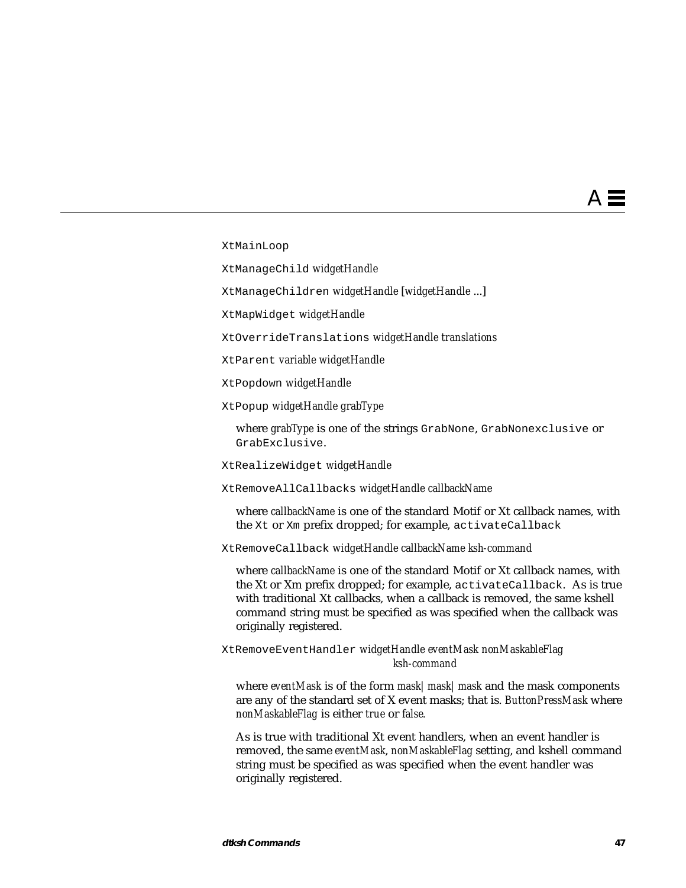XtMainLoop

XtManageChild *widgetHandle*

XtManageChildren *widgetHandle* [*widgetHandle* ...]

XtMapWidget *widgetHandle*

XtOverrideTranslations *widgetHandle translations*

XtParent *variable widgetHandle*

XtPopdown *widgetHandle*

XtPopup *widgetHandle grabType*

where *grabType* is one of the strings GrabNone, GrabNonexclusive or GrabExclusive.

XtRealizeWidget *widgetHandle*

XtRemoveAllCallbacks *widgetHandle callbackName*

where *callbackName* is one of the standard Motif or Xt callback names, with the Xt or Xm prefix dropped; for example, activateCallback

XtRemoveCallback *widgetHandle callbackName ksh-command*

where *callbackName* is one of the standard Motif or Xt callback names, with the Xt or Xm prefix dropped; for example, activateCallback. As is true with traditional Xt callbacks, when a callback is removed, the same kshell command string must be specified as was specified when the callback was originally registered.

XtRemoveEventHandler *widgetHandle eventMask nonMaskableFlag ksh-command*

where *eventMask* is of the form *mask|mask|mask* and the mask components are any of the standard set of X event masks; that is. *ButtonPressMask* where *nonMaskableFlag* is either *true* or *false.*

As is true with traditional Xt event handlers, when an event handler is removed, the same *eventMask*, *nonMaskableFlag* setting, and kshell command string must be specified as was specified when the event handler was originally registered.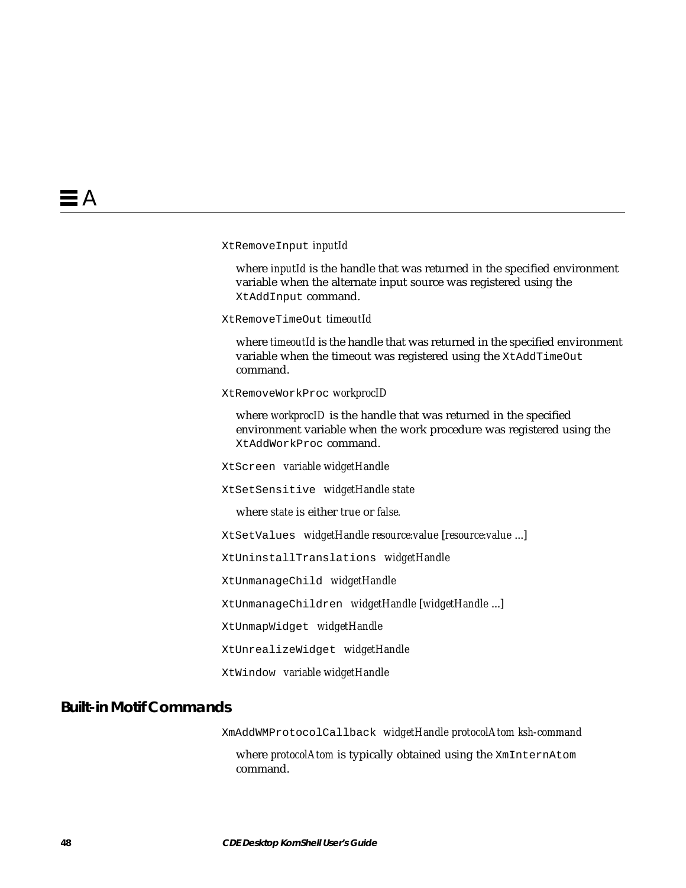XtRemoveInput *inputId*

where *inputId* is the handle that was returned in the specified environment variable when the alternate input source was registered using the XtAddInput command.

XtRemoveTimeOut *timeoutId*

where *timeoutId* is the handle that was returned in the specified environment variable when the timeout was registered using the XtAddTimeOut command.

XtRemoveWorkProc *workprocID*

where *workprocID* is the handle that was returned in the specified environment variable when the work procedure was registered using the XtAddWorkProc command.

XtScreen *variable widgetHandle*

XtSetSensitive *widgetHandle state*

where *state* is either *true* or *false.*

XtSetValues *widgetHandle resource:value* [*resource:value* ...]

XtUninstallTranslations *widgetHandle*

XtUnmanageChild *widgetHandle*

XtUnmanageChildren *widgetHandle* [*widgetHandle* ...]

XtUnmapWidget *widgetHandle*

XtUnrealizeWidget *widgetHandle*

XtWindow *variable widgetHandle*

### **Built-in Motif Commands**

XmAddWMProtocolCallback *widgetHandle protocolAtom ksh-command*

where *protocolAtom* is typically obtained using the XmInternAtom command.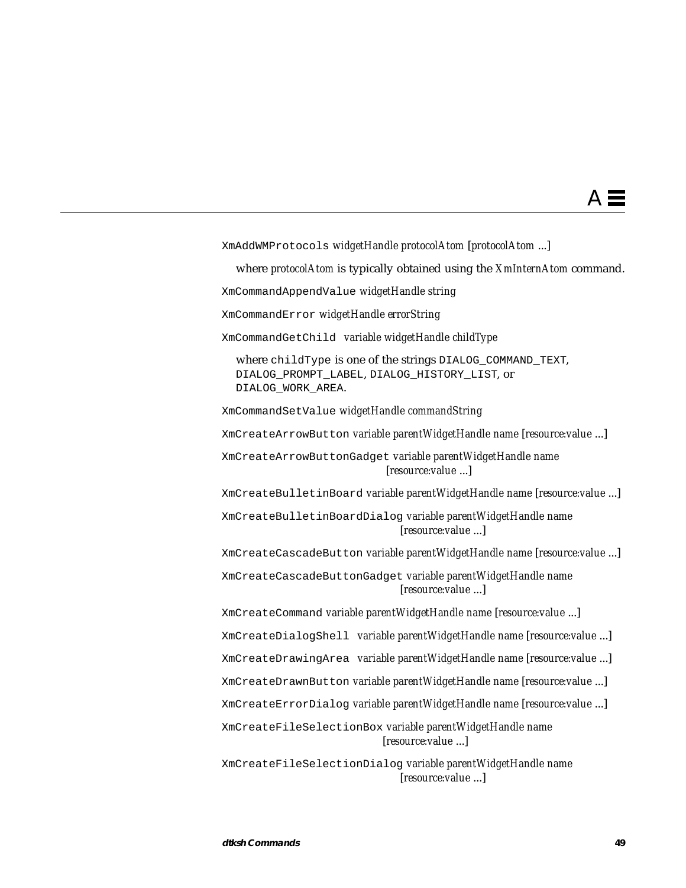XmAddWMProtocols *widgetHandle protocolAtom* [*protocolAtom* ...] where *protocolAtom* is typically obtained using the *XmInternAtom* command. XmCommandAppendValue *widgetHandle string* XmCommandError *widgetHandle errorString* XmCommandGetChild *variable widgetHandle childType* where childType is one of the strings DIALOG COMMAND TEXT, DIALOG\_PROMPT\_LABEL, DIALOG\_HISTORY\_LIST, or DIALOG\_WORK\_AREA. XmCommandSetValue *widgetHandle commandString* XmCreateArrowButton *variable parentWidgetHandle name* [*resource:value* ...] XmCreateArrowButtonGadget *variable parentWidgetHandle name* [*resource:value* ...] XmCreateBulletinBoard *variable parentWidgetHandle name* [*resource:value* ...] XmCreateBulletinBoardDialog *variable parentWidgetHandle name* [*resource:value* ...] XmCreateCascadeButton *variable parentWidgetHandle name* [*resource:value* ...] XmCreateCascadeButtonGadget *variable parentWidgetHandle name* [*resource:value* ...] XmCreateCommand *variable parentWidgetHandle name* [*resource:value* ...] XmCreateDialogShell *variable parentWidgetHandle name* [*resource:value* ...] XmCreateDrawingArea *variable parentWidgetHandle name* [*resource:value* ...] XmCreateDrawnButton *variable parentWidgetHandle name* [*resource:value* ...] XmCreateErrorDialog *variable parentWidgetHandle name* [*resource:value* ...] XmCreateFileSelectionBox *variable parentWidgetHandle name* [*resource:value* ...] XmCreateFileSelectionDialog *variable parentWidgetHandle name* [*resource:value* ...]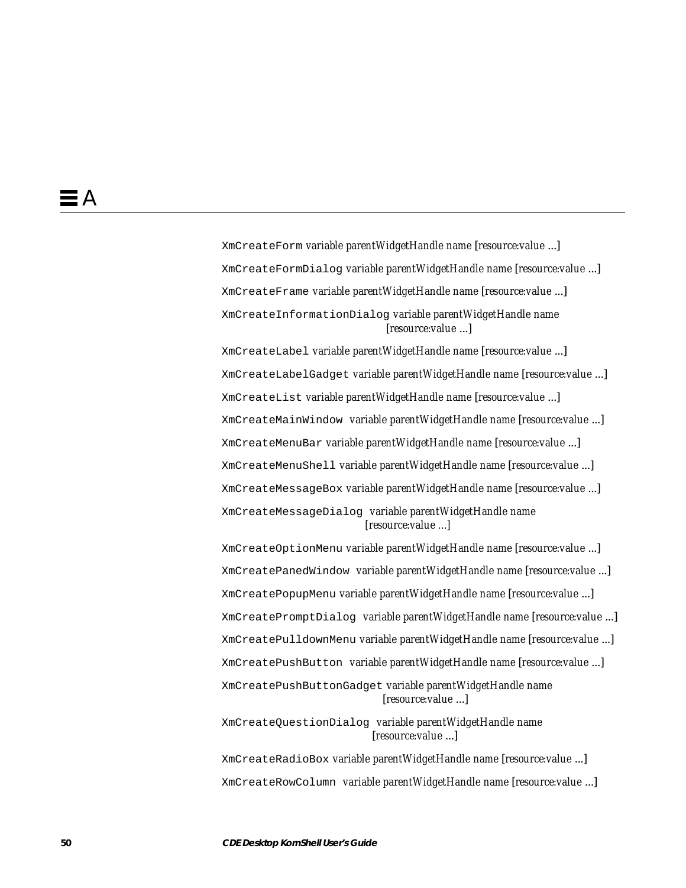XmCreateForm *variable parentWidgetHandle name* [*resource:value* ...] XmCreateFormDialog *variable parentWidgetHandle name* [*resource:value* ...] XmCreateFrame *variable parentWidgetHandle name* [*resource:value* ...] XmCreateInformationDialog *variable parentWidgetHandle name* [*resource:value* ...]

XmCreateLabel *variable parentWidgetHandle name* [*resource:value* ...] XmCreateLabelGadget *variable parentWidgetHandle name* [*resource:value* ...] XmCreateList *variable parentWidgetHandle name* [*resource:value* ...] XmCreateMainWindow *variable parentWidgetHandle name* [*resource:value* ...] XmCreateMenuBar *variable parentWidgetHandle name* [*resource:value* ...] XmCreateMenuShell *variable parentWidgetHandle name* [*resource:value* ...] XmCreateMessageBox *variable parentWidgetHandle name* [*resource:value* ...] XmCreateMessageDialog *variable parentWidgetHandle name [resource:value ...]*

XmCreateOptionMenu *variable parentWidgetHandle name* [*resource:value* ...] XmCreatePanedWindow *variable parentWidgetHandle name* [*resource:value* ...] XmCreatePopupMenu *variable parentWidgetHandle name* [*resource:value* ...] XmCreatePromptDialog *variable parentWidgetHandle name* [*resource:value* ...] XmCreatePulldownMenu *variable parentWidgetHandle name* [*resource:value* ...] XmCreatePushButton *variable parentWidgetHandle name* [*resource:value* ...] XmCreatePushButtonGadget *variable parentWidgetHandle name* [*resource:value* ...]

XmCreateQuestionDialog *variable parentWidgetHandle name* [*resource:value* ...]

XmCreateRadioBox *variable parentWidgetHandle name* [*resource:value* ...] XmCreateRowColumn *variable parentWidgetHandle name* [*resource:value* ...]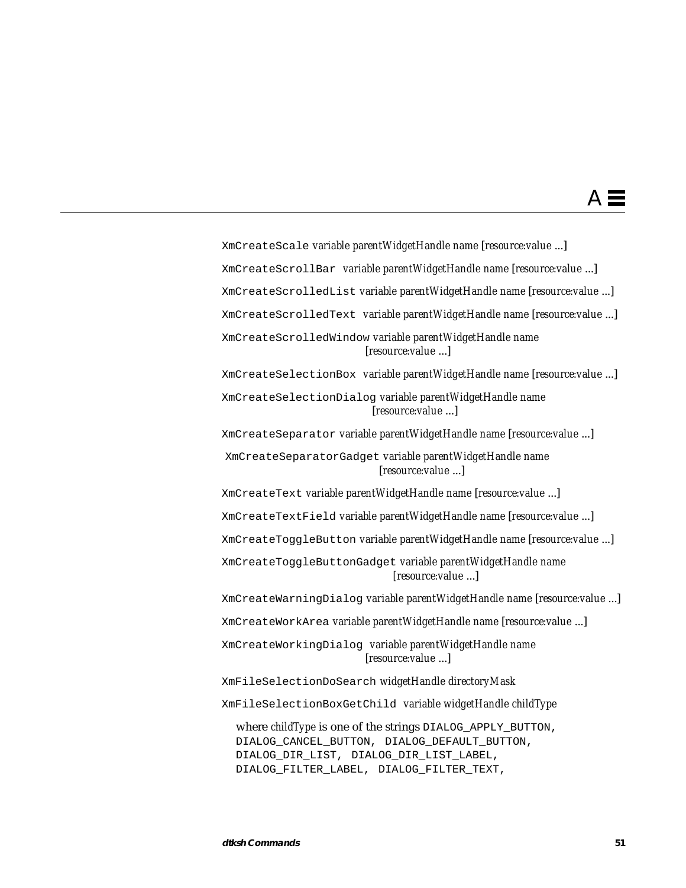XmCreateScale *variable parentWidgetHandle name* [*resource:value* ...] XmCreateScrollBar *variable parentWidgetHandle name* [*resource:value* ...] XmCreateScrolledList *variable parentWidgetHandle name* [*resource:value* ...] XmCreateScrolledText *variable parentWidgetHandle name* [*resource:value* ...] XmCreateScrolledWindow *variable parentWidgetHandle name* [*resource:value* ...] XmCreateSelectionBox *variable parentWidgetHandle name* [*resource:value* ...] XmCreateSelectionDialog *variable parentWidgetHandle name* [*resource:value* ...] XmCreateSeparator *variable parentWidgetHandle name* [*resource:value* ...] XmCreateSeparatorGadget *variable parentWidgetHandle name* [*resource:value* ...] XmCreateText *variable parentWidgetHandle name* [*resource:value* ...] XmCreateTextField *variable parentWidgetHandle name* [*resource:value* ...] XmCreateToggleButton *variable parentWidgetHandle name* [*resource:value* ...] XmCreateToggleButtonGadget *variable parentWidgetHandle name [resource:value* ...] XmCreateWarningDialog *variable parentWidgetHandle name* [*resource:value* ...] XmCreateWorkArea *variable parentWidgetHandle name* [*resource:value* ...] XmCreateWorkingDialog *variable parentWidgetHandle name* [*resource:value* ...] XmFileSelectionDoSearch *widgetHandle directoryMask* XmFileSelectionBoxGetChild *variable widgetHandle childType* where *childType* is one of the strings DIALOG\_APPLY\_BUTTON, DIALOG\_CANCEL\_BUTTON, DIALOG\_DEFAULT\_BUTTON, DIALOG\_DIR\_LIST, DIALOG\_DIR\_LIST\_LABEL,

DIALOG\_FILTER\_LABEL, DIALOG\_FILTER\_TEXT,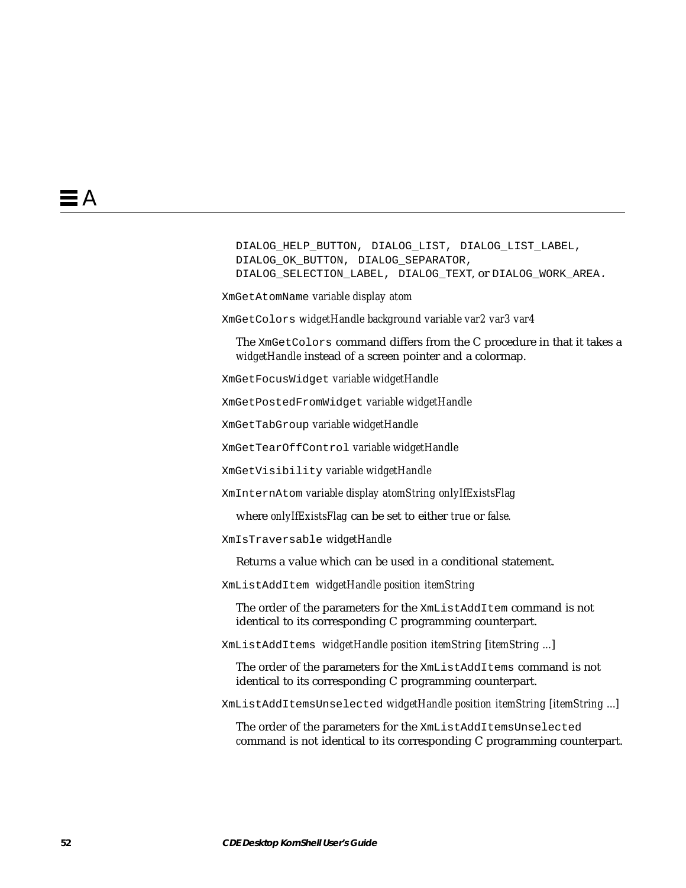```
DIALOG_HELP_BUTTON, DIALOG_LIST, DIALOG_LIST_LABEL,
DIALOG_OK_BUTTON, DIALOG_SEPARATOR,
DIALOG_SELECTION_LABEL, DIALOG_TEXT, or DIALOG_WORK_AREA.
```
XmGetAtomName *variable display atom*

XmGetColors *widgetHandle background variable var2 var3 var4*

The XmGetColors command differs from the C procedure in that it takes a *widgetHandle* instead of a screen pointer and a colormap.

XmGetFocusWidget *variable widgetHandle*

XmGetPostedFromWidget *variable widgetHandle*

XmGetTabGroup *variable widgetHandle*

XmGetTearOffControl *variable widgetHandle*

XmGetVisibility *variable widgetHandle*

XmInternAtom *variable display atomString onlyIfExistsFlag*

where *onlyIfExistsFlag* can be set to either *true* or *false.*

XmIsTraversable *widgetHandle*

Returns a value which can be used in a conditional statement.

XmListAddItem *widgetHandle position itemString*

The order of the parameters for the XmListAddItem command is not identical to its corresponding C programming counterpart.

XmListAddItems *widgetHandle position itemString* [*itemString ...*]

The order of the parameters for the XmListAddItems command is not identical to its corresponding C programming counterpart.

XmListAddItemsUnselected *widgetHandle position itemString [itemString ...]*

The order of the parameters for the XmListAddItemsUnselected *c*ommand is not identical to its corresponding C programming counterpart.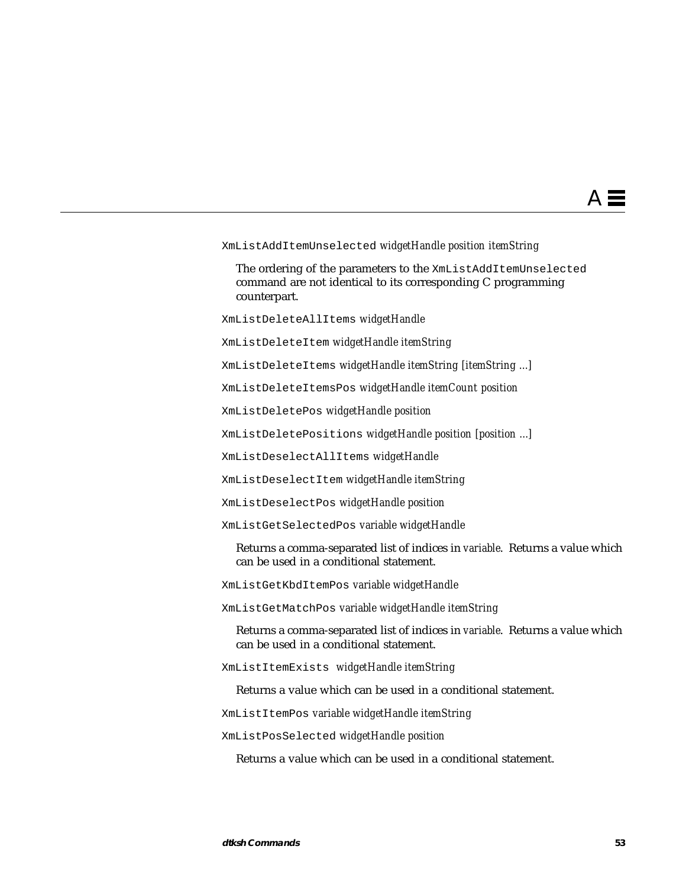#### XmListAddItemUnselected *widgetHandle position itemString*

The ordering of the parameters to the XmListAddItemUnselected command are not identical to its corresponding C programming counterpart.

XmListDeleteAllItems *widgetHandle*

XmListDeleteItem *widgetHandle itemString*

XmListDeleteItems *widgetHandle itemString [itemString ...]*

XmListDeleteItemsPos *widgetHandle itemCount position*

XmListDeletePos *widgetHandle position*

XmListDeletePositions *widgetHandle position [position ...]*

XmListDeselectAllItems *widgetHandle*

XmListDeselectItem *widgetHandle itemString*

XmListDeselectPos *widgetHandle position*

XmListGetSelectedPos *variable widgetHandle*

Returns a comma-separated list of indices in *variable*. Returns a value which can be used in a conditional statement.

XmListGetKbdItemPos *variable widgetHandle*

XmListGetMatchPos *variable widgetHandle itemString*

Returns a comma-separated list of indices in *variable*. Returns a value which can be used in a conditional statement.

XmListItemExists *widgetHandle itemString*

Returns a value which can be used in a conditional statement.

XmListItemPos *variable widgetHandle itemString*

XmListPosSelected *widgetHandle position*

Returns a value which can be used in a conditional statement.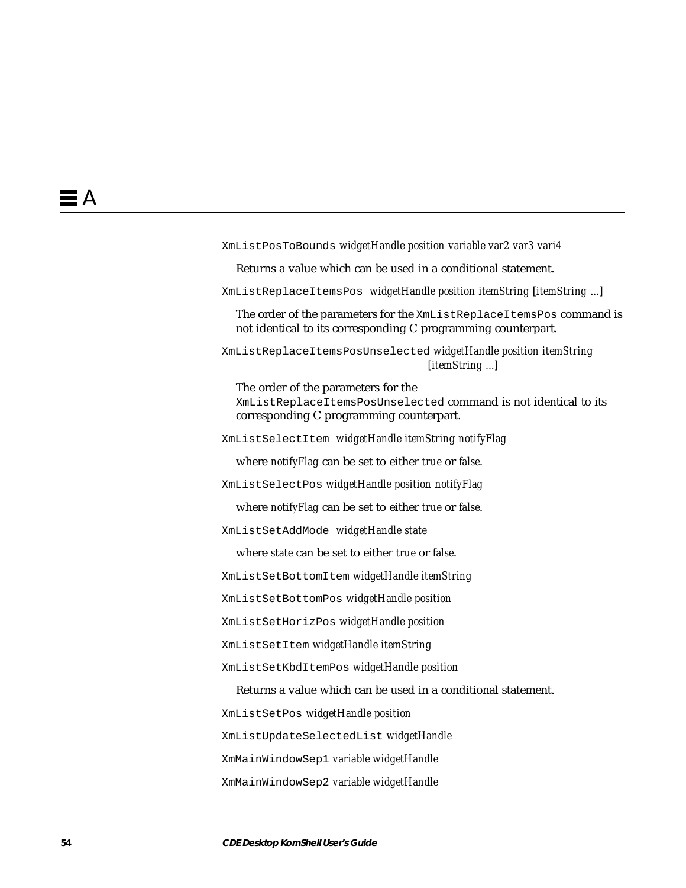XmListPosToBounds *widgetHandle position variable var2 var3 vari4* Returns a value which can be used in a conditional statement. XmListReplaceItemsPos *widgetHandle position itemString* [*itemString* ...] The order of the parameters for the XmListReplaceItemsPos command is not identical to its corresponding C programming counterpart. XmListReplaceItemsPosUnselected *widgetHandle position itemString [itemString ...]* The order of the parameters for the XmListReplaceItemsPosUnselected command is not identical to its corresponding C programming counterpart. XmListSelectItem *widgetHandle itemString notifyFlag* where *notifyFlag* can be set to either *true* or *false*. XmListSelectPos *widgetHandle position notifyFlag* where *notifyFlag* can be set to either *true* or *false*. XmListSetAddMode *widgetHandle state* where *state* can be set to either *true* or *false*. XmListSetBottomItem *widgetHandle itemString* XmListSetBottomPos *widgetHandle position* XmListSetHorizPos *widgetHandle position* XmListSetItem *widgetHandle itemString* XmListSetKbdItemPos *widgetHandle position* Returns a value which can be used in a conditional statement. XmListSetPos *widgetHandle position* XmListUpdateSelectedList *widgetHandle* XmMainWindowSep1 *variable widgetHandle* XmMainWindowSep2 *variable widgetHandle*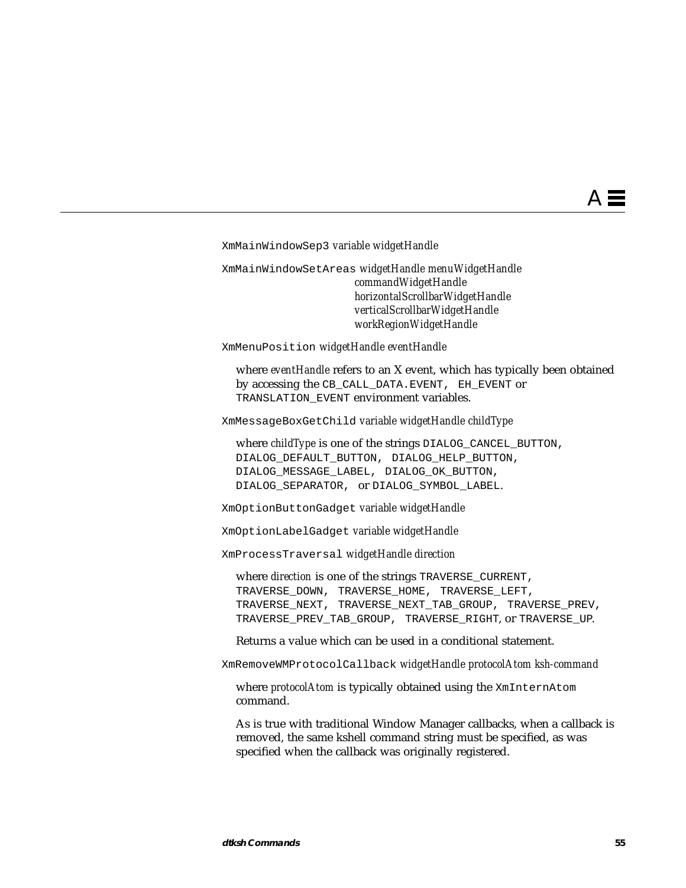XmMainWindowSep3 *variable widgetHandle*

XmMainWindowSetAreas *widgetHandle menuWidgetHandle commandWidgetHandle horizontalScrollbarWidgetHandle verticalScrollbarWidgetHandle workRegionWidgetHandle*

XmMenuPosition *widgetHandle eventHandle*

where *eventHandle* refers to an X event, which has typically been obtained by accessing the CB\_CALL\_DATA.EVENT, EH\_EVENT or TRANSLATION\_EVENT environment variables.

XmMessageBoxGetChild *variable widgetHandle childType*

where *childType* is one of the strings DIALOG\_CANCEL\_BUTTON, DIALOG\_DEFAULT\_BUTTON, DIALOG\_HELP\_BUTTON, DIALOG\_MESSAGE\_LABEL, DIALOG\_OK\_BUTTON, DIALOG\_SEPARATOR, or DIALOG\_SYMBOL\_LABEL.

XmOptionButtonGadget *variable widgetHandle*

XmOptionLabelGadget *variable widgetHandle*

XmProcessTraversal *widgetHandle direction*

where *direction* is one of the strings TRAVERSE CURRENT, TRAVERSE\_DOWN, TRAVERSE\_HOME, TRAVERSE\_LEFT, TRAVERSE\_NEXT, TRAVERSE\_NEXT\_TAB\_GROUP, TRAVERSE\_PREV, TRAVERSE PREV TAB GROUP, TRAVERSE RIGHT, or TRAVERSE UP.

Returns a value which can be used in a conditional statement.

XmRemoveWMProtocolCallback *widgetHandle protocolAtom ksh-command*

where *protocolAtom* is typically obtained using the XmInternAtom command.

As is true with traditional Window Manager callbacks, when a callback is removed, the same kshell command string must be specified, as was specified when the callback was originally registered.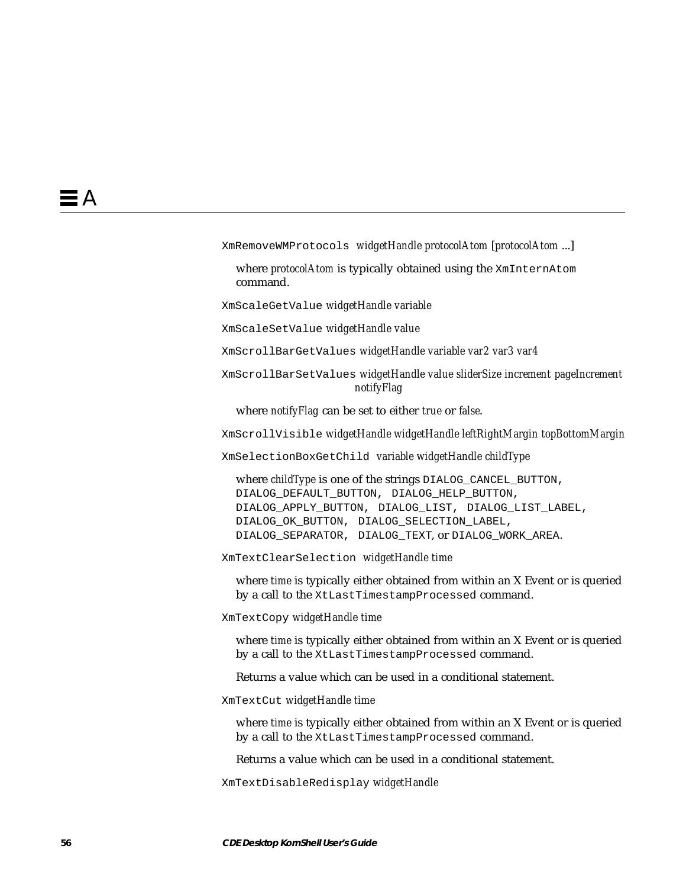XmRemoveWMProtocols *widgetHandle protocolAtom* [*protocolAtom* ...]

where *protocolAtom* is typically obtained using the XmInternAtom command.

XmScaleGetValue *widgetHandle variable*

XmScaleSetValue *widgetHandle value*

XmScrollBarGetValues *widgetHandle variable var2 var3 var4*

XmScrollBarSetValues *widgetHandle value sliderSize increment pageIncrement notifyFlag*

where *notifyFlag* can be set to either *true* or *false*.

XmScrollVisible *widgetHandle widgetHandle leftRightMargin topBottomMargin*

XmSelectionBoxGetChild *variable widgetHandle childType*

where *childType* is one of the strings DIALOG\_CANCEL\_BUTTON, DIALOG\_DEFAULT\_BUTTON, DIALOG\_HELP\_BUTTON, DIALOG\_APPLY\_BUTTON, DIALOG\_LIST, DIALOG\_LIST\_LABEL, DIALOG\_OK\_BUTTON, DIALOG\_SELECTION\_LABEL, DIALOG\_SEPARATOR, DIALOG\_TEXT, or DIALOG\_WORK\_AREA.

XmTextClearSelection *widgetHandle time*

where *time* is typically either obtained from within an X Event or is queried by a call to the XtLastTimestampProcessed command.

XmTextCopy *widgetHandle time*

where *time* is typically either obtained from within an X Event or is queried by a call to the XtLastTimestampProcessed command.

Returns a value which can be used in a conditional statement.

XmTextCut *widgetHandle time*

where *time* is typically either obtained from within an X Event or is queried by a call to the XtLastTimestampProcessed command.

Returns a value which can be used in a conditional statement.

XmTextDisableRedisplay *widgetHandle*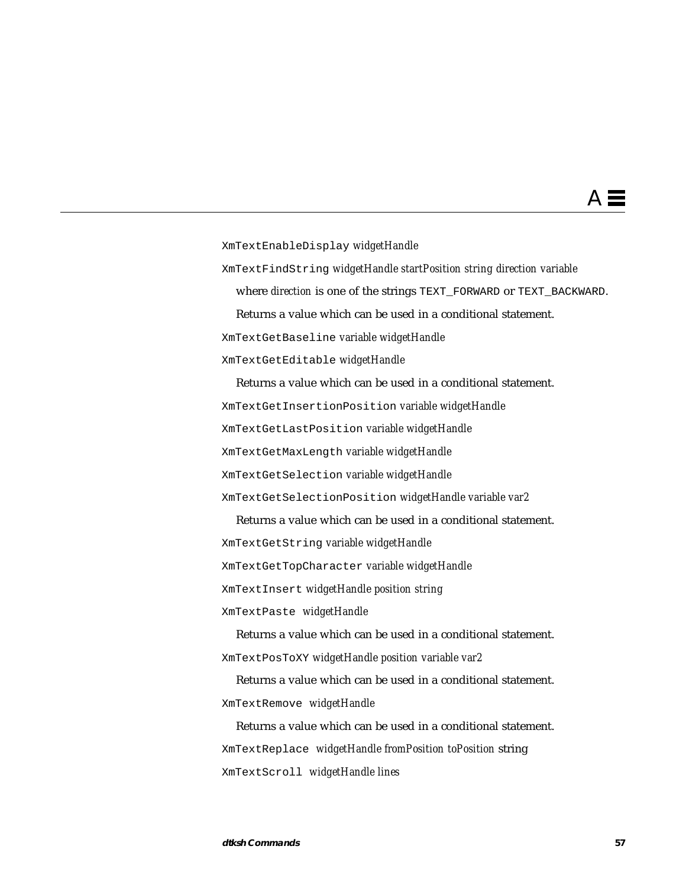# $\mathsf{A} \equiv$

XmTextEnableDisplay *widgetHandle*

XmTextFindString *widgetHandle startPosition string direction variable*

where *direction* is one of the strings TEXT\_FORWARD or TEXT\_BACKWARD.

Returns a value which can be used in a conditional statement.

XmTextGetBaseline *variable widgetHandle*

XmTextGetEditable *widgetHandle*

Returns a value which can be used in a conditional statement. XmTextGetInsertionPosition *variable widgetHandle* XmTextGetLastPosition *variable widgetHandle* XmTextGetMaxLength *variable widgetHandle* XmTextGetSelection *variable widgetHandle* XmTextGetSelectionPosition *widgetHandle variable var2*

Returns a value which can be used in a conditional statement. XmTextGetString *variable widgetHandle* XmTextGetTopCharacter *variable widgetHandle* XmTextInsert *widgetHandle position string*

XmTextPaste *widgetHandle*

Returns a value which can be used in a conditional statement. XmTextPosToXY *widgetHandle position variable var2*

Returns a value which can be used in a conditional statement. XmTextRemove *widgetHandle*

Returns a value which can be used in a conditional statement. XmTextReplace *widgetHandle fromPosition toPosition* string XmTextScroll *widgetHandle lines*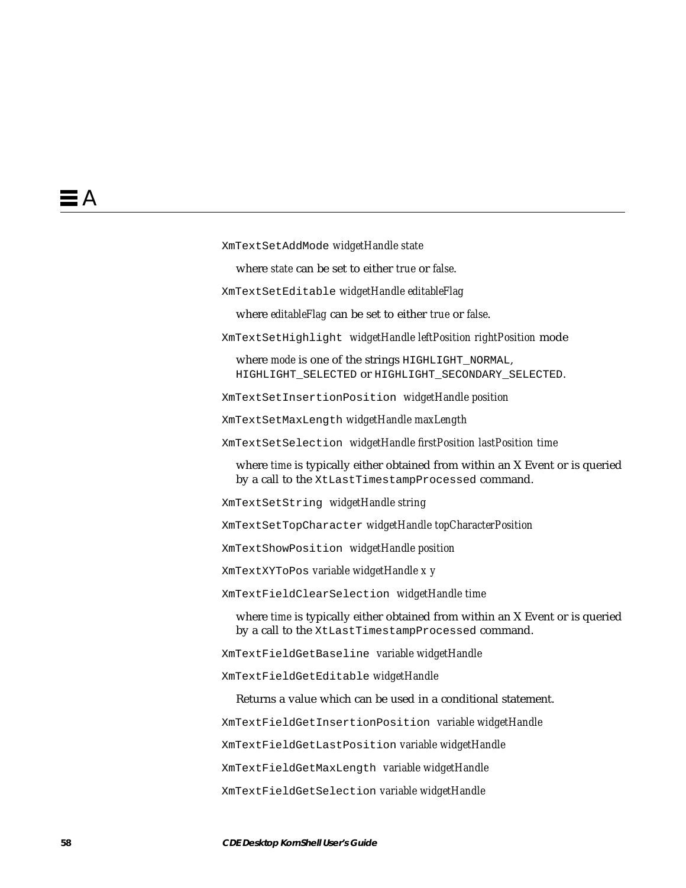XmTextSetAddMode *widgetHandle state*

where *state* can be set to either *true* or *false*.

XmTextSetEditable *widgetHandle editableFlag*

where *editableFlag* can be set to either *true* or *false*.

XmTextSetHighlight *widgetHandle leftPosition rightPosition* mode

where *mode* is one of the strings HIGHLIGHT NORMAL, HIGHLIGHT\_SELECTED or HIGHLIGHT\_SECONDARY\_SELECTED.

XmTextSetInsertionPosition *widgetHandle position*

XmTextSetMaxLength *widgetHandle maxLength*

XmTextSetSelection *widgetHandle firstPosition lastPosition time*

where *time* is typically either obtained from within an X Event or is queried by a call to the XtLastTimestampProcessed command.

XmTextSetString *widgetHandle string*

XmTextSetTopCharacter *widgetHandle topCharacterPosition*

XmTextShowPosition *widgetHandle position*

XmTextXYToPos *variable widgetHandle x y*

XmTextFieldClearSelection *widgetHandle time*

where *time* is typically either obtained from within an X Event or is queried by a call to the XtLastTimestampProcessed command.

XmTextFieldGetBaseline *variable widgetHandle*

XmTextFieldGetEditable *widgetHandle*

Returns a value which can be used in a conditional statement.

XmTextFieldGetInsertionPosition *variable widgetHandle*

XmTextFieldGetLastPosition *variable widgetHandle*

XmTextFieldGetMaxLength *variable widgetHandle*

XmTextFieldGetSelection *variable widgetHandle*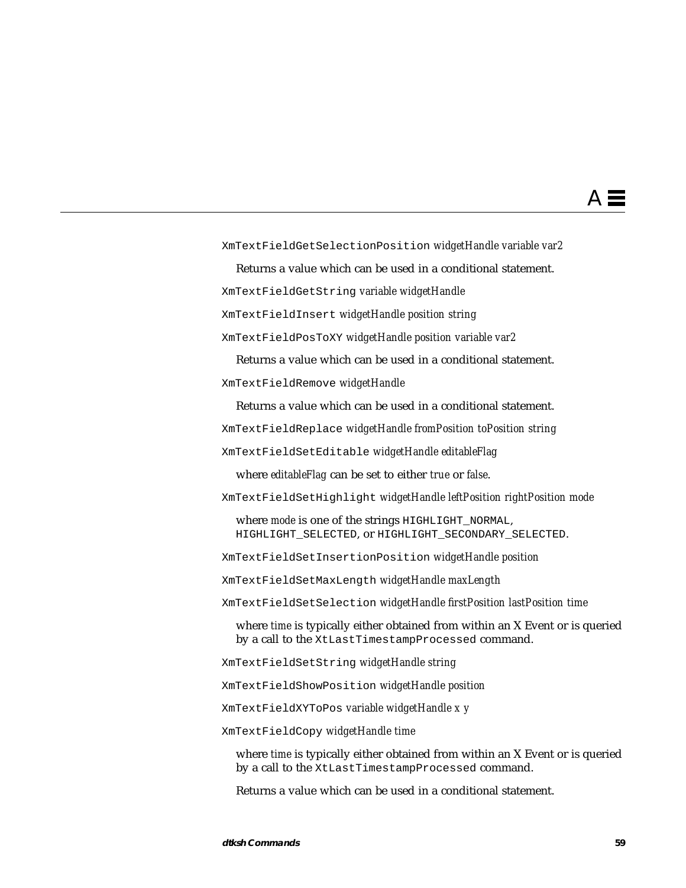XmTextFieldGetSelectionPosition *widgetHandle variable var2*

Returns a value which can be used in a conditional statement.

XmTextFieldGetString *variable widgetHandle*

XmTextFieldInsert *widgetHandle position string*

XmTextFieldPosToXY *widgetHandle position variable var2*

Returns a value which can be used in a conditional statement. XmTextFieldRemove *widgetHandle*

Returns a value which can be used in a conditional statement.

XmTextFieldReplace *widgetHandle fromPosition toPosition string*

XmTextFieldSetEditable *widgetHandle editableFlag*

where *editableFlag* can be set to either *true* or *false*.

XmTextFieldSetHighlight *widgetHandle leftPosition rightPosition mode*

where *mode* is one of the strings HIGHLIGHT NORMAL, HIGHLIGHT\_SELECTED, or HIGHLIGHT\_SECONDARY\_SELECTED.

XmTextFieldSetInsertionPosition *widgetHandle position*

XmTextFieldSetMaxLength *widgetHandle maxLength*

XmTextFieldSetSelection *widgetHandle firstPosition lastPosition time*

where *time* is typically either obtained from within an X Event or is queried by a call to the XtLastTimestampProcessed command.

XmTextFieldSetString *widgetHandle string*

XmTextFieldShowPosition *widgetHandle position*

XmTextFieldXYToPos *variable widgetHandle x y*

XmTextFieldCopy *widgetHandle time*

where *time* is typically either obtained from within an X Event or is queried by a call to the XtLastTimestampProcessed command.

Returns a value which can be used in a conditional statement.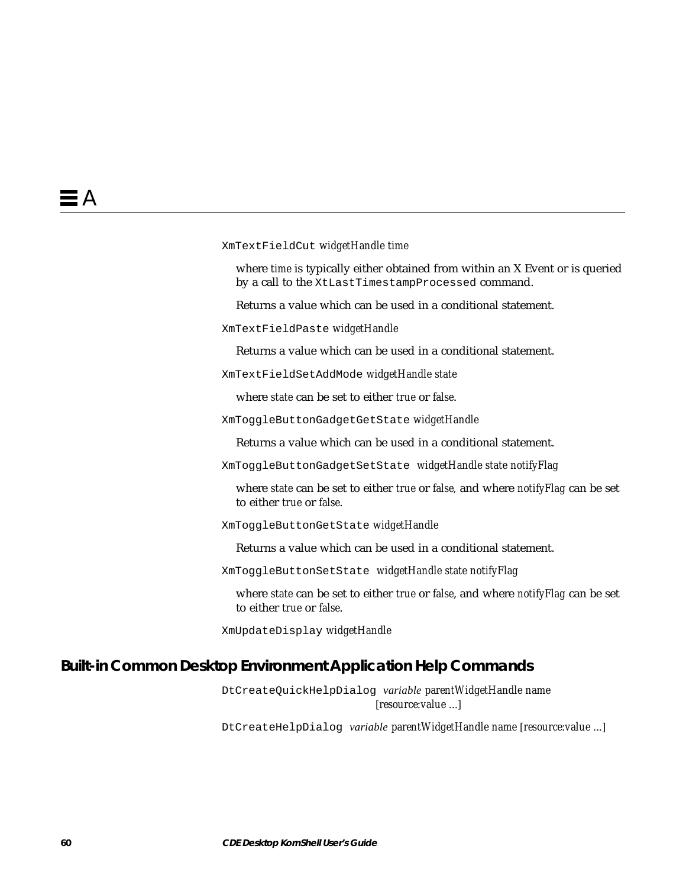XmTextFieldCut *widgetHandle time*

where *time* is typically either obtained from within an X Event or is queried by a call to the XtLastTimestampProcessed command.

Returns a value which can be used in a conditional statement.

XmTextFieldPaste *widgetHandle*

Returns a value which can be used in a conditional statement.

XmTextFieldSetAddMode *widgetHandle state*

where *state* can be set to either *true* or *false*.

XmToggleButtonGadgetGetState *widgetHandle*

Returns a value which can be used in a conditional statement.

XmToggleButtonGadgetSetState *widgetHandle state notifyFlag*

where *state* can be set to either *true* or *false,* and where *notifyFlag* can be set to either *true* or *false*.

XmToggleButtonGetState *widgetHandle*

Returns a value which can be used in a conditional statement.

XmToggleButtonSetState *widgetHandle state notifyFlag*

where *state* can be set to either *true* or *false*, and where *notifyFlag* can be set to either *true* or *false*.

XmUpdateDisplay *widgetHandle*

#### **Built-in Common Desktop Environment Application Help Commands**

DtCreateQuickHelpDialog *variable parentWidgetHandle name* [*resource*:*value* ...]

DtCreateHelpDialog *variable parentWidgetHandle name* [*resource*:*value* ...]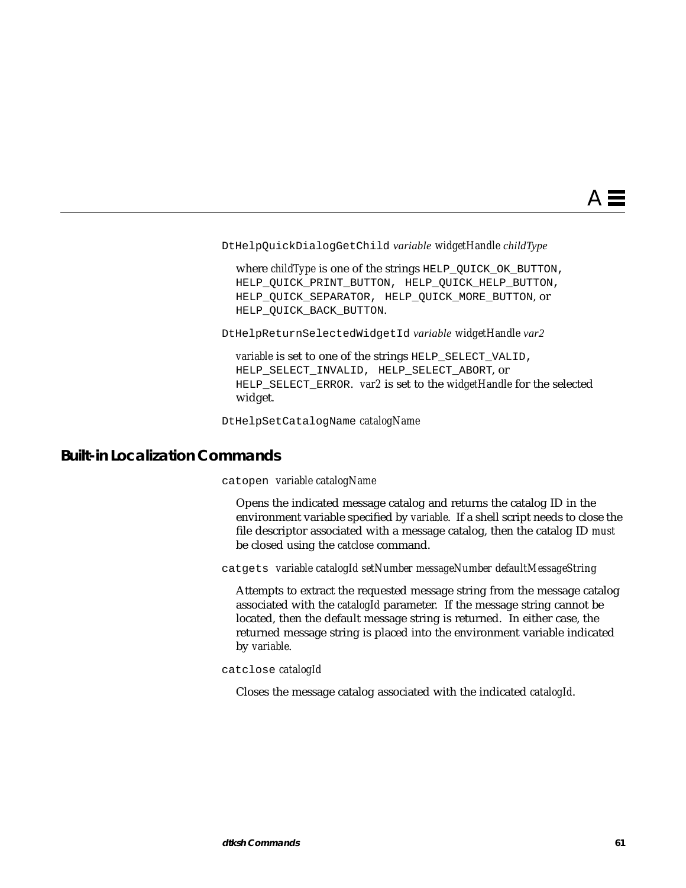DtHelpQuickDialogGetChild *variable widgetHandle childType*

where *childType* is one of the strings HELP QUICK OK BUTTON, HELP\_QUICK\_PRINT\_BUTTON, HELP\_QUICK\_HELP\_BUTTON, HELP\_QUICK\_SEPARATOR, HELP\_QUICK\_MORE\_BUTTON, or HELP\_QUICK\_BACK\_BUTTON.

DtHelpReturnSelectedWidgetId *variable widgetHandle var2*

*variable* is set to one of the strings HELP\_SELECT\_VALID, HELP\_SELECT\_INVALID, HELP\_SELECT\_ABORT, or HELP\_SELECT\_ERROR. *var2* is set to the *widgetHandle* for the selected widget.

DtHelpSetCatalogName *catalogName*

#### **Built-in Localization Commands**

catopen *variable catalogName*

Opens the indicated message catalog and returns the catalog ID in the environment variable specified by *variable*. If a shell script needs to close the file descriptor associated with a message catalog, then the catalog ID *must* be closed using the *catclose* command.

catgets *variable catalogId setNumber messageNumber defaultMessageString*

Attempts to extract the requested message string from the message catalog associated with the *catalogId* parameter. If the message string cannot be located, then the default message string is returned. In either case, the returned message string is placed into the environment variable indicated by *variable*.

catclose *catalogId*

Closes the message catalog associated with the indicated *catalogId*.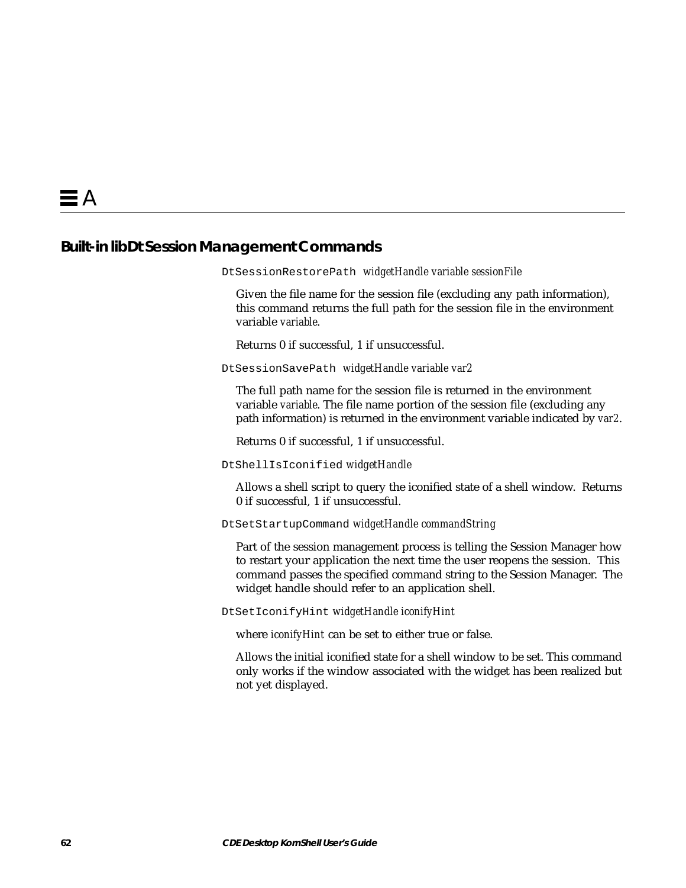## **Built-in libDt Session Management Commands**

```
DtSessionRestorePath widgetHandle variable sessionFile
```
Given the file name for the session file (excluding any path information), this command returns the full path for the session file in the environment variable *variable*.

Returns 0 if successful, 1 if unsuccessful.

DtSessionSavePath *widgetHandle variable var2*

The full path name for the session file is returned in the environment variable *variable*. The file name portion of the session file (excluding any path information) is returned in the environment variable indicated by *var2*.

Returns 0 if successful, 1 if unsuccessful.

DtShellIsIconified *widgetHandle*

Allows a shell script to query the iconified state of a shell window. Returns 0 if successful, 1 if unsuccessful.

DtSetStartupCommand *widgetHandle commandString*

Part of the session management process is telling the Session Manager how to restart your application the next time the user reopens the session. This command passes the specified command string to the Session Manager. The widget handle should refer to an application shell.

DtSetIconifyHint *widgetHandle iconifyHint*

where *iconifyHint* can be set to either true or false.

Allows the initial iconified state for a shell window to be set. This command only works if the window associated with the widget has been realized but not yet displayed.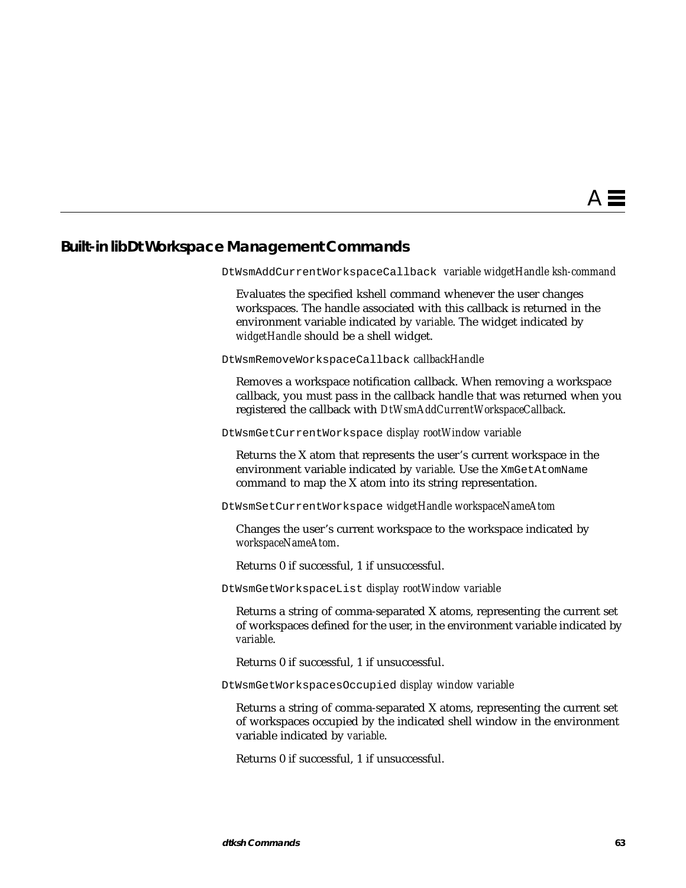## **Built-in libDt Workspace Management Commands**

DtWsmAddCurrentWorkspaceCallback *variable widgetHandle ksh-command*

Evaluates the specified kshell command whenever the user changes workspaces. The handle associated with this callback is returned in the environment variable indicated by *variable*. The widget indicated by *widgetHandle* should be a shell widget.

DtWsmRemoveWorkspaceCallback *callbackHandle*

Removes a workspace notification callback. When removing a workspace callback, you must pass in the callback handle that was returned when you registered the callback with *DtWsmAddCurrentWorkspaceCallback*.

DtWsmGetCurrentWorkspace *display rootWindow variable*

Returns the X atom that represents the user's current workspace in the environment variable indicated by *variable*. Use the XmGetAtomName command to map the X atom into its string representation.

DtWsmSetCurrentWorkspace *widgetHandle workspaceNameAtom*

Changes the user's current workspace to the workspace indicated by *workspaceNameAtom*.

Returns 0 if successful, 1 if unsuccessful.

DtWsmGetWorkspaceList *display rootWindow variable*

Returns a string of comma-separated X atoms, representing the current set of workspaces defined for the user, in the environment variable indicated by *variable*.

Returns 0 if successful, 1 if unsuccessful.

DtWsmGetWorkspacesOccupied *display window variable*

Returns a string of comma-separated X atoms, representing the current set of workspaces occupied by the indicated shell window in the environment variable indicated by *variable*.

Returns 0 if successful, 1 if unsuccessful.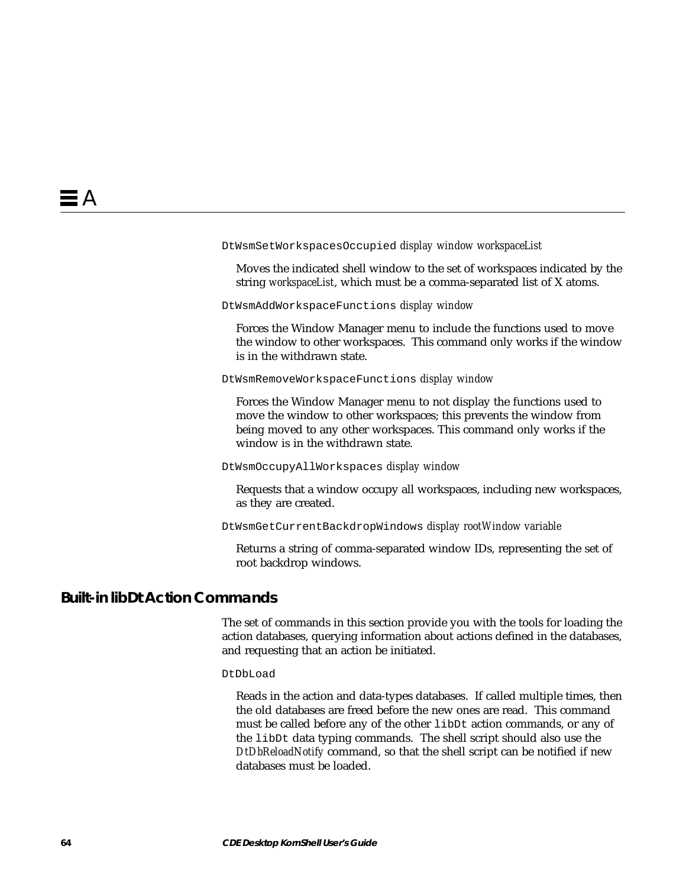#### DtWsmSetWorkspacesOccupied *display window workspaceList*

Moves the indicated shell window to the set of workspaces indicated by the string *workspaceList*, which must be a comma-separated list of X atoms.

DtWsmAddWorkspaceFunctions *display window*

Forces the Window Manager menu to include the functions used to move the window to other workspaces. This command only works if the window is in the withdrawn state.

DtWsmRemoveWorkspaceFunctions *display window*

Forces the Window Manager menu to not display the functions used to move the window to other workspaces; this prevents the window from being moved to any other workspaces. This command only works if the window is in the withdrawn state.

DtWsmOccupyAllWorkspaces *display window*

Requests that a window occupy all workspaces, including new workspaces, as they are created.

DtWsmGetCurrentBackdropWindows *display rootWindow variable*

Returns a string of comma-separated window IDs, representing the set of root backdrop windows.

## **Built-in libDt Action Commands**

The set of commands in this section provide you with the tools for loading the action databases, querying information about actions defined in the databases, and requesting that an action be initiated.

DtDbLoad

Reads in the action and data-types databases. If called multiple times, then the old databases are freed before the new ones are read. This command must be called before any of the other libDt action commands, or any of the libDt data typing commands. The shell script should also use the *DtDbReloadNotify* command, so that the shell script can be notified if new databases must be loaded.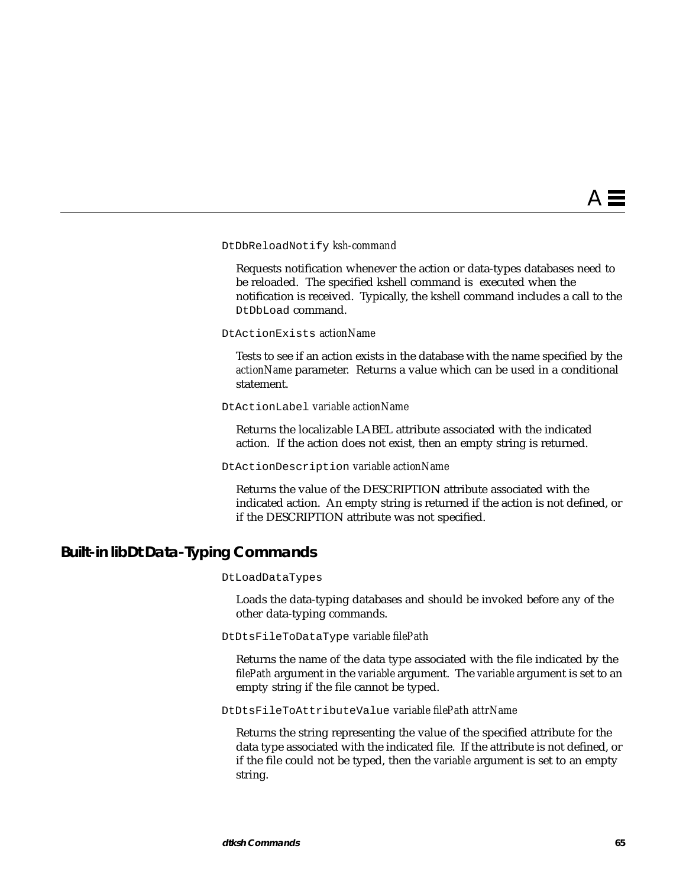#### DtDbReloadNotify *ksh-command*

Requests notification whenever the action or data-types databases need to be reloaded. The specified kshell command is executed when the notification is received. Typically, the kshell command includes a call to the DtDbLoad command.

DtActionExists *actionName*

Tests to see if an action exists in the database with the name specified by the *actionName* parameter. Returns a value which can be used in a conditional statement.

#### DtActionLabel *variable actionName*

Returns the localizable LABEL attribute associated with the indicated action. If the action does not exist, then an empty string is returned.

#### DtActionDescription *variable actionName*

Returns the value of the DESCRIPTION attribute associated with the indicated action. An empty string is returned if the action is not defined, or if the DESCRIPTION attribute was not specified.

## **Built-in libDt Data-Typing Commands**

#### DtLoadDataTypes

Loads the data-typing databases and should be invoked before any of the other data-typing commands.

#### DtDtsFileToDataType *variable filePath*

Returns the name of the data type associated with the file indicated by the *filePath* argument in the *variable* argument. The *variable* argument is set to an empty string if the file cannot be typed.

DtDtsFileToAttributeValue *variable filePath attrName*

Returns the string representing the value of the specified attribute for the data type associated with the indicated file. If the attribute is not defined, or if the file could not be typed, then the *variable* argument is set to an empty string.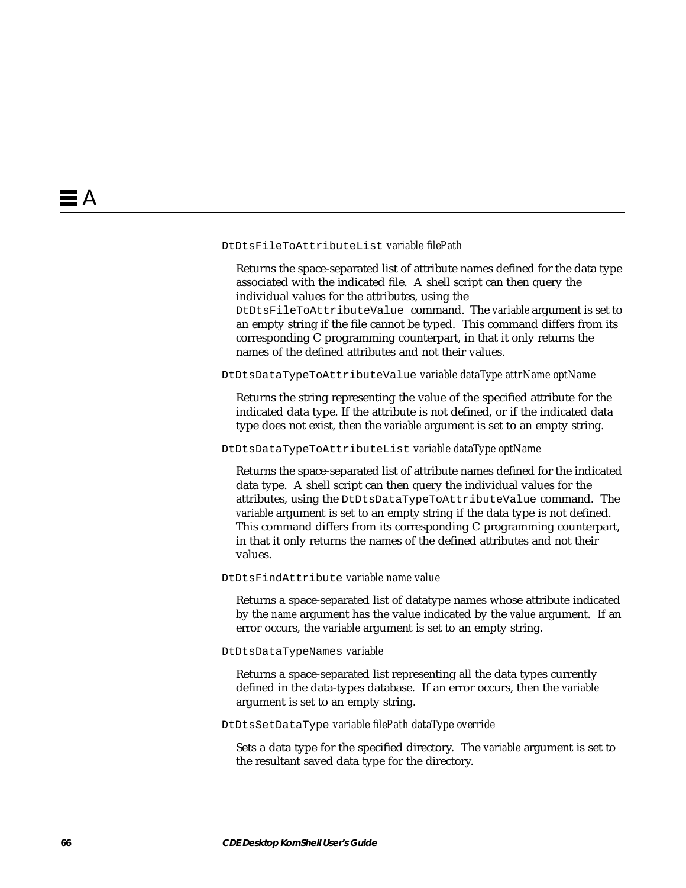#### DtDtsFileToAttributeList *variable filePath*

Returns the space-separated list of attribute names defined for the data type associated with the indicated file. A shell script can then query the individual values for the attributes, using the

DtDtsFileToAttributeValue command. The *variable* argument is set to an empty string if the file cannot be typed. This command differs from its corresponding C programming counterpart, in that it only returns the names of the defined attributes and not their values.

#### DtDtsDataTypeToAttributeValue *variable dataType attrName optName*

Returns the string representing the value of the specified attribute for the indicated data type. If the attribute is not defined, or if the indicated data type does not exist, then the *variable* argument is set to an empty string.

#### DtDtsDataTypeToAttributeList *variable dataType optName*

Returns the space-separated list of attribute names defined for the indicated data type. A shell script can then query the individual values for the attributes, using the DtDtsDataTypeToAttributeValue command. The *variable* argument is set to an empty string if the data type is not defined. This command differs from its corresponding C programming counterpart, in that it only returns the names of the defined attributes and not their values.

#### DtDtsFindAttribute *variable name value*

Returns a space-separated list of datatype names whose attribute indicated by the *name* argument has the value indicated by the *value* argument. If an error occurs, the *variable* argument is set to an empty string.

#### DtDtsDataTypeNames *variable*

Returns a space-separated list representing all the data types currently defined in the data-types database. If an error occurs, then the *variable* argument is set to an empty string.

#### DtDtsSetDataType *variable filePath dataType override*

Sets a data type for the specified directory. The *variable* argument is set to the resultant saved data type for the directory.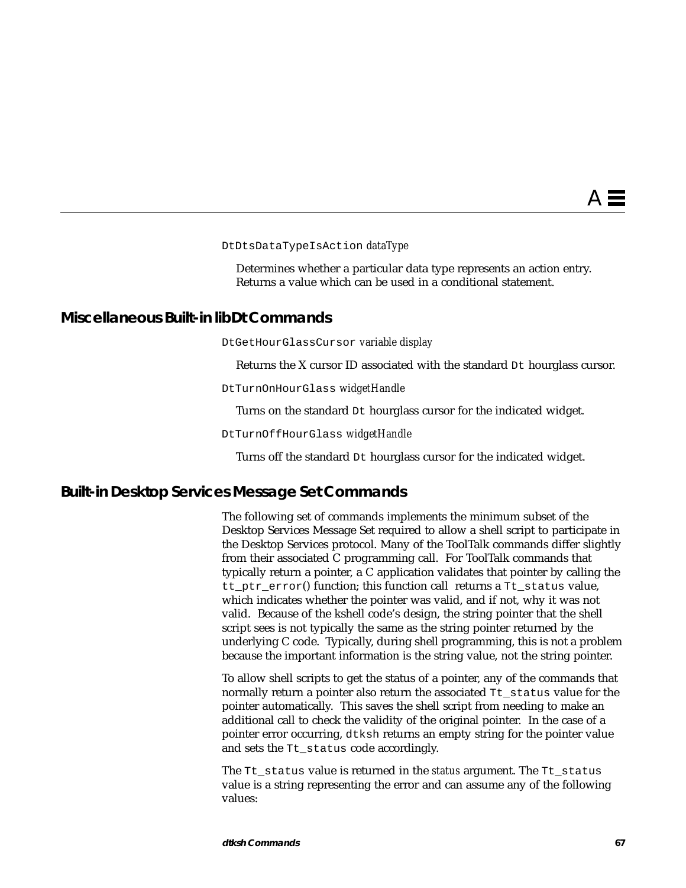#### DtDtsDataTypeIsAction *dataType*

Determines whether a particular data type represents an action entry. Returns a value which can be used in a conditional statement.

### **Miscellaneous Built-in libDt Commands**

DtGetHourGlassCursor *variable display*

Returns the X cursor ID associated with the standard Dt hourglass cursor.

DtTurnOnHourGlass *widgetHandle*

Turns on the standard Dt hourglass cursor for the indicated widget.

DtTurnOffHourGlass *widgetHandle*

Turns off the standard Dt hourglass cursor for the indicated widget.

### **Built-in Desktop Services Message Set Commands**

The following set of commands implements the minimum subset of the Desktop Services Message Set required to allow a shell script to participate in the Desktop Services protocol. Many of the ToolTalk commands differ slightly from their associated C programming call. For ToolTalk commands that typically return a pointer, a C application validates that pointer by calling the tt\_ptr\_error() function; this function call returns a Tt\_status value, which indicates whether the pointer was valid, and if not, why it was not valid. Because of the kshell code's design, the string pointer that the shell script sees is not typically the same as the string pointer returned by the underlying C code. Typically, during shell programming, this is not a problem because the important information is the string value, not the string pointer.

To allow shell scripts to get the status of a pointer, any of the commands that normally return a pointer also return the associated Tt\_status value for the pointer automatically. This saves the shell script from needing to make an additional call to check the validity of the original pointer. In the case of a pointer error occurring, dtksh returns an empty string for the pointer value and sets the Tt status code accordingly.

The Tt\_status value is returned in the *status* argument. The Tt\_status value is a string representing the error and can assume any of the following values: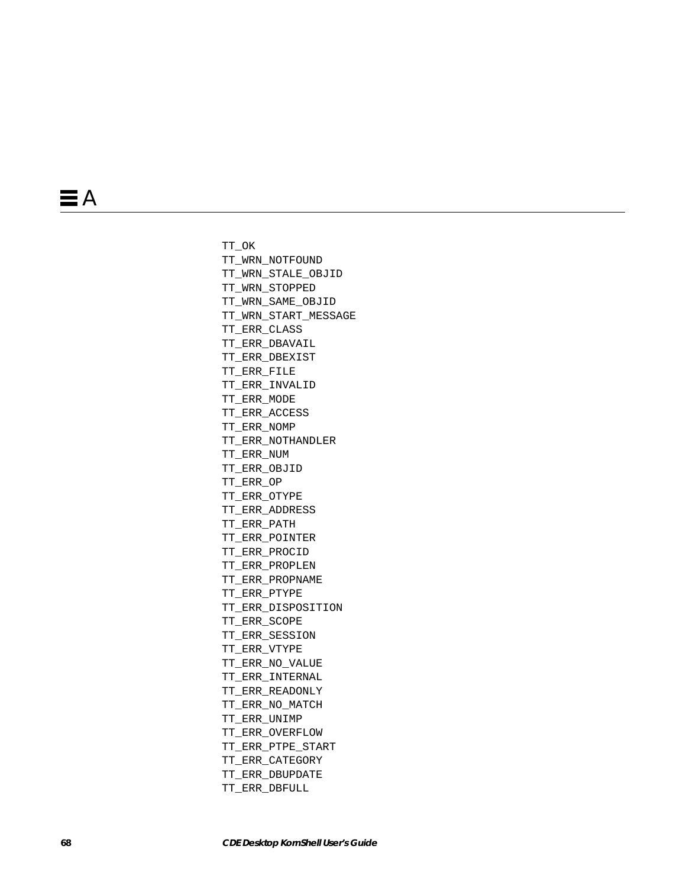TT\_OK TT\_WRN\_NOTFOUND TT\_WRN\_STALE\_OBJID TT\_WRN\_STOPPED TT\_WRN\_SAME\_OBJID TT\_WRN\_START\_MESSAGE TT\_ERR\_CLASS TT\_ERR\_DBAVAIL TT\_ERR\_DBEXIST TT\_ERR\_FILE TT\_ERR\_INVALID TT\_ERR\_MODE TT\_ERR\_ACCESS TT\_ERR\_NOMP TT\_ERR\_NOTHANDLER TT\_ERR\_NUM TT\_ERR\_OBJID TT\_ERR\_OP TT\_ERR\_OTYPE TT\_ERR\_ADDRESS TT\_ERR\_PATH TT\_ERR\_POINTER TT\_ERR\_PROCID TT\_ERR\_PROPLEN TT\_ERR\_PROPNAME TT\_ERR\_PTYPE TT\_ERR\_DISPOSITION TT\_ERR\_SCOPE TT\_ERR\_SESSION TT\_ERR\_VTYPE TT\_ERR\_NO\_VALUE TT\_ERR\_INTERNAL TT\_ERR\_READONLY TT\_ERR\_NO\_MATCH TT\_ERR\_UNIMP TT\_ERR\_OVERFLOW TT\_ERR\_PTPE\_START TT\_ERR\_CATEGORY TT\_ERR\_DBUPDATE TT\_ERR\_DBFULL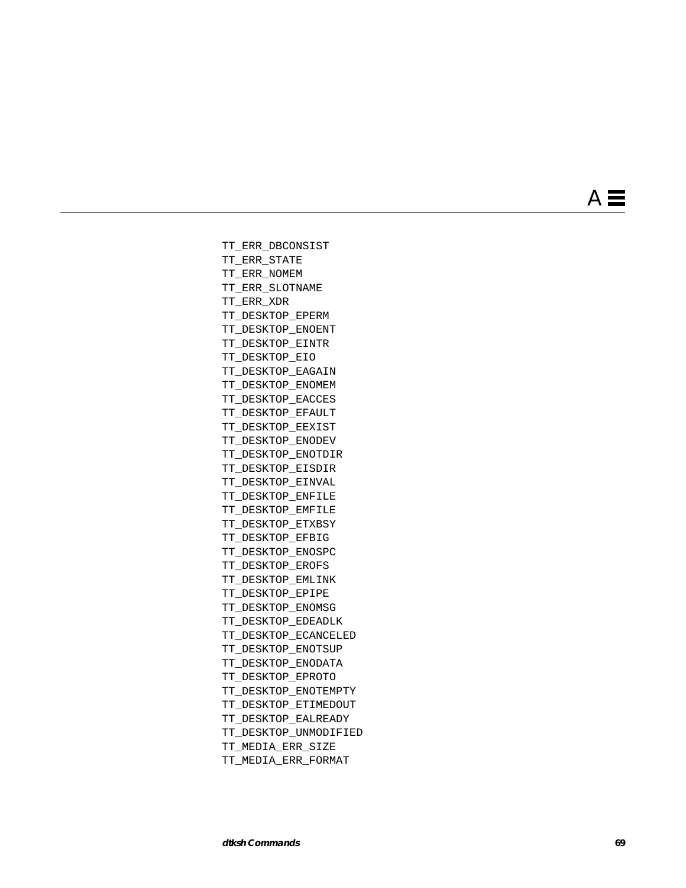**de Commands**<br> **community commands**<br> **community commands**<br> **community commands**<br> **community community community community community community community community community community community community community community** TT\_ERR\_DBCONSIST TT\_ERR\_STATE TT\_ERR\_NOMEM TT\_ERR\_SLOTNAME TT\_ERR\_XDR TT\_DESKTOP\_EPERM TT\_DESKTOP\_ENOENT TT\_DESKTOP\_EINTR TT\_DESKTOP\_EIO TT\_DESKTOP\_EAGAIN TT\_DESKTOP\_ENOMEM TT\_DESKTOP\_EACCES TT\_DESKTOP\_EFAULT TT\_DESKTOP\_EEXIST TT\_DESKTOP\_ENODEV TT\_DESKTOP\_ENOTDIR TT\_DESKTOP\_EISDIR TT\_DESKTOP\_EINVAL TT\_DESKTOP\_ENFILE TT\_DESKTOP\_EMFILE TT\_DESKTOP\_ETXBSY TT\_DESKTOP\_EFBIG TT\_DESKTOP\_ENOSPC TT\_DESKTOP\_EROFS TT\_DESKTOP\_EMLINK TT\_DESKTOP\_EPIPE TT\_DESKTOP\_ENOMSG TT\_DESKTOP\_EDEADLK TT\_DESKTOP\_ECANCELED TT\_DESKTOP\_ENOTSUP TT\_DESKTOP\_ENODATA TT\_DESKTOP\_EPROTO TT\_DESKTOP\_ENOTEMPTY TT\_DESKTOP\_ETIMEDOUT TT\_DESKTOP\_EALREADY TT\_DESKTOP\_UNMODIFIED TT\_MEDIA\_ERR\_SIZE TT\_MEDIA\_ERR\_FORMAT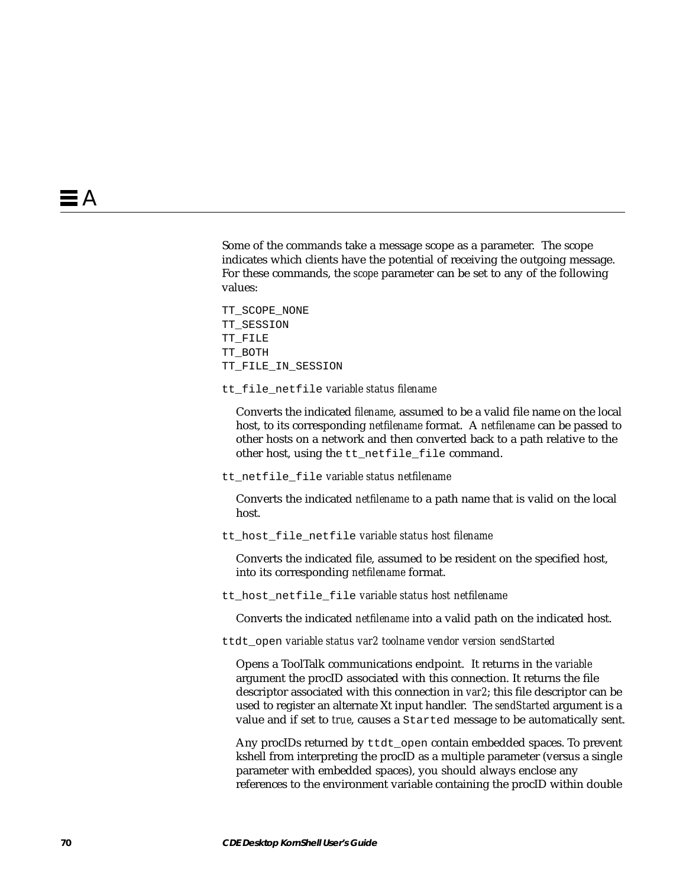Some of the commands take a message scope as a parameter. The scope indicates which clients have the potential of receiving the outgoing message. For these commands, the *scope* parameter can be set to any of the following values:

TT\_SCOPE\_NONE TT\_SESSION TT\_FILE TT\_BOTH TT\_FILE\_IN\_SESSION

tt\_file\_netfile *variable status filename*

Converts the indicated *filename*, assumed to be a valid file name on the local host, to its corresponding *netfilename* format. A *netfilename* can be passed to other hosts on a network and then converted back to a path relative to the other host, using the tt\_netfile\_file command.

tt\_netfile\_file *variable status netfilename*

Converts the indicated *netfilename* to a path name that is valid on the local host.

tt\_host\_file\_netfile *variable status host filename*

Converts the indicated file, assumed to be resident on the specified host, into its corresponding *netfilename* format.

tt\_host\_netfile\_file *variable status host netfilename*

Converts the indicated *netfilename* into a valid path on the indicated host.

ttdt\_open *variable status var2 toolname vendor version sendStarted*

Opens a ToolTalk communications endpoint. It returns in the *variable* argument the procID associated with this connection. It returns the file descriptor associated with this connection in *var2*; this file descriptor can be used to register an alternate Xt input handler. The *sendStarted* argument is a value and if set to *true*, causes a Started message to be automatically sent.

Any procIDs returned by ttdt open contain embedded spaces. To prevent kshell from interpreting the procID as a multiple parameter (versus a single parameter with embedded spaces), you should always enclose any references to the environment variable containing the procID within double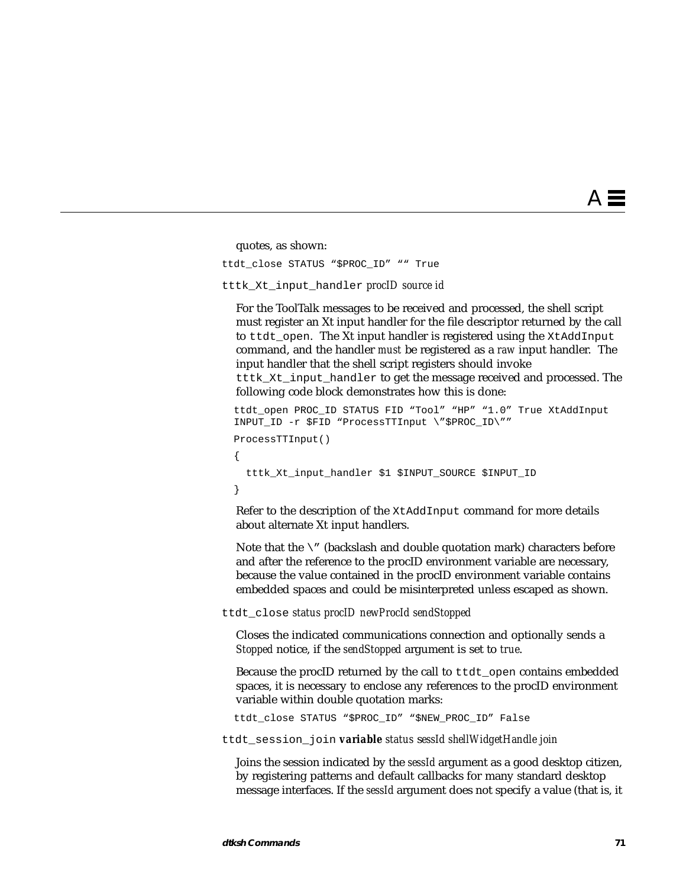quotes, as shown:

ttdt\_close STATUS "\$PROC\_ID" "" True

#### tttk\_Xt\_input\_handler *procID source id*

For the ToolTalk messages to be received and processed, the shell script must register an Xt input handler for the file descriptor returned by the call to ttdt\_open. The Xt input handler is registered using the XtAddInput command, and the handler *must* be registered as a *raw* input handler. The input handler that the shell script registers should invoke tttk Xt input handler to get the message received and processed. The following code block demonstrates how this is done:

```
ttdt open PROC ID STATUS FID "Tool" "HP" "1.0" True XtAddInput
  INPUT_ID -r $FID "ProcessTTInput \"$PROC_ID\""
  ProcessTTInput()
 {
    tttk_Xt_input_handler $1 $INPUT_SOURCE $INPUT_ID
  }
```
Refer to the description of the XtAddInput command for more details about alternate Xt input handlers.

Note that the  $\setminus$ " (backslash and double quotation mark) characters before and after the reference to the procID environment variable are necessary, because the value contained in the procID environment variable contains embedded spaces and could be misinterpreted unless escaped as shown.

ttdt\_close *status procID newProcId sendStopped*

Closes the indicated communications connection and optionally sends a *Stopped* notice, if the *sendStopped* argument is set to *true*.

Because the procID returned by the call to ttdt\_open contains embedded spaces, it is necessary to enclose any references to the procID environment variable within double quotation marks:

ttdt\_close STATUS "\$PROC\_ID" "\$NEW\_PROC\_ID" False

ttdt\_session\_join *variable status* s*essId shellWidgetHandle join*

Joins the session indicated by the *sessId* argument as a good desktop citizen, by registering patterns and default callbacks for many standard desktop message interfaces. If the *sessId* argument does not specify a value (that is, it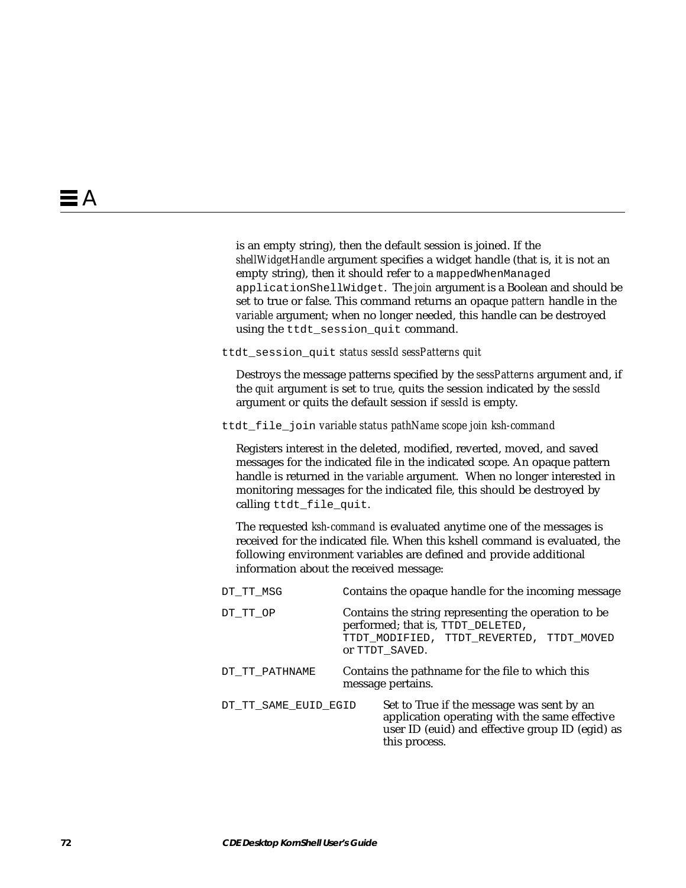is an empty string), then the default session is joined. If the *shellWidgetHandle* argument specifies a widget handle (that is, it is not an empty string), then it should refer to a mappedWhenManaged applicationShellWidget. The *join* argument is a Boolean and should be set to true or false. This command returns an opaque *pattern* handle in the *variable* argument; when no longer needed, this handle can be destroyed using the ttdt session quit command.

ttdt\_session\_quit *status sessId sessPatterns quit*

Destroys the message patterns specified by the *sessPatterns* argument and, if the *quit* argument is set to *true*, quits the session indicated by the *sessId* argument or quits the default session if *sessId* is empty.

ttdt\_file\_join *variable status pathName scope join ksh-command*

Registers interest in the deleted, modified, reverted, moved, and saved messages for the indicated file in the indicated scope. An opaque pattern handle is returned in the *variable* argument. When no longer interested in monitoring messages for the indicated file, this should be destroyed by calling ttdt\_file\_quit.

The requested *ksh-command* is evaluated anytime one of the messages is received for the indicated file. When this kshell command is evaluated, the following environment variables are defined and provide additional information about the received message:

| DT TT MSG            | Contains the opaque handle for the incoming message                                                                                                            |
|----------------------|----------------------------------------------------------------------------------------------------------------------------------------------------------------|
| DT TT OP             | Contains the string representing the operation to be<br>performed; that is, TTDT_DELETED,<br>TTDT MODIFIED, TTDT REVERTED, TTDT MOVED<br>OT TTDT SAVED.        |
| DT TT PATHNAME       | Contains the pathname for the file to which this<br>message pertains.                                                                                          |
| DT TT SAME EUID EGID | Set to True if the message was sent by an<br>application operating with the same effective<br>user ID (euid) and effective group ID (egid) as<br>this process. |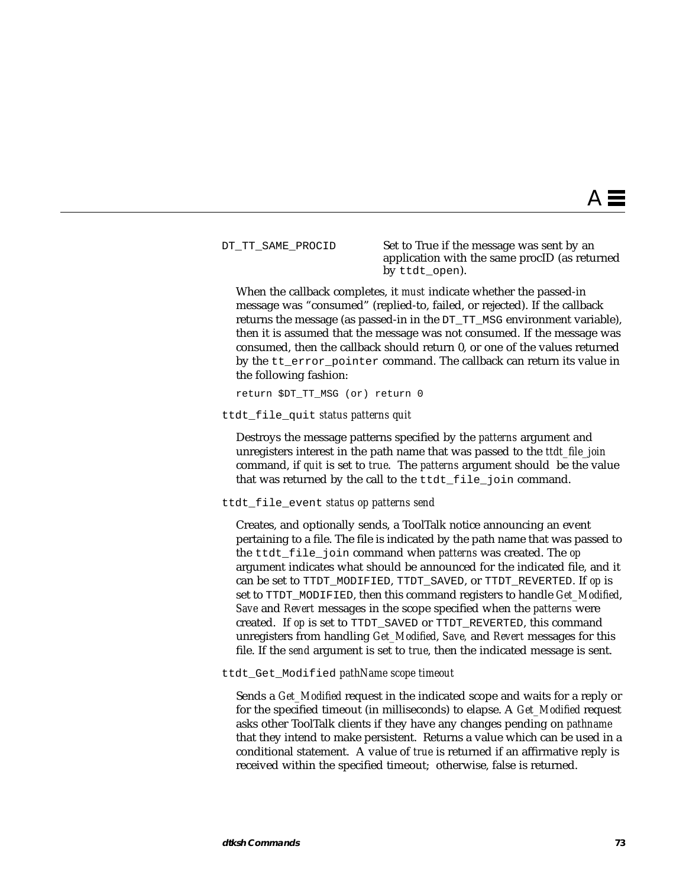DT\_TT\_SAME\_PROCID Set to True if the message was sent by an application with the same procID (as returned by ttdt\_open).

When the callback completes, it *must* indicate whether the passed-in message was "consumed" (replied-to, failed, or rejected). If the callback returns the message (as passed-in in the DT\_TT\_MSG environment variable), then it is assumed that the message was not consumed. If the message was consumed, then the callback should return 0, or one of the values returned by the tt\_error\_pointer command. The callback can return its value in the following fashion:

return \$DT\_TT\_MSG (or) return 0

ttdt\_file\_quit *status patterns quit*

Destroys the message patterns specified by the *patterns* argument and unregisters interest in the path name that was passed to the *ttdt\_file\_join* command, if *quit* is set to *true*. The *patterns* argument should be the value that was returned by the call to the ttdt file join command.

ttdt\_file\_event *status op patterns send*

Creates, and optionally sends, a ToolTalk notice announcing an event pertaining to a file. The file is indicated by the path name that was passed to the ttdt\_file\_join command when *patterns* was created. The *op* argument indicates what should be announced for the indicated file, and it can be set to TTDT\_MODIFIED, TTDT\_SAVED, or TTDT\_REVERTED. If *op* is set to TTDT\_MODIFIED, then this command registers to handle *Get\_Modified*, *Save* and *Revert* messages in the scope specified when the *patterns* were created. If *op* is set to TTDT\_SAVED or TTDT\_REVERTED, this command unregisters from handling *Get\_Modified*, *Save,* and *Revert* messages for this file. If the *send* argument is set to *true*, then the indicated message is sent.

ttdt\_Get\_Modified *pathName scope timeout*

Sends a *Get\_Modified* request in the indicated scope and waits for a reply or for the specified timeout (in milliseconds) to elapse. A *Get\_Modified* request asks other ToolTalk clients if they have any changes pending on *pathname* that they intend to make persistent. Returns a value which can be used in a conditional statement. A value of *true* is returned if an affirmative reply is received within the specified timeout; otherwise, false is returned.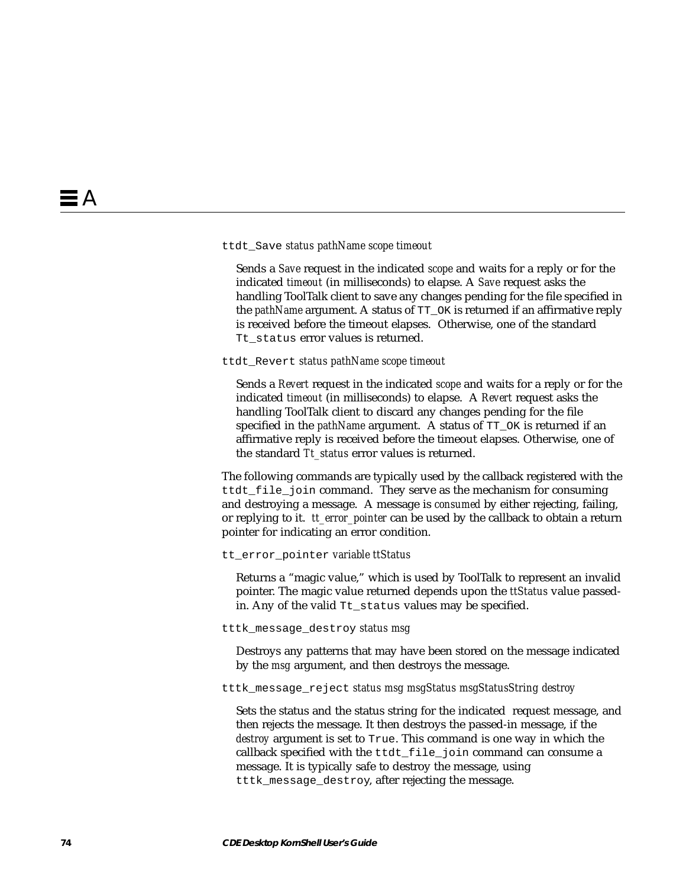#### ttdt\_Save *status pathName scope timeout*

Sends a *Save* request in the indicated *scope* and waits for a reply or for the indicated *timeout* (in milliseconds) to elapse. A *Save* request asks the handling ToolTalk client to save any changes pending for the file specified in the *pathName* argument. A status of TT\_OK is returned if an affirmative reply is received before the timeout elapses. Otherwise, one of the standard Tt status error values is returned.

ttdt\_Revert *status pathName scope timeout*

Sends a *Revert* request in the indicated *scope* and waits for a reply or for the indicated *timeout* (in milliseconds) to elapse. A *Revert* request asks the handling ToolTalk client to discard any changes pending for the file specified in the *pathName* argument. A status of  $TT$  OK is returned if an affirmative reply is received before the timeout elapses. Otherwise, one of the standard *Tt\_status* error values is returned.

The following commands are typically used by the callback registered with the ttdt\_file\_join command. They serve as the mechanism for consuming and destroying a message. A message is *consumed* by either rejecting, failing, or replying to it. *tt\_error\_pointer* can be used by the callback to obtain a return pointer for indicating an error condition.

#### tt\_error\_pointer *variable ttStatus*

Returns a "magic value," which is used by ToolTalk to represent an invalid pointer. The magic value returned depends upon the *ttStatus* value passedin. Any of the valid Tt\_status values may be specified.

#### tttk\_message\_destroy *status msg*

Destroys any patterns that may have been stored on the message indicated by the *msg* argument, and then destroys the message.

#### tttk\_message\_reject *status msg msgStatus msgStatusString destroy*

Sets the status and the status string for the indicated request message, and then rejects the message. It then destroys the passed-in message, if the *destroy* argument is set to True. This command is one way in which the callback specified with the ttdt\_file\_join command can consume a message. It is typically safe to destroy the message, using tttk\_message\_destroy, after rejecting the message.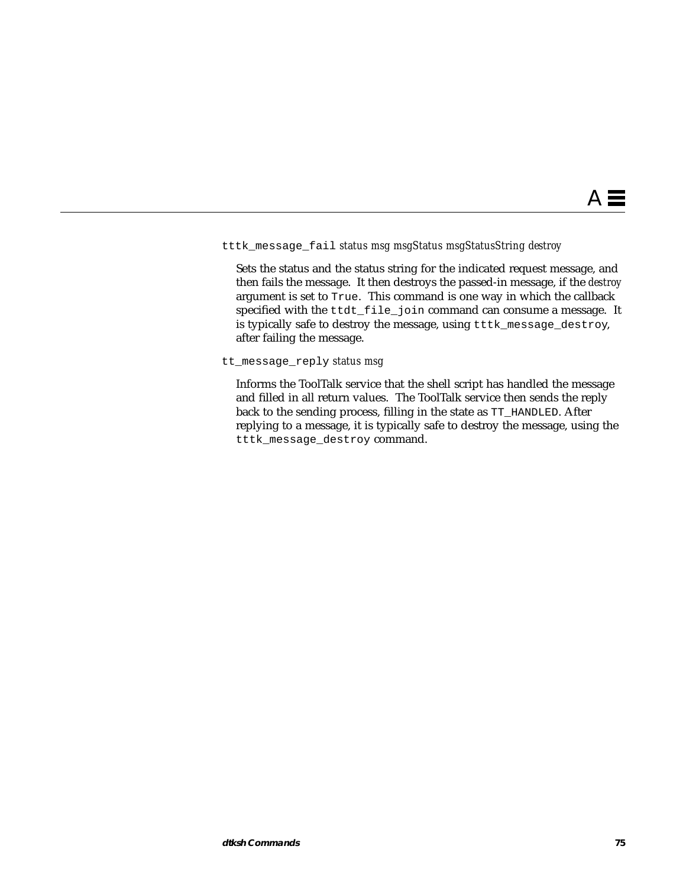### tttk\_message\_fail *status msg msgStatus msgStatusString destroy*

Sets the status and the status string for the indicated request message, and then fails the message. It then destroys the passed-in message, if the *destroy* argument is set to True. This command is one way in which the callback specified with the ttdt\_file\_join command can consume a message. It is typically safe to destroy the message, using tttk\_message\_destroy, after failing the message.

tt\_message\_reply *status msg*

Informs the ToolTalk service that the shell script has handled the message and filled in all return values. The ToolTalk service then sends the reply back to the sending process, filling in the state as TT\_HANDLED. After replying to a message, it is typically safe to destroy the message, using the tttk\_message\_destroy command.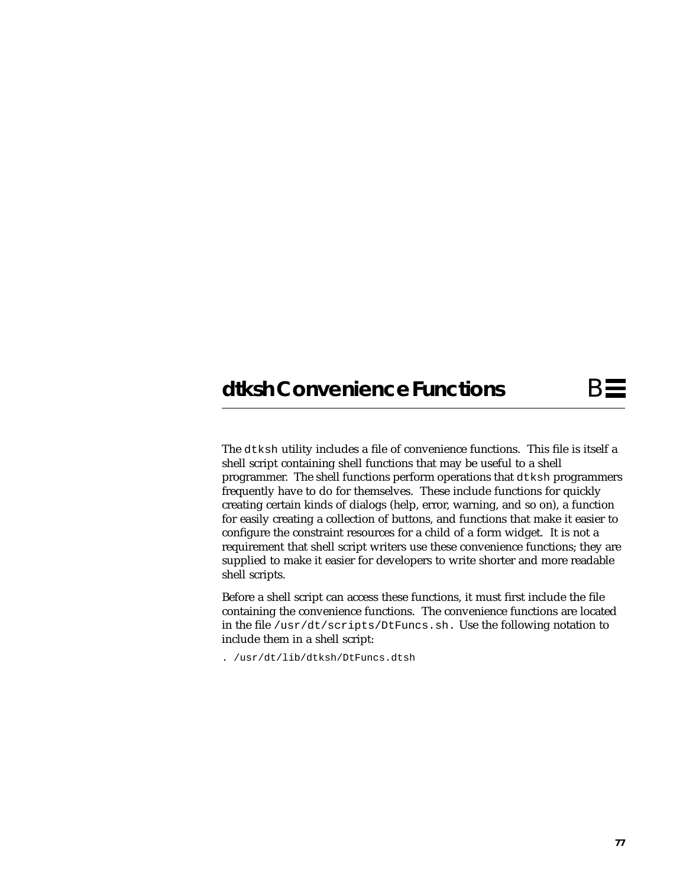# **dtksh Convenience Functions** B

The dtksh utility includes a file of convenience functions. This file is itself a shell script containing shell functions that may be useful to a shell programmer. The shell functions perform operations that dtksh programmers frequently have to do for themselves. These include functions for quickly creating certain kinds of dialogs (help, error, warning, and so on), a function for easily creating a collection of buttons, and functions that make it easier to configure the constraint resources for a child of a form widget. It is not a requirement that shell script writers use these convenience functions; they are supplied to make it easier for developers to write shorter and more readable shell scripts.

Before a shell script can access these functions, it must first include the file containing the convenience functions. The convenience functions are located in the file /usr/dt/scripts/DtFuncs.sh. Use the following notation to include them in a shell script:

. /usr/dt/lib/dtksh/DtFuncs.dtsh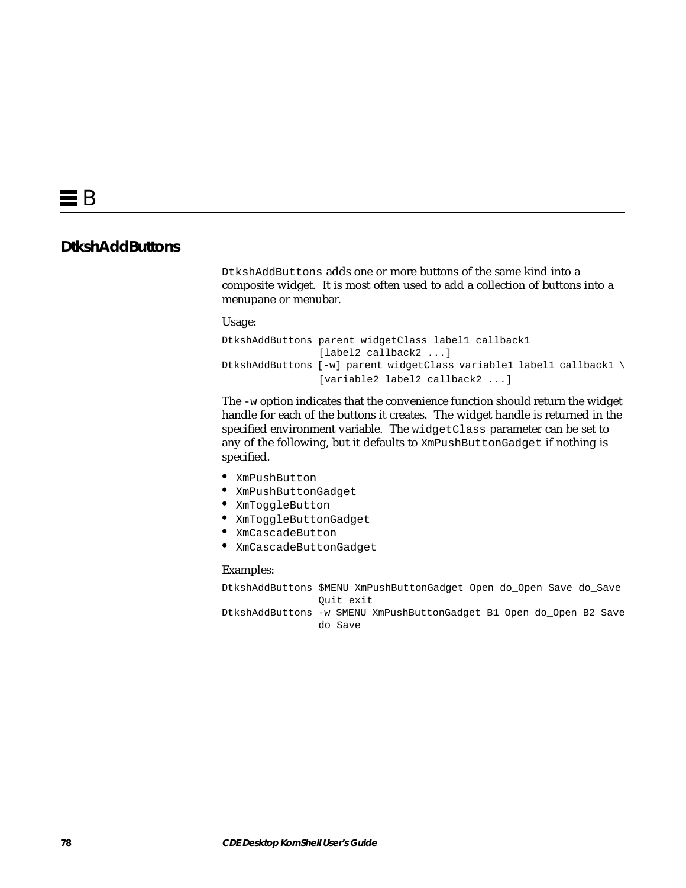## **DtkshAddButtons**

DtkshAddButtons adds one or more buttons of the same kind into a composite widget. It is most often used to add a collection of buttons into a menupane or menubar.

#### Usage:

```
DtkshAddButtons parent widgetClass label1 callback1
                 [label2 callback2 ...]
DtkshAddButtons [-w] parent widgetClass variable1 label1 callback1 \
                 [variable2 label2 callback2 ...]
```
The -w option indicates that the convenience function should return the widget handle for each of the buttons it creates. The widget handle is returned in the specified environment variable. The widgetClass parameter can be set to any of the following, but it defaults to XmPushButtonGadget if nothing is specified.

- **•** XmPushButton
- **•** XmPushButtonGadget
- **•** XmToggleButton
- **•** XmToggleButtonGadget
- **•** XmCascadeButton
- **•** XmCascadeButtonGadget

#### Examples:

DtkshAddButtons \$MENU XmPushButtonGadget Open do\_Open Save do\_Save Quit exit

DtkshAddButtons -w \$MENU XmPushButtonGadget B1 Open do\_Open B2 Save do\_Save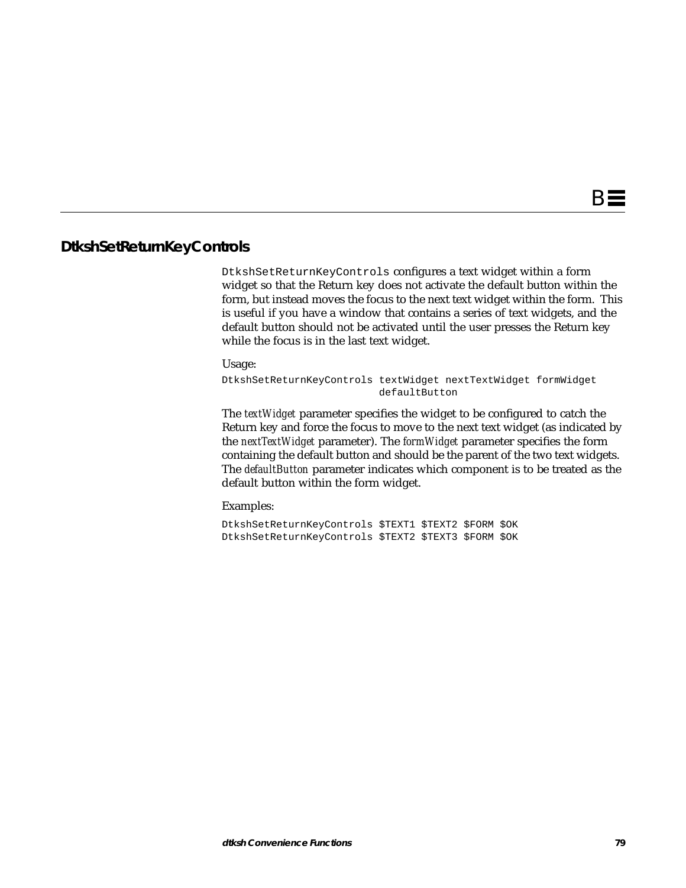### **DtkshSetReturnKeyControls**

DtkshSetReturnKeyControls configures a text widget within a form widget so that the Return key does not activate the default button within the form, but instead moves the focus to the next text widget within the form. This is useful if you have a window that contains a series of text widgets, and the default button should not be activated until the user presses the Return key while the focus is in the last text widget.

Usage:

DtkshSetReturnKeyControls textWidget nextTextWidget formWidget defaultButton

The *textWidget* parameter specifies the widget to be configured to catch the Return key and force the focus to move to the next text widget (as indicated by the *nextTextWidget* parameter). The *formWidget* parameter specifies the form containing the default button and should be the parent of the two text widgets. The *defaultButton* parameter indicates which component is to be treated as the default button within the form widget.

Examples:

DtkshSetReturnKeyControls \$TEXT1 \$TEXT2 \$FORM \$OK DtkshSetReturnKeyControls \$TEXT2 \$TEXT3 \$FORM \$OK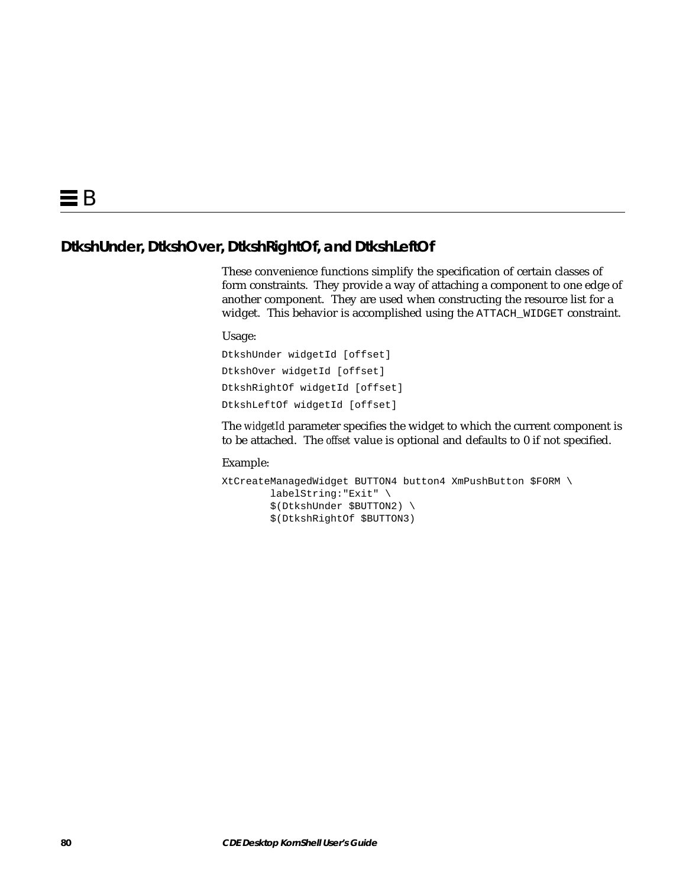## **DtkshUnder, DtkshOver, DtkshRightOf, and DtkshLeftOf**

These convenience functions simplify the specification of certain classes of form constraints. They provide a way of attaching a component to one edge of another component. They are used when constructing the resource list for a widget. This behavior is accomplished using the ATTACH\_WIDGET constraint.

Usage:

DtkshUnder widgetId [offset] DtkshOver widgetId [offset] DtkshRightOf widgetId [offset] DtkshLeftOf widgetId [offset]

The *widgetId* parameter specifies the widget to which the current component is to be attached. The *offset* value is optional and defaults to 0 if not specified.

```
XtCreateManagedWidget BUTTON4 button4 XmPushButton $FORM \
         labelString:"Exit" \
         $(DtkshUnder $BUTTON2) \
         $(DtkshRightOf $BUTTON3)
```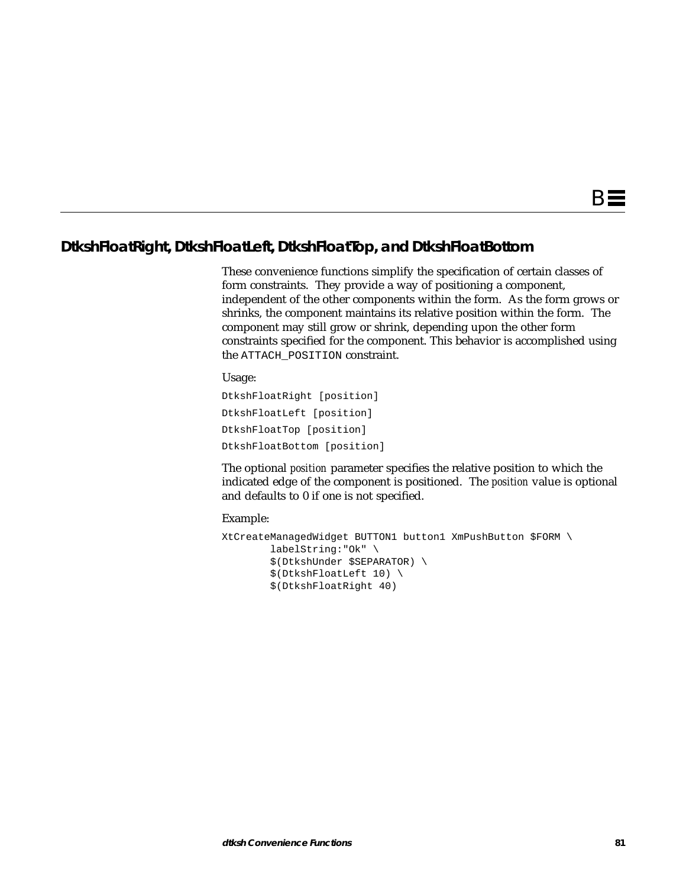## **DtkshFloatRight, DtkshFloatLeft, DtkshFloatTop, and DtkshFloatBottom**

These convenience functions simplify the specification of certain classes of form constraints. They provide a way of positioning a component, independent of the other components within the form. As the form grows or shrinks, the component maintains its relative position within the form. The component may still grow or shrink, depending upon the other form constraints specified for the component. This behavior is accomplished using the ATTACH\_POSITION constraint.

#### Usage:

DtkshFloatRight [position] DtkshFloatLeft [position] DtkshFloatTop [position] DtkshFloatBottom [position]

The optional *position* parameter specifies the relative position to which the indicated edge of the component is positioned. The *position* value is optional and defaults to 0 if one is not specified.

```
XtCreateManagedWidget BUTTON1 button1 XmPushButton $FORM \
         labelString:"Ok" \
         $(DtkshUnder $SEPARATOR) \
         $(DtkshFloatLeft 10) \
         $(DtkshFloatRight 40)
```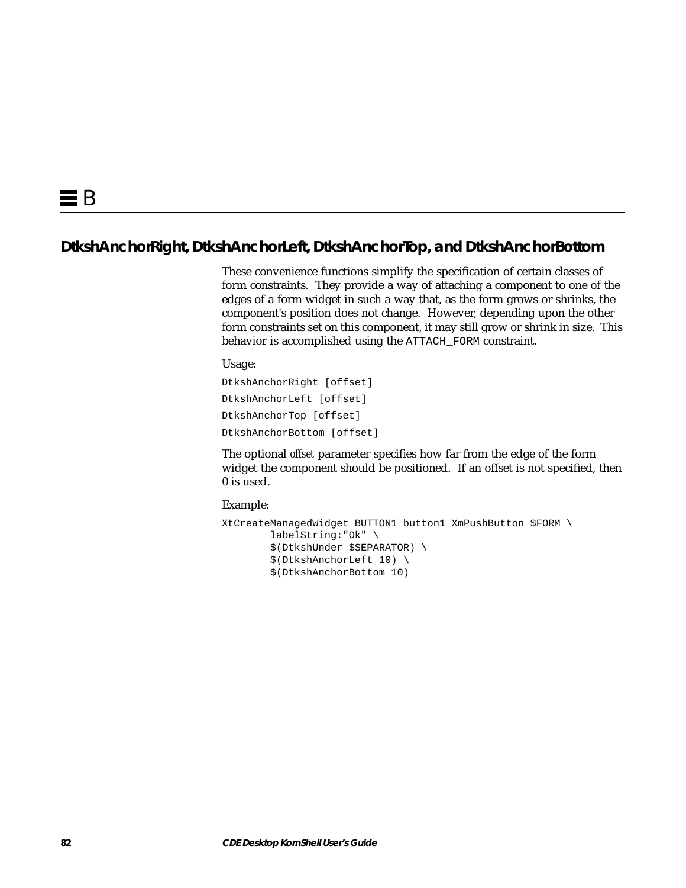## **DtkshAnchorRight, DtkshAnchorLeft, DtkshAnchorTop, and DtkshAnchorBottom**

These convenience functions simplify the specification of certain classes of form constraints. They provide a way of attaching a component to one of the edges of a form widget in such a way that, as the form grows or shrinks, the component's position does not change. However, depending upon the other form constraints set on this component, it may still grow or shrink in size. This behavior is accomplished using the ATTACH\_FORM constraint.

Usage:

DtkshAnchorRight [offset] DtkshAnchorLeft [offset] DtkshAnchorTop [offset] DtkshAnchorBottom [offset]

The optional *offset* parameter specifies how far from the edge of the form widget the component should be positioned. If an offset is not specified, then 0 is used.

```
XtCreateManagedWidget BUTTON1 button1 XmPushButton $FORM \
         labelString:"Ok" \
         $(DtkshUnder $SEPARATOR) \
         $(DtkshAnchorLeft 10) \
         $(DtkshAnchorBottom 10)
```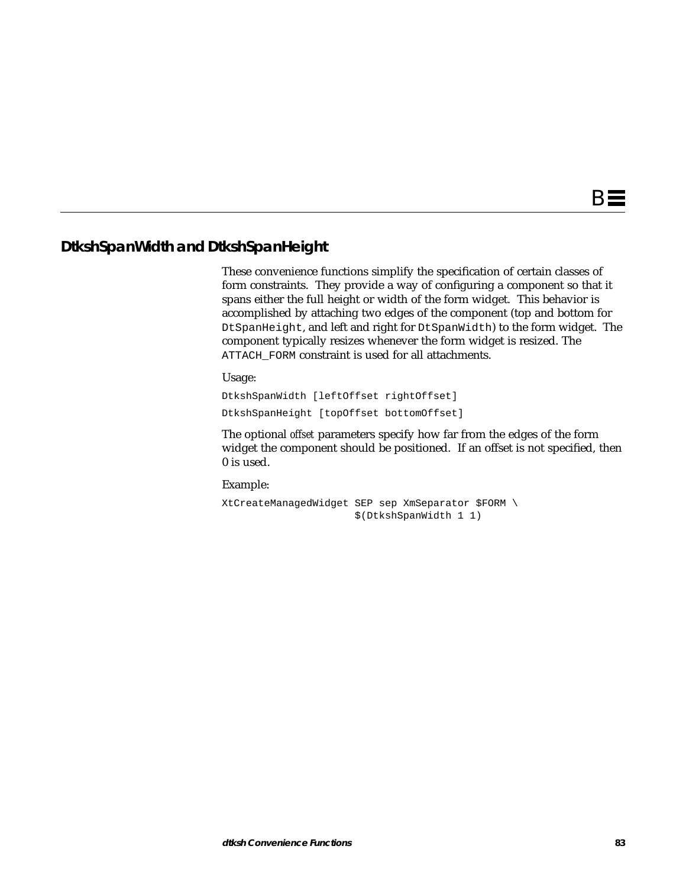## **DtkshSpanWidth and DtkshSpanHeight**

These convenience functions simplify the specification of certain classes of form constraints. They provide a way of configuring a component so that it spans either the full height or width of the form widget. This behavior is accomplished by attaching two edges of the component (top and bottom for DtSpanHeight, and left and right for DtSpanWidth) to the form widget. The component typically resizes whenever the form widget is resized. The ATTACH FORM constraint is used for all attachments.

Usage:

DtkshSpanWidth [leftOffset rightOffset] DtkshSpanHeight [topOffset bottomOffset]

The optional *offset* parameters specify how far from the edges of the form widget the component should be positioned. If an offset is not specified, then 0 is used.

Example:

XtCreateManagedWidget SEP sep XmSeparator \$FORM \ \$(DtkshSpanWidth 1 1)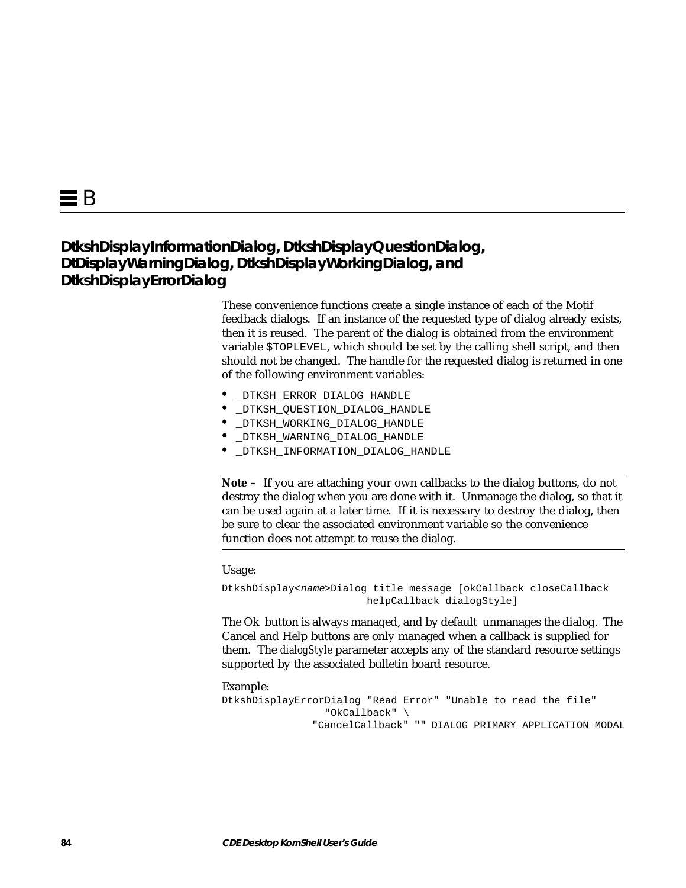## **DtkshDisplayInformationDialog, DtkshDisplayQuestionDialog, DtDisplayWarningDialog, DtkshDisplayWorkingDialog, and DtkshDisplayErrorDialog**

These convenience functions create a single instance of each of the Motif feedback dialogs. If an instance of the requested type of dialog already exists, then it is reused. The parent of the dialog is obtained from the environment variable \$TOPLEVEL, which should be set by the calling shell script, and then should not be changed. The handle for the requested dialog is returned in one of the following environment variables:

- **•** \_DTKSH\_ERROR\_DIALOG\_HANDLE
- **•** \_DTKSH\_QUESTION\_DIALOG\_HANDLE
- **•** \_DTKSH\_WORKING\_DIALOG\_HANDLE
- **•** \_DTKSH\_WARNING\_DIALOG\_HANDLE
- **•** \_DTKSH\_INFORMATION\_DIALOG\_HANDLE

**Note –** If you are attaching your own callbacks to the dialog buttons, do not destroy the dialog when you are done with it. Unmanage the dialog, so that it can be used again at a later time. If it is necessary to destroy the dialog, then be sure to clear the associated environment variable so the convenience function does not attempt to reuse the dialog.

Usage:

DtkshDisplay<name>Dialog title message [okCallback closeCallback helpCallback dialogStyle]

The Ok button is always managed, and by default unmanages the dialog. The Cancel and Help buttons are only managed when a callback is supplied for them. The *dialogStyle* parameter accepts any of the standard resource settings supported by the associated bulletin board resource.

```
DtkshDisplayErrorDialog "Read Error" "Unable to read the file"
                  "OkCallback" \
                "CancelCallback" "" DIALOG_PRIMARY_APPLICATION_MODAL
```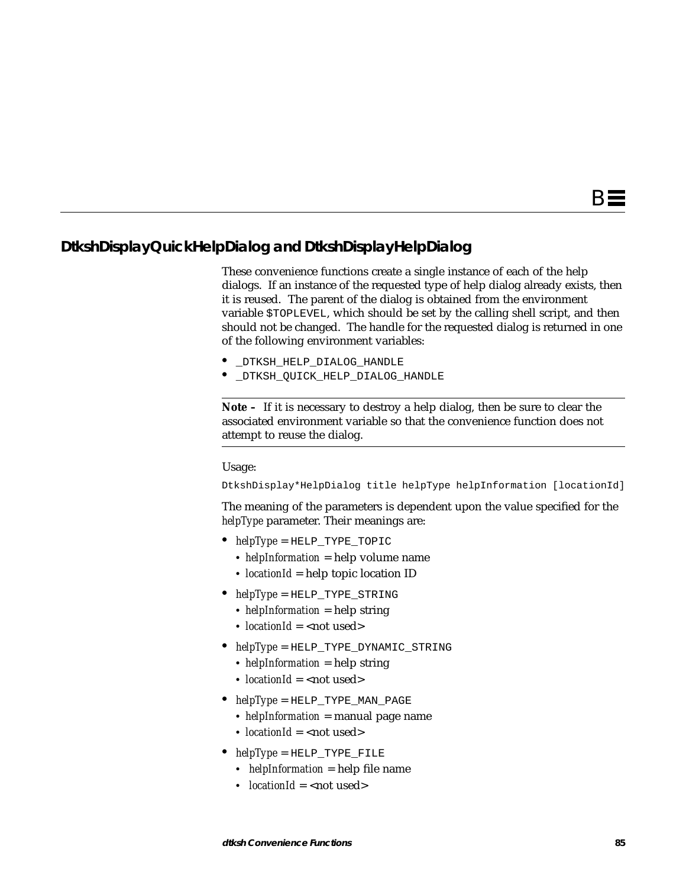## **DtkshDisplayQuickHelpDialog and DtkshDisplayHelpDialog**

These convenience functions create a single instance of each of the help dialogs. If an instance of the requested type of help dialog already exists, then it is reused. The parent of the dialog is obtained from the environment variable \$TOPLEVEL, which should be set by the calling shell script, and then should not be changed. The handle for the requested dialog is returned in one of the following environment variables:

- **•** \_DTKSH\_HELP\_DIALOG\_HANDLE
- **•** \_DTKSH\_QUICK\_HELP\_DIALOG\_HANDLE

**Note –** If it is necessary to destroy a help dialog, then be sure to clear the associated environment variable so that the convenience function does not attempt to reuse the dialog.

#### Usage:

DtkshDisplay\*HelpDialog title helpType helpInformation [locationId]

The meaning of the parameters is dependent upon the value specified for the *helpType* parameter. Their meanings are:

- **•** *helpType* = HELP\_TYPE\_TOPIC
	- **•** *helpInformation* = help volume name
	- **•** *locationId* = help topic location ID
- **•** *helpType* = HELP\_TYPE\_STRING
	- **•** *helpInformation* = help string
	- *locationId* = <not used>
- **•** *helpType* = HELP\_TYPE\_DYNAMIC\_STRING
	- **•** *helpInformation* = help string
	- *locationId* = <not used>
- **•** *helpType* = HELP\_TYPE\_MAN\_PAGE
	- **•** *helpInformation* = manual page name
	- *locationId* = <not used>
- **•** *helpType* = HELP\_TYPE\_FILE
	- **•** *helpInformation* = help file name
	- *locationId* = <not used>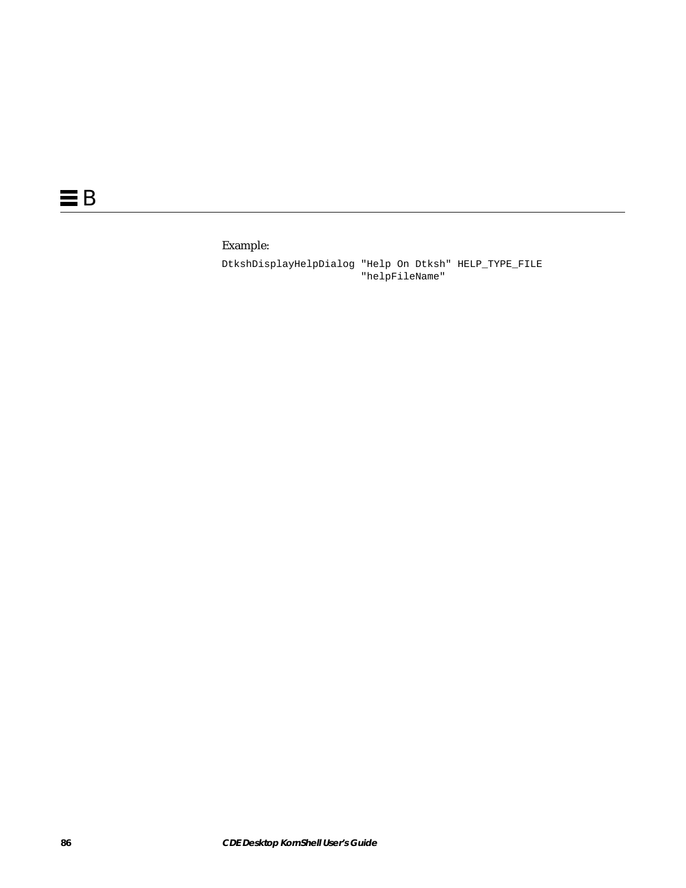## Example:

DtkshDisplayHelpDialog "Help On Dtksh" HELP\_TYPE\_FILE "helpFileName"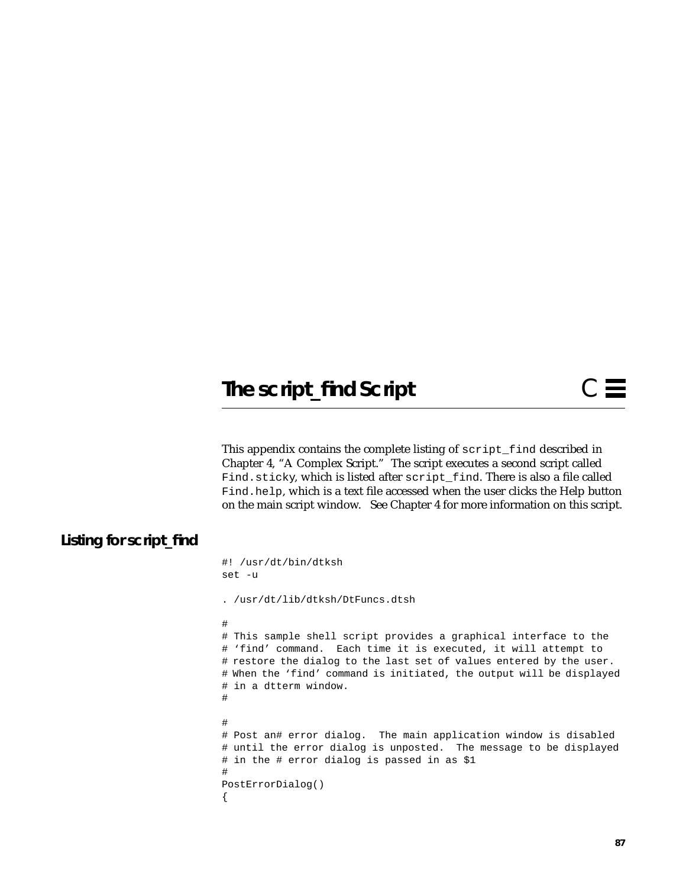# **The script\_find Script**

This appendix contains the complete listing of script\_find described in Chapter 4, "A Complex Script." The script executes a second script called Find.sticky, which is listed after script\_find. There is also a file called Find.help, which is a text file accessed when the user clicks the Help button on the main script window. See Chapter 4 for more information on this script.

## **Listing for script\_find**

```
#! /usr/dt/bin/dtksh
set -u
. /usr/dt/lib/dtksh/DtFuncs.dtsh
#
# This sample shell script provides a graphical interface to the
# 'find' command. Each time it is executed, it will attempt to
# restore the dialog to the last set of values entered by the user.
# When the 'find' command is initiated, the output will be displayed
# in a dtterm window.
#
#
# Post an# error dialog. The main application window is disabled
# until the error dialog is unposted. The message to be displayed
# in the # error dialog is passed in as $1
#
PostErrorDialog()
{
```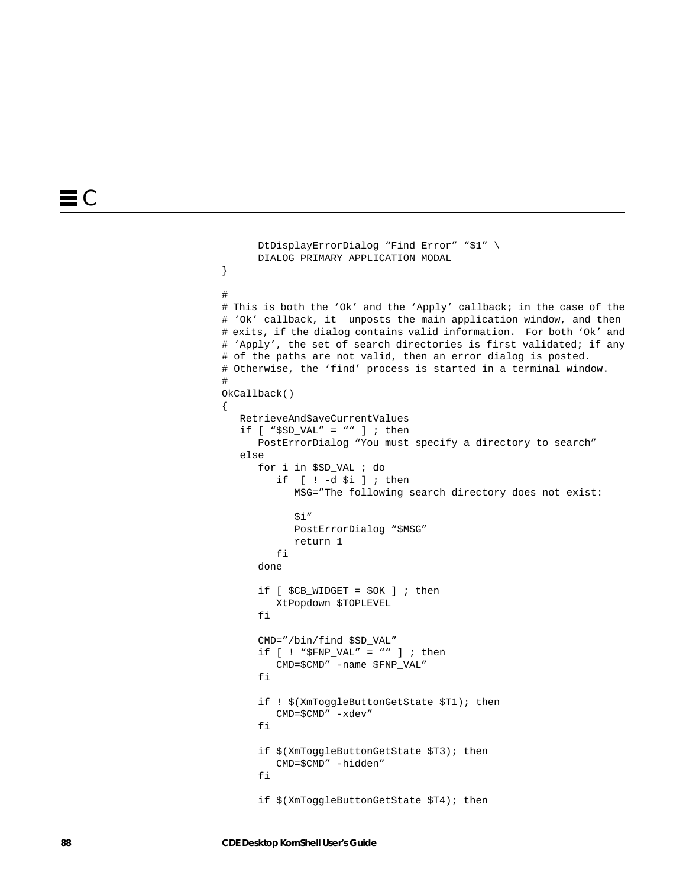```
 DtDisplayErrorDialog "Find Error" "$1" \
      DIALOG_PRIMARY_APPLICATION_MODAL
}
#
# This is both the 'Ok' and the 'Apply' callback; in the case of the
# 'Ok' callback, it unposts the main application window, and then
# exits, if the dialog contains valid information. For both 'Ok' and
# 'Apply', the set of search directories is first validated; if any
# of the paths are not valid, then an error dialog is posted.
# Otherwise, the 'find' process is started in a terminal window.
#
OkCallback()
{
   RetrieveAndSaveCurrentValues
  if [ "$SD_VAL" = "" ] ; then
       PostErrorDialog "You must specify a directory to search"
    else
       for i in $SD_VAL ; do
          if [ ! -d $i ] ; then
             MSG="The following search directory does not exist:
            $i" PostErrorDialog "$MSG"
             return 1
          fi
       done
      if [ $CB_WIDGET = $OK ] ; then
          XtPopdown $TOPLEVEL
       fi
       CMD="/bin/find $SD_VAL"
       if [ ! "$FNP_VAL" = "" ] ; then
          CMD=$CMD" -name $FNP_VAL"
       fi
       if ! $(XmToggleButtonGetState $T1); then
          CMD=$CMD" -xdev"
       fi
       if $(XmToggleButtonGetState $T3); then
          CMD=$CMD" -hidden"
       fi
```
if \$(XmToggleButtonGetState \$T4); then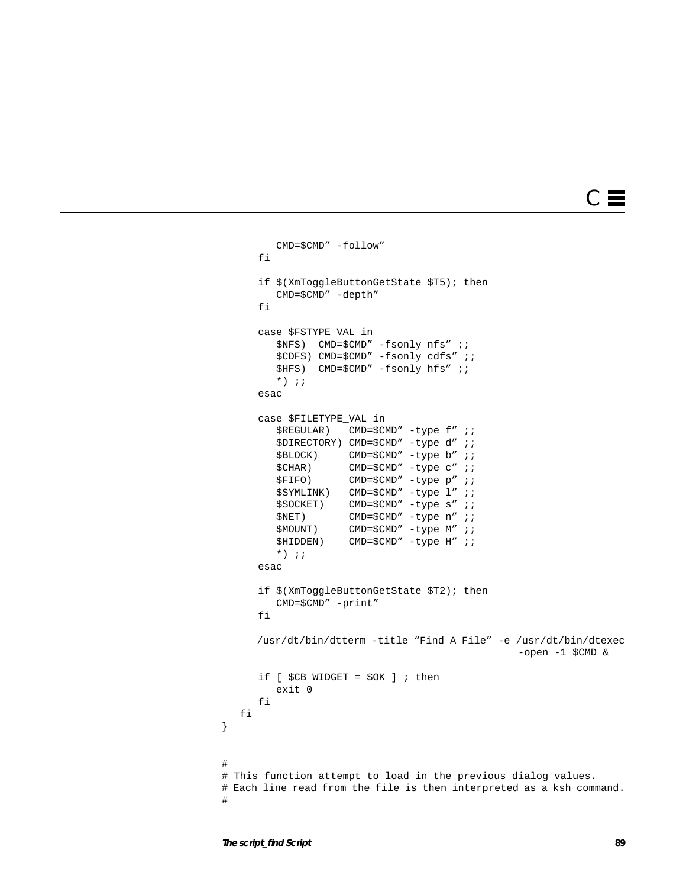# $C \equiv$

```
 CMD=$CMD" -follow"
       fi
       if $(XmToggleButtonGetState $T5); then
         CMD=$CMD" -depth"
       fi
       case $FSTYPE_VAL in
          $NFS) CMD=$CMD" -fsonly nfs" ;;
          $CDFS) CMD=$CMD" -fsonly cdfs" ;;
          $HFS) CMD=$CMD" -fsonly hfs" ;;
         *) ;;
       esac
       case $FILETYPE_VAL in
         $REGULAR) CMD=$CMD" -type f" ;;
          $DIRECTORY) CMD=$CMD" -type d" ;;
          $BLOCK) CMD=$CMD" -type b" ;;
         $CHAR) CMD=$CMD" -type c" ;;
          $FIFO) CMD=$CMD" -type p" ;;
          $SYMLINK) CMD=$CMD" -type l" ;;
          $SOCKET) CMD=$CMD" -type s" ;;
          $NET) CMD=$CMD" -type n" ;;
          $MOUNT) CMD=$CMD" -type M" ;;
          $HIDDEN) CMD=$CMD" -type H" ;;
         *) ;;
       esac
       if $(XmToggleButtonGetState $T2); then
          CMD=$CMD" -print"
       fi
      /usr/dt/bin/dtterm -title "Find A File" -e /usr/dt/bin/dtexec
                                                 -open -1 $CMD &
      if [ $CB_WIDGET = $OK ] ; then
          exit 0
      fi
   fi
}
#
# This function attempt to load in the previous dialog values.
# Each line read from the file is then interpreted as a ksh command.
#
```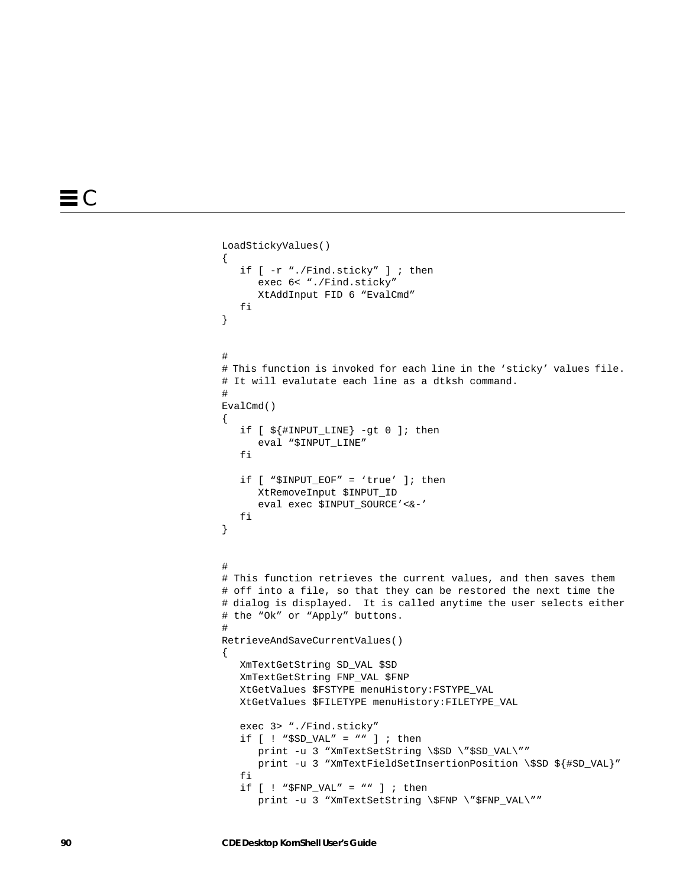```
LoadStickyValues()
{
    if [ -r "./Find.sticky" ] ; then
       exec 6< "./Find.sticky"
       XtAddInput FID 6 "EvalCmd"
    fi
}
#
# This function is invoked for each line in the 'sticky' values file.
# It will evalutate each line as a dtksh command.
#
EvalCmd()
{
    if [ ${#INPUT_LINE} -gt 0 ]; then
       eval "$INPUT_LINE"
   f_i if [ "$INPUT_EOF" = 'true' ]; then
       XtRemoveInput $INPUT_ID
       eval exec $INPUT_SOURCE'<&-'
    fi
}
#
# This function retrieves the current values, and then saves them
# off into a file, so that they can be restored the next time the
# dialog is displayed. It is called anytime the user selects either
# the "Ok" or "Apply" buttons.
#
RetrieveAndSaveCurrentValues()
{
    XmTextGetString SD_VAL $SD
    XmTextGetString FNP_VAL $FNP
    XtGetValues $FSTYPE menuHistory:FSTYPE_VAL
    XtGetValues $FILETYPE menuHistory:FILETYPE_VAL
    exec 3> "./Find.sticky"
    if [ ! "$SD_VAL" = "" ] ; then
       print -u 3 "XmTextSetString \$SD \"$SD_VAL\""
      print -u 3 "XmTextFieldSetInsertionPosition \$SD ${#SD_VAL}"
    fi
    if [ ! "$FNP_VAL" = "" ] ; then
      print -u 3 "XmTextSetString \$FNP \"$FNP_VAL\""
```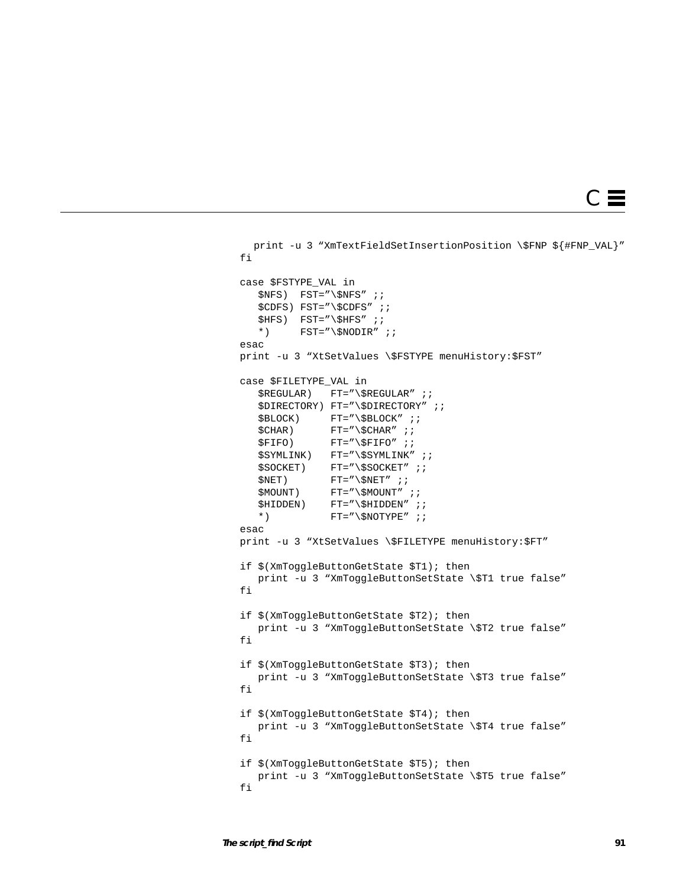```
C \equiv
```

```
print -u 3 "XmTextFieldSetInsertionPosition \$FNP ${#FNP_VAL}"
 fi
 case $FSTYPE_VAL in
   SNFS) FST="\$NFS" ;;
    $CDFS) FST="\$CDFS" ;;
   $HFS) FST="\$HFS" ;;
   *) FST = "\$NODIR" ; ; esac
 print -u 3 "XtSetValues \$FSTYPE menuHistory:$FST"
 case $FILETYPE_VAL in
    $REGULAR) FT="\$REGULAR" ;;
    $DIRECTORY) FT="\$DIRECTORY" ;;
   $BLOCK) FT = ''\$BLOCK'' ;;
   $CHAR) FT = ''\SCHAR'' ;;
   $FIFO) FT="\\$FIFO" ;\texttt{\$SYMLINK} ) FT="\$SYMLINK" ;;
    $SOCKET) FT="\$SOCKET" ;;
   $NET) FT='\\$NET' ;$MOUNT) FT = "\\$MOUNT" ;$HIDDEN) FT="\$HIDDEN" ; ;
   *) FT = " \SNOTYPE" ; ; esac
 print -u 3 "XtSetValues \$FILETYPE menuHistory:$FT"
 if $(XmToggleButtonGetState $T1); then
   print -u 3 "XmToggleButtonSetState \$T1 true false"
 fi
 if $(XmToggleButtonGetState $T2); then
   print -u 3 "XmToggleButtonSetState \$T2 true false"
 fi
 if $(XmToggleButtonGetState $T3); then
   print -u 3 "XmToggleButtonSetState \$T3 true false"
 fi
 if $(XmToggleButtonGetState $T4); then
    print -u 3 "XmToggleButtonSetState \$T4 true false"
 fi
 if $(XmToggleButtonGetState $T5); then
    print -u 3 "XmToggleButtonSetState \$T5 true false"
 fi
```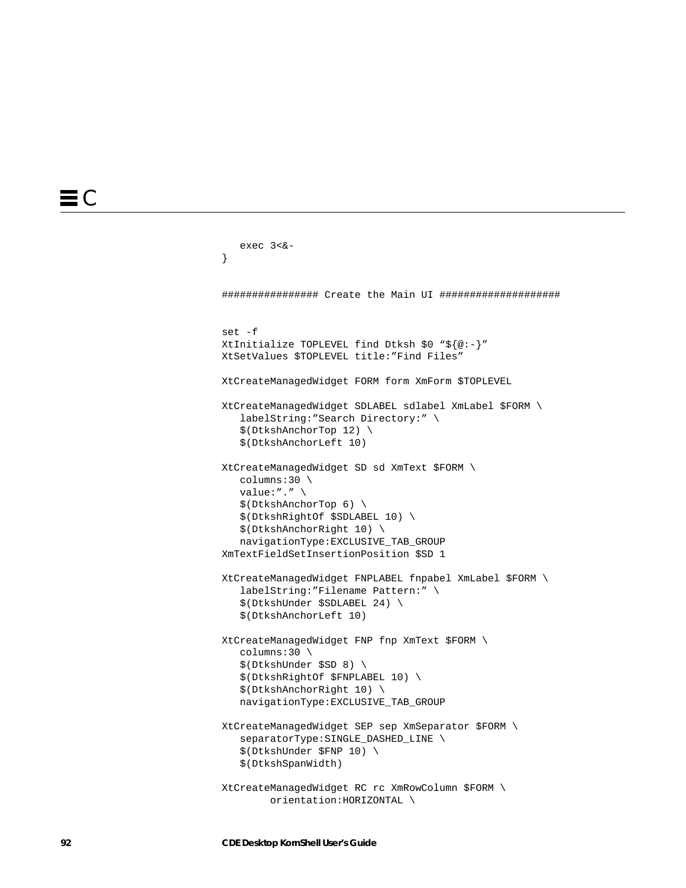```
 exec 3<&-
}
################ Create the Main UI ####################
set -f
XtInitialize TOPLEVEL find Dtksh $0 "${@:-}"
XtSetValues $TOPLEVEL title:"Find Files"
XtCreateManagedWidget FORM form XmForm $TOPLEVEL
XtCreateManagedWidget SDLABEL sdlabel XmLabel $FORM \
    labelString:"Search Directory:" \
    $(DtkshAnchorTop 12) \
    $(DtkshAnchorLeft 10)
XtCreateManagedWidget SD sd XmText $FORM \
    columns:30 \
    value:"." \
    $(DtkshAnchorTop 6) \
    $(DtkshRightOf $SDLABEL 10) \
    $(DtkshAnchorRight 10) \
    navigationType:EXCLUSIVE_TAB_GROUP
XmTextFieldSetInsertionPosition $SD 1
XtCreateManagedWidget FNPLABEL fnpabel XmLabel $FORM \
    labelString:"Filename Pattern:" \
    $(DtkshUnder $SDLABEL 24) \
    $(DtkshAnchorLeft 10)
XtCreateManagedWidget FNP fnp XmText $FORM \
    columns:30 \
    $(DtkshUnder $SD 8) \
    $(DtkshRightOf $FNPLABEL 10) \
    $(DtkshAnchorRight 10) \
    navigationType:EXCLUSIVE_TAB_GROUP
XtCreateManagedWidget SEP sep XmSeparator $FORM \
    separatorType:SINGLE_DASHED_LINE \
    $(DtkshUnder $FNP 10) \
    $(DtkshSpanWidth)
XtCreateManagedWidget RC rc XmRowColumn $FORM \
         orientation:HORIZONTAL \
```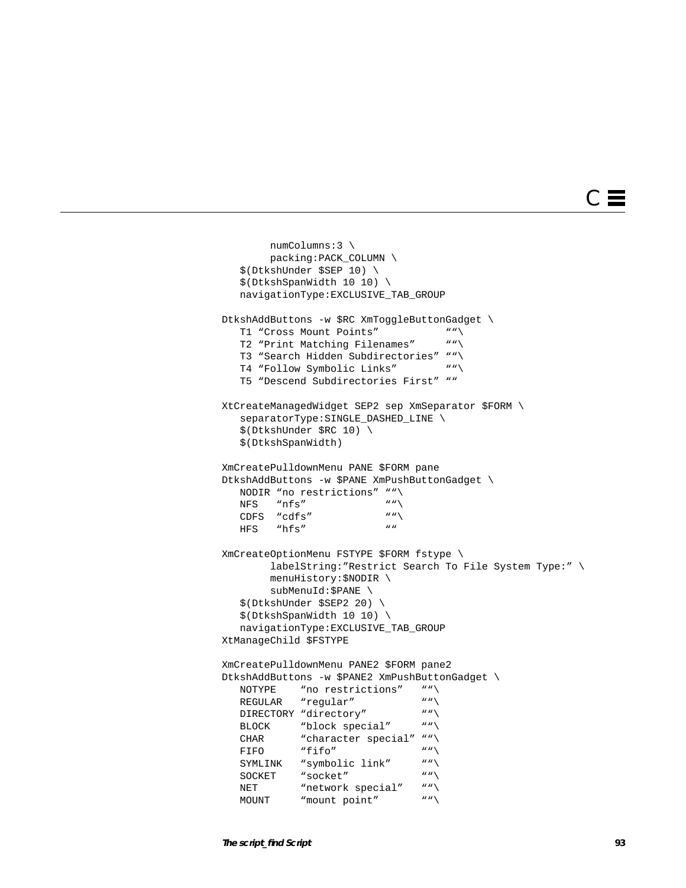# $\subset$   $\equiv$

```
 numColumns:3 \
         packing:PACK_COLUMN \
    $(DtkshUnder $SEP 10) \
    $(DtkshSpanWidth 10 10) \
    navigationType:EXCLUSIVE_TAB_GROUP
DtkshAddButtons -w $RC XmToggleButtonGadget \<br>
T1 "Cross Mount Points" ""\
   T1 "Cross Mount Points"
    T2 "Print Matching Filenames" ""\
    T3 "Search Hidden Subdirectories" ""\
   T4 "Follow Symbolic Links" ""\
    T5 "Descend Subdirectories First" ""
XtCreateManagedWidget SEP2 sep XmSeparator $FORM \
    separatorType:SINGLE_DASHED_LINE \
    $(DtkshUnder $RC 10) \
    $(DtkshSpanWidth)
XmCreatePulldownMenu PANE $FORM pane
DtkshAddButtons -w $PANE XmPushButtonGadget \
    NODIR "no restrictions" ""\
  NFS "nfs" \text{NFS} ""\
   CDFS "cdfs" ""
   HFS "hfs"
XmCreateOptionMenu FSTYPE $FORM fstype \
         labelString:"Restrict Search To File System Type:" \
         menuHistory:$NODIR \
         subMenuId:$PANE \
    $(DtkshUnder $SEP2 20) \
    $(DtkshSpanWidth 10 10) \
    navigationType:EXCLUSIVE_TAB_GROUP
XtManageChild $FSTYPE
XmCreatePulldownMenu PANE2 $FORM pane2
DtkshAddButtons -w $PANE2 XmPushButtonGadget \
  NOTYPE "no restrictions" \overline{N}" \overline{N}""
   REGULAR "regular"
   DIRECTORY "directory" ""\
   BLOCK "block special" ""\
   CHAR "character special" ""\
FIFO "fifo" """\
   FIFO "fifo"
    SYMLINK "symbolic link" ""\
   SOCKET "socket" ""\
   NET "network special" ""\<br>MOUNT "mount point" ""\
   MOUNT "mount point"
```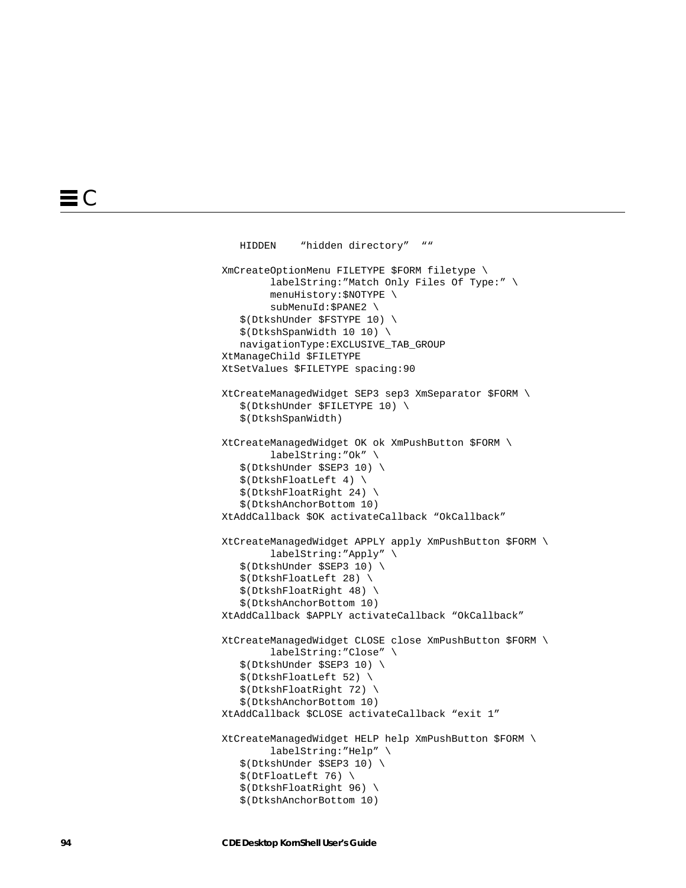```
 HIDDEN "hidden directory" ""
XmCreateOptionMenu FILETYPE $FORM filetype \
         labelString:"Match Only Files Of Type:" \
         menuHistory:$NOTYPE \
         subMenuId:$PANE2 \
    $(DtkshUnder $FSTYPE 10) \
    $(DtkshSpanWidth 10 10) \
    navigationType:EXCLUSIVE_TAB_GROUP
XtManageChild $FILETYPE
XtSetValues $FILETYPE spacing:90
XtCreateManagedWidget SEP3 sep3 XmSeparator $FORM \
    $(DtkshUnder $FILETYPE 10) \
    $(DtkshSpanWidth)
XtCreateManagedWidget OK ok XmPushButton $FORM \
         labelString:"Ok" \
    $(DtkshUnder $SEP3 10) \
    $(DtkshFloatLeft 4) \
    $(DtkshFloatRight 24) \
    $(DtkshAnchorBottom 10)
XtAddCallback $OK activateCallback "OkCallback"
XtCreateManagedWidget APPLY apply XmPushButton $FORM \
         labelString:"Apply" \
    $(DtkshUnder $SEP3 10) \
    $(DtkshFloatLeft 28) \
    $(DtkshFloatRight 48) \
    $(DtkshAnchorBottom 10)
XtAddCallback $APPLY activateCallback "OkCallback"
XtCreateManagedWidget CLOSE close XmPushButton $FORM \
         labelString:"Close" \
    $(DtkshUnder $SEP3 10) \
    $(DtkshFloatLeft 52) \
    $(DtkshFloatRight 72) \
    $(DtkshAnchorBottom 10)
XtAddCallback $CLOSE activateCallback "exit 1"
XtCreateManagedWidget HELP help XmPushButton $FORM \
         labelString:"Help" \
    $(DtkshUnder $SEP3 10) \
    $(DtFloatLeft 76) \
    $(DtkshFloatRight 96) \
    $(DtkshAnchorBottom 10)
```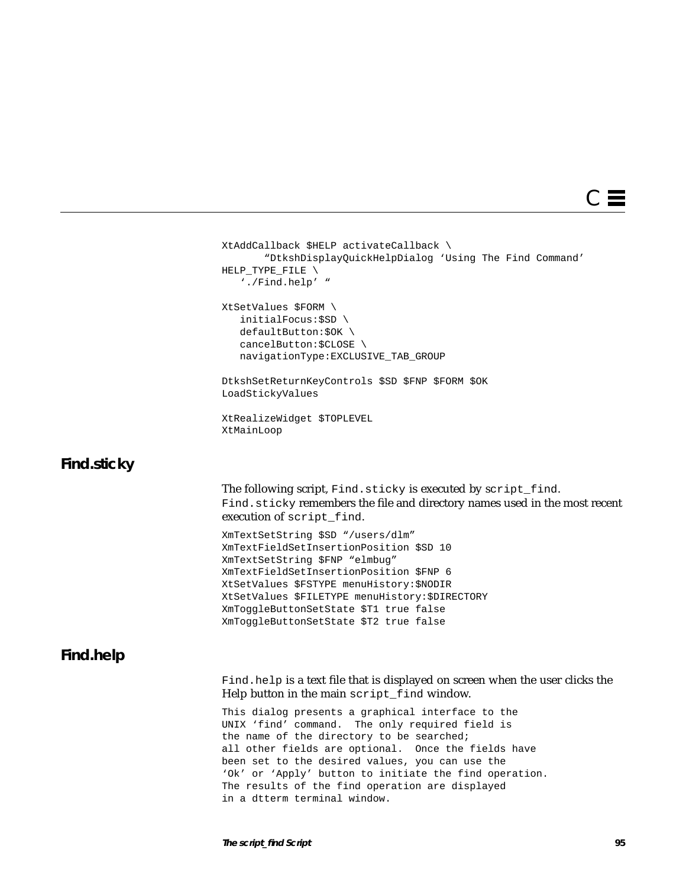

```
XtAddCallback $HELP activateCallback \
        "DtkshDisplayQuickHelpDialog 'Using The Find Command'
HELP TYPE FILE \setminus './Find.help' "
XtSetValues $FORM \
    initialFocus:$SD \
    defaultButton:$OK \
    cancelButton:$CLOSE \
    navigationType:EXCLUSIVE_TAB_GROUP
DtkshSetReturnKeyControls $SD $FNP $FORM $OK
LoadStickyValues
XtRealizeWidget $TOPLEVEL
XtMainLoop
The following script, Find.sticky is executed by script_find.
Find.sticky remembers the file and directory names used in the most recent
execution of script_find.
XmTextSetString $SD "/users/dlm"
XmTextFieldSetInsertionPosition $SD 10
XmTextSetString $FNP "elmbug"
XmTextFieldSetInsertionPosition $FNP 6
XtSetValues $FSTYPE menuHistory:$NODIR
XtSetValues $FILETYPE menuHistory:$DIRECTORY
XmToggleButtonSetState $T1 true false
XmToggleButtonSetState $T2 true false
Find.help is a text file that is displayed on screen when the user clicks the
Help button in the main script_find window.
This dialog presents a graphical interface to the
UNIX 'find' command. The only required field is
the name of the directory to be searched;
all other fields are optional. Once the fields have
been set to the desired values, you can use the
'Ok' or 'Apply' button to initiate the find operation.
```
The results of the find operation are displayed

in a dtterm terminal window.

**Find.sticky**

**Find.help**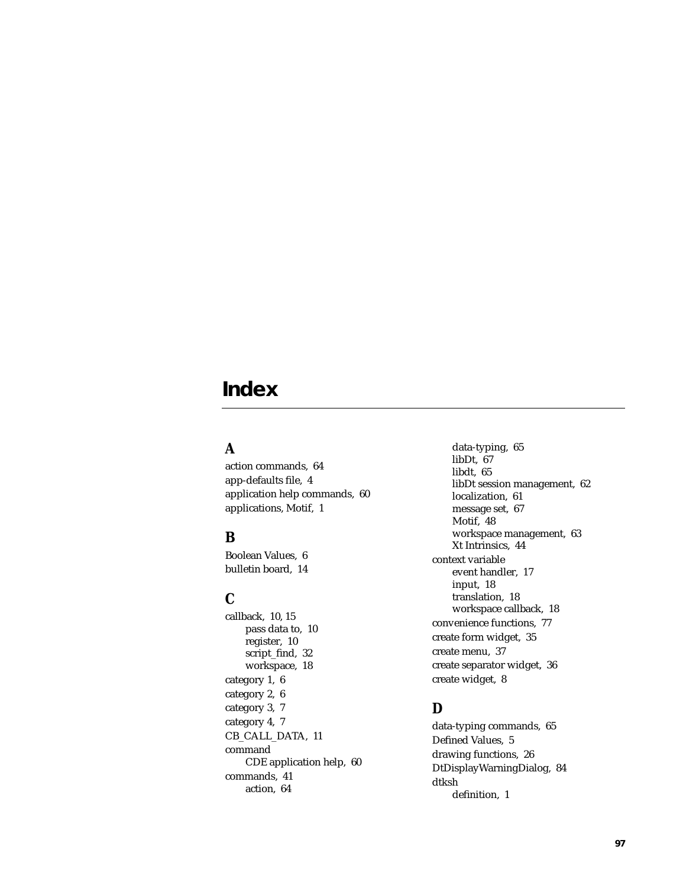# **Index**

## **A**

action commands, 64 app-defaults file, 4 application help commands, 60 applications, Motif, 1

## **B**

Boolean Values, 6 bulletin board, 14

# **C**

callback, 10, 15 pass data to, 10 register, 10 script\_find, 32 workspace, 18 category 1, 6 category 2, 6 category 3, 7 category 4, 7 CB\_CALL\_DATA, 11 command CDE application help, 60 commands, 41 action, 64

data-typing, 65 libDt, 67 libdt, 65 libDt session management, 62 localization, 61 message set, 67 Motif, 48 workspace management, 63 Xt Intrinsics, 44 context variable event handler, 17 input, 18 translation, 18 workspace callback, 18 convenience functions, 77 create form widget, 35 create menu, 37 create separator widget, 36 create widget, 8

# **D**

data-typing commands, 65 Defined Values, 5 drawing functions, 26 DtDisplayWarningDialog, 84 dtksh definition, 1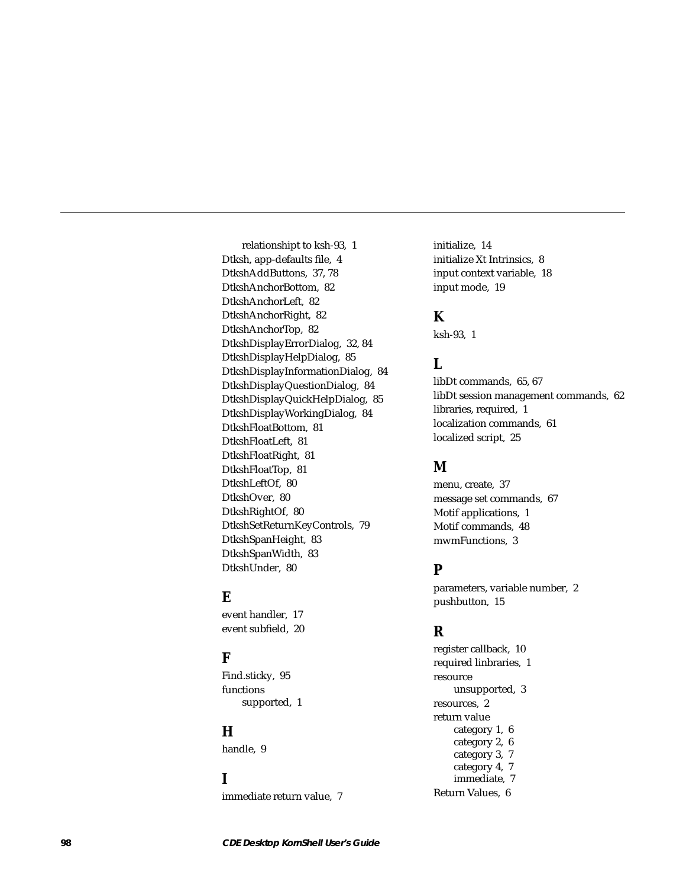relationshipt to ksh-93, 1 Dtksh, app-defaults file, 4 DtkshAddButtons, 37, 78 DtkshAnchorBottom, 82 DtkshAnchorLeft, 82 DtkshAnchorRight, 82 DtkshAnchorTop, 82 DtkshDisplayErrorDialog, 32, 84 DtkshDisplayHelpDialog, 85 DtkshDisplayInformationDialog, 84 DtkshDisplayQuestionDialog, 84 DtkshDisplayQuickHelpDialog, 85 DtkshDisplayWorkingDialog, 84 DtkshFloatBottom, 81 DtkshFloatLeft, 81 DtkshFloatRight, 81 DtkshFloatTop, 81 DtkshLeftOf, 80 DtkshOver, 80 DtkshRightOf, 80 DtkshSetReturnKeyControls, 79 DtkshSpanHeight, 83 DtkshSpanWidth, 83 DtkshUnder, 80

# **E**

event handler, 17 event subfield, 20

## **F**

Find.sticky, 95 functions supported, 1

## **H**

handle, 9

## **I**

immediate return value, 7

initialize, 14 initialize Xt Intrinsics, 8 input context variable, 18 input mode, 19

## **K**

ksh-93, 1

# **L**

libDt commands, 65, 67 libDt session management commands, 62 libraries, required, 1 localization commands, 61 localized script, 25

## **M**

menu, create, 37 message set commands, 67 Motif applications, 1 Motif commands, 48 mwmFunctions, 3

## **P**

parameters, variable number, 2 pushbutton, 15

## **R**

register callback, 10 required linbraries, 1 resource unsupported, 3 resources, 2 return value category 1, 6 category 2, 6 category 3, 7 category 4, 7 immediate, 7 Return Values, 6